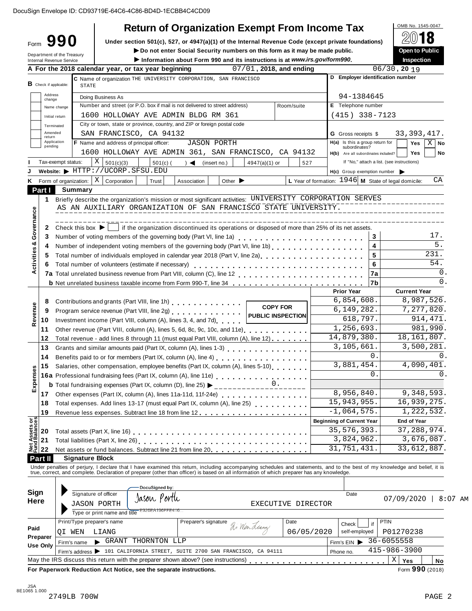| Form $990$<br>Department of the Treasury<br>Internal Revenue Service | <b>Return of Organization Exempt From Income Tax</b><br>Under section 501(c), 527, or 4947(a)(1) of the Internal Revenue Code (except private foundations)<br>Do not enter Social Security numbers on this form as it may be made public.<br>Information about Form 990 and its instructions is at www.irs.gov/form990. |                         |                                                               | OMB No. 1545-0047<br>18<br>Open to Public<br>Inspection |
|----------------------------------------------------------------------|-------------------------------------------------------------------------------------------------------------------------------------------------------------------------------------------------------------------------------------------------------------------------------------------------------------------------|-------------------------|---------------------------------------------------------------|---------------------------------------------------------|
|                                                                      | A For the 2018 calendar year, or tax year beginning                                                                                                                                                                                                                                                                     | 07/01, 2018, and ending |                                                               | $06/30$ , 20 19                                         |
|                                                                      | C Name of organization THE UNIVERSITY CORPORATION, SAN FRANCISCO                                                                                                                                                                                                                                                        |                         | D Employer identification number                              |                                                         |
| <b>B</b> Check if applicable:                                        | <b>STATE</b>                                                                                                                                                                                                                                                                                                            |                         |                                                               |                                                         |
| Address<br>change                                                    | Doing Business As                                                                                                                                                                                                                                                                                                       |                         | 94-1384645                                                    |                                                         |
| Name change                                                          | Number and street (or P.O. box if mail is not delivered to street address)                                                                                                                                                                                                                                              | Room/suite              | E Telephone number                                            |                                                         |
| Initial return                                                       | 1600 HOLLOWAY AVE ADMIN BLDG RM 361                                                                                                                                                                                                                                                                                     |                         | $(415)$ 338-7123                                              |                                                         |
| Terminated<br>Amended                                                | City or town, state or province, country, and ZIP or foreign postal code                                                                                                                                                                                                                                                |                         |                                                               |                                                         |
| return<br>Application                                                | SAN FRANCISCO, CA 94132<br>F Name and address of principal officer:<br><b>JASON PORTH</b>                                                                                                                                                                                                                               |                         | <b>G</b> Gross receipts \$<br>H(a) Is this a group return for | 33, 393, 417.                                           |
| pending                                                              | 1600 HOLLOWAY AVE ADMIN 361, SAN FRANCISCO, CA 94132                                                                                                                                                                                                                                                                    |                         | subordinates?                                                 | $\mathbf{X}$<br>Yes<br>No                               |
| Tax-exempt status:                                                   | X   501(c)(3)<br>$501(c)$ (<br>$) \triangleleft$ (insert no.)<br>4947(a)(1) or                                                                                                                                                                                                                                          | 527                     | H(b) Are all subordinates included?                           | Yes<br>No<br>If "No," attach a list. (see instructions) |
|                                                                      | Website: FHTTP://UCORP.SFSU.EDU                                                                                                                                                                                                                                                                                         |                         | $H(c)$ Group exemption number $\triangleright$                |                                                         |
|                                                                      | Form of organization: $\mid X \mid$ Corporation<br>Trust<br>Other $\blacktriangleright$<br>Association                                                                                                                                                                                                                  |                         | L Year of formation: 1946 M State of legal domicile:          | СA                                                      |
| Part I                                                               | <b>Summary</b>                                                                                                                                                                                                                                                                                                          |                         |                                                               |                                                         |
| 1                                                                    | Briefly describe the organization's mission or most significant activities: UNIVERSITY CORPORATION SERVES                                                                                                                                                                                                               |                         |                                                               |                                                         |
|                                                                      | AS AN AUXILIARY ORGANIZATION OF SAN FRANCISCO STATE UNIVERSITY.                                                                                                                                                                                                                                                         |                         |                                                               |                                                         |
|                                                                      |                                                                                                                                                                                                                                                                                                                         |                         |                                                               |                                                         |
| 2                                                                    | if the organization discontinued its operations or disposed of more than 25% of its net assets.<br>Check this box $\blacktriangleright$                                                                                                                                                                                 |                         |                                                               |                                                         |
| 3                                                                    | Number of voting members of the governing body (Part VI, line 1a)                                                                                                                                                                                                                                                       |                         | 3                                                             | 17.                                                     |
| 4                                                                    |                                                                                                                                                                                                                                                                                                                         |                         | 4                                                             | $\overline{5}$ .                                        |
| 5                                                                    | Total number of individuals employed in calendar year 2018 (Part V, line 2a)<br>Total number of individuals employed in calendar year 2018 (Part V, line 2a)                                                                                                                                                            |                         | 5                                                             | 231.                                                    |
|                                                                      | Total number of volunteers (estimate if necessary)                                                                                                                                                                                                                                                                      |                         | 6                                                             | 54.                                                     |
|                                                                      |                                                                                                                                                                                                                                                                                                                         |                         | 7a                                                            | 0.                                                      |
|                                                                      | b Net unrelated business taxable income from Form 990-T, line 34                                                                                                                                                                                                                                                        |                         | 7b                                                            | $\Omega$ .                                              |
|                                                                      |                                                                                                                                                                                                                                                                                                                         |                         | <b>Prior Year</b>                                             | <b>Current Year</b>                                     |
| 8                                                                    | Contributions and grants (Part VIII, line 1h) [10] [10] Contributions and grants (Part VIII, line 1h)                                                                                                                                                                                                                   | <b>COPY FOR</b>         | 6,854,608.                                                    | 8,987,526.                                              |
| 9                                                                    | Program service revenue (Part VIII, line 2g)                                                                                                                                                                                                                                                                            | PUBLIC INSPECTION       | 6, 149, 282.<br>618,797.                                      | 7,277,820.<br>914, 471.                                 |
| 10                                                                   | Investment income (Part VIII, column (A), lines 3, 4, and 7d)                                                                                                                                                                                                                                                           |                         | 1,256,693.                                                    | 981,990.                                                |
| 11<br>12                                                             | Other revenue (Part VIII, column (A), lines 5, 6d, 8c, 9c, 10c, and 11e)<br>Total revenue - add lines 8 through 11 (must equal Part VIII, column (A), line 12)                                                                                                                                                          |                         | 14,879,380.                                                   | 18, 161, 807.                                           |
| 13                                                                   | Grants and similar amounts paid (Part IX, column (A), lines 1-3) [10] Crants and similar amounts paid (Part IX, column (A), lines 1-3)                                                                                                                                                                                  |                         | 3,105,661                                                     | 3,500,281.                                              |
| 14                                                                   |                                                                                                                                                                                                                                                                                                                         |                         | $\mathbf{0}$                                                  | 0.                                                      |
| 15                                                                   | Salaries, other compensation, employee benefits (Part IX, column (A), lines 5-10).                                                                                                                                                                                                                                      |                         | 3,881,454.                                                    | 4,090,401.                                              |
|                                                                      | 16a Professional fundraising fees (Part IX, column (A), line 11e)                                                                                                                                                                                                                                                       |                         | $\Omega$                                                      | $\Omega$                                                |
|                                                                      | <b>b</b> Total fundraising expenses (Part IX, column (D), line 25) $\blacktriangleright$                                                                                                                                                                                                                                |                         |                                                               |                                                         |
| 17                                                                   | Other expenses (Part IX, column (A), lines 11a-11d, 11f-24e)                                                                                                                                                                                                                                                            |                         | 8,956,840.                                                    | 9,348,593.                                              |
| 18                                                                   |                                                                                                                                                                                                                                                                                                                         |                         | 15, 943, 955.                                                 | 16,939,275.                                             |
| 19                                                                   |                                                                                                                                                                                                                                                                                                                         |                         | $-1,064,575.$                                                 | 1, 222, 532.                                            |
|                                                                      |                                                                                                                                                                                                                                                                                                                         |                         | <b>Beginning of Current Year</b>                              | End of Year                                             |
|                                                                      |                                                                                                                                                                                                                                                                                                                         |                         | 35, 576, 393.                                                 | 37, 288, 974.                                           |
|                                                                      |                                                                                                                                                                                                                                                                                                                         |                         | 3,824,962.                                                    | 3,676,087.                                              |
|                                                                      | Net assets or fund balances. Subtract line 21 from line 20.                                                                                                                                                                                                                                                             |                         | 31,751,431.                                                   | 33,612,887.                                             |
| Part II                                                              | <b>Signature Block</b>                                                                                                                                                                                                                                                                                                  |                         |                                                               |                                                         |
|                                                                      | Under penalties of perjury, I declare that I have examined this return, including accompanying schedules and statements, and to the best of my knowledge and belief, it is<br>true, correct, and complete. Declaration of prepare                                                                                       |                         |                                                               |                                                         |
|                                                                      |                                                                                                                                                                                                                                                                                                                         |                         |                                                               |                                                         |
| Sign                                                                 | DocuSigned by:<br>Signature of officer                                                                                                                                                                                                                                                                                  |                         | Date                                                          |                                                         |
| Here                                                                 | Jason Porth<br><b>JASON PORTH</b>                                                                                                                                                                                                                                                                                       | EXECUTIVE DIRECTOR      |                                                               | 07/09/2020   8:07 A                                     |
|                                                                      | Type or print name and title                                                                                                                                                                                                                                                                                            |                         |                                                               |                                                         |
|                                                                      | Print/Type preparer's name<br>Preparer's signature                                                                                                                                                                                                                                                                      | Date                    | if<br>Check                                                   | PTIN                                                    |
| Paid                                                                 | Ri Wen Lianz<br>QI WEN<br>LIANG                                                                                                                                                                                                                                                                                         |                         | 06/05/2020<br>self-employed                                   | P01270238                                               |
| Preparer                                                             | GRANT THORNTON LLP<br>Firm's name                                                                                                                                                                                                                                                                                       |                         | Firm's EIN                                                    | 36-6055558                                              |
| <b>Use Only</b>                                                      |                                                                                                                                                                                                                                                                                                                         |                         |                                                               |                                                         |
|                                                                      | Firm's address > 101 CALIFORNIA STREET, SUITE 2700 SAN FRANCISCO, CA 94111                                                                                                                                                                                                                                              |                         | Phone no.                                                     | $415 - 986 - 3900$                                      |

AM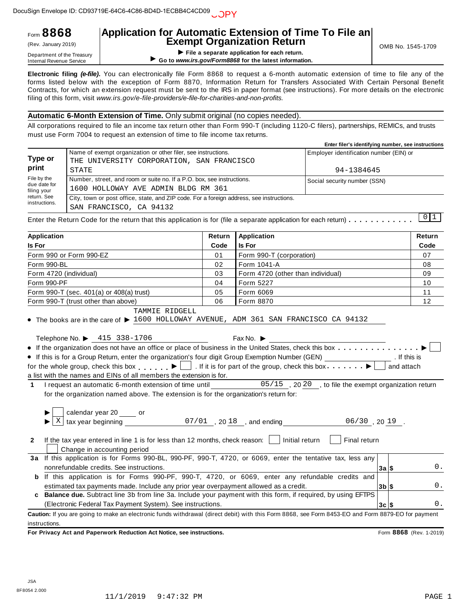# **Application for Automatic Extension of Time To File an Exempt Organization Return** (Rev. January 2019) OMB No. 1545-1709

|                              |                                                                                                            | Enter filer's identifying number, see instructions |
|------------------------------|------------------------------------------------------------------------------------------------------------|----------------------------------------------------|
| Type or                      | Name of exempt organization or other filer, see instructions.<br>THE UNIVERSITY CORPORATION, SAN FRANCISCO | Employer identification number (EIN) or            |
| print                        | STATE                                                                                                      | 94-1384645                                         |
| File by the<br>due date for  | Number, street, and room or suite no. If a P.O. box, see instructions.                                     | Social security number (SSN)                       |
| filing your                  | 1600 HOLLOWAY AVE ADMIN BLDG RM 361                                                                        |                                                    |
| return. See<br>instructions. | City, town or post office, state, and ZIP code. For a foreign address, see instructions.                   |                                                    |
|                              | SAN FRANCISCO, CA 94132                                                                                    |                                                    |

| Application for Automatic Extension of Time To File an<br>Form 8868<br>(Rev. January 2019)<br>Department of the Treasury<br><b>Internal Revenue Service</b> |       |                                                                                                                                                                                                                                                                                                                                                                                                                                                                                                                                                                                                                                                                                                                                                                                                                                                                                                                                                                                                                                                                                                                                                                      |        | <b>Exempt Organization Return</b><br>File a separate application for each return.<br>Go to www.irs.gov/Form8868 for the latest information. | OMB No. 1545-1709                                                   |                                                                      |                         |
|-------------------------------------------------------------------------------------------------------------------------------------------------------------|-------|----------------------------------------------------------------------------------------------------------------------------------------------------------------------------------------------------------------------------------------------------------------------------------------------------------------------------------------------------------------------------------------------------------------------------------------------------------------------------------------------------------------------------------------------------------------------------------------------------------------------------------------------------------------------------------------------------------------------------------------------------------------------------------------------------------------------------------------------------------------------------------------------------------------------------------------------------------------------------------------------------------------------------------------------------------------------------------------------------------------------------------------------------------------------|--------|---------------------------------------------------------------------------------------------------------------------------------------------|---------------------------------------------------------------------|----------------------------------------------------------------------|-------------------------|
|                                                                                                                                                             |       | Electronic filing (e-file). You can electronically file Form 8868 to request a 6-month automatic extension of time to file any of the<br>forms listed below with the exception of Form 8870, Information Return for Transfers Associated With Certain Personal Benefit<br>Contracts, for which an extension request must be sent to the IRS in paper format (see instructions). For more details on the electronic<br>filing of this form, visit www.irs.gov/e-file-providers/e-file-for-charities-and-non-profits.                                                                                                                                                                                                                                                                                                                                                                                                                                                                                                                                                                                                                                                  |        |                                                                                                                                             |                                                                     |                                                                      |                         |
|                                                                                                                                                             |       | Automatic 6-Month Extension of Time. Only submit original (no copies needed).                                                                                                                                                                                                                                                                                                                                                                                                                                                                                                                                                                                                                                                                                                                                                                                                                                                                                                                                                                                                                                                                                        |        |                                                                                                                                             |                                                                     |                                                                      |                         |
|                                                                                                                                                             |       | All corporations required to file an income tax return other than Form 990-T (including 1120-C filers), partnerships, REMICs, and trusts<br>must use Form 7004 to request an extension of time to file income tax returns.                                                                                                                                                                                                                                                                                                                                                                                                                                                                                                                                                                                                                                                                                                                                                                                                                                                                                                                                           |        |                                                                                                                                             | Enter filer's identifying number, see instructions                  |                                                                      |                         |
| <b>Type or</b><br>print                                                                                                                                     |       | Name of exempt organization or other filer, see instructions.<br>THE UNIVERSITY CORPORATION, SAN FRANCISCO                                                                                                                                                                                                                                                                                                                                                                                                                                                                                                                                                                                                                                                                                                                                                                                                                                                                                                                                                                                                                                                           |        |                                                                                                                                             | Employer identification number (EIN) or                             |                                                                      |                         |
| File by the                                                                                                                                                 | STATE | Number, street, and room or suite no. If a P.O. box, see instructions.                                                                                                                                                                                                                                                                                                                                                                                                                                                                                                                                                                                                                                                                                                                                                                                                                                                                                                                                                                                                                                                                                               |        |                                                                                                                                             | 94-1384645                                                          |                                                                      |                         |
| due date for                                                                                                                                                |       | 1600 HOLLOWAY AVE ADMIN BLDG RM 361                                                                                                                                                                                                                                                                                                                                                                                                                                                                                                                                                                                                                                                                                                                                                                                                                                                                                                                                                                                                                                                                                                                                  |        |                                                                                                                                             | Social security number (SSN)                                        |                                                                      |                         |
| filing your<br>return. See                                                                                                                                  |       | City, town or post office, state, and ZIP code. For a foreign address, see instructions.                                                                                                                                                                                                                                                                                                                                                                                                                                                                                                                                                                                                                                                                                                                                                                                                                                                                                                                                                                                                                                                                             |        |                                                                                                                                             |                                                                     |                                                                      |                         |
| instructions.                                                                                                                                               |       | SAN FRANCISCO, CA 94132                                                                                                                                                                                                                                                                                                                                                                                                                                                                                                                                                                                                                                                                                                                                                                                                                                                                                                                                                                                                                                                                                                                                              |        |                                                                                                                                             |                                                                     |                                                                      |                         |
|                                                                                                                                                             |       | Enter the Return Code for the return that this application is for (file a separate application for each return) $\dots \dots \dots$                                                                                                                                                                                                                                                                                                                                                                                                                                                                                                                                                                                                                                                                                                                                                                                                                                                                                                                                                                                                                                  |        |                                                                                                                                             |                                                                     |                                                                      | $0\vert1$               |
| <b>Application</b>                                                                                                                                          |       |                                                                                                                                                                                                                                                                                                                                                                                                                                                                                                                                                                                                                                                                                                                                                                                                                                                                                                                                                                                                                                                                                                                                                                      | Return | <b>Application</b>                                                                                                                          |                                                                     |                                                                      | Return                  |
| Is For                                                                                                                                                      |       |                                                                                                                                                                                                                                                                                                                                                                                                                                                                                                                                                                                                                                                                                                                                                                                                                                                                                                                                                                                                                                                                                                                                                                      | Code   | <b>Is For</b>                                                                                                                               |                                                                     |                                                                      | Code                    |
| Form 990 or Form 990-EZ                                                                                                                                     |       |                                                                                                                                                                                                                                                                                                                                                                                                                                                                                                                                                                                                                                                                                                                                                                                                                                                                                                                                                                                                                                                                                                                                                                      | 01     | Form 990-T (corporation)                                                                                                                    |                                                                     |                                                                      | 07                      |
| Form 990-BL                                                                                                                                                 |       |                                                                                                                                                                                                                                                                                                                                                                                                                                                                                                                                                                                                                                                                                                                                                                                                                                                                                                                                                                                                                                                                                                                                                                      | 02     | Form 1041-A                                                                                                                                 |                                                                     | 08                                                                   |                         |
| Form 4720 (individual)                                                                                                                                      |       |                                                                                                                                                                                                                                                                                                                                                                                                                                                                                                                                                                                                                                                                                                                                                                                                                                                                                                                                                                                                                                                                                                                                                                      | 03     | Form 4720 (other than individual)                                                                                                           |                                                                     | 09                                                                   |                         |
| Form 990-PF                                                                                                                                                 |       |                                                                                                                                                                                                                                                                                                                                                                                                                                                                                                                                                                                                                                                                                                                                                                                                                                                                                                                                                                                                                                                                                                                                                                      | 04     | Form 5227                                                                                                                                   |                                                                     | 10                                                                   |                         |
|                                                                                                                                                             |       | Form 990-T (sec. 401(a) or 408(a) trust)                                                                                                                                                                                                                                                                                                                                                                                                                                                                                                                                                                                                                                                                                                                                                                                                                                                                                                                                                                                                                                                                                                                             | 05     | Form 6069                                                                                                                                   |                                                                     | 11                                                                   |                         |
|                                                                                                                                                             |       | Form 990-T (trust other than above)<br>TAMMIE RIDGELL                                                                                                                                                                                                                                                                                                                                                                                                                                                                                                                                                                                                                                                                                                                                                                                                                                                                                                                                                                                                                                                                                                                | 06     | Form 8870                                                                                                                                   |                                                                     |                                                                      | $12 \overline{ }$       |
| Χ<br>$\mathbf{2}$                                                                                                                                           |       | Telephone No. $\blacktriangleright$ 415 338-1706<br>• If the organization does not have an office or place of business in the United States, check this box<br>If this is for a Group Return, enter the organization's four digit Group Exemption Number (GEN)<br>for the whole group, check this box $\Box$ If it is for part of the group, check this box $\Box$ .<br>a list with the names and EINs of all members the extension is for.<br>1 I request an automatic 6-month extension of time until<br>for the organization named above. The extension is for the organization's return for:<br>calendar year 20 ____ or<br>tax year beginning $07/01$ , $2018$ , and ending<br>If the tax year entered in line 1 is for less than 12 months, check reason: $\vert \vert$<br>Change in accounting period<br>3a If this application is for Forms 990-BL, 990-PF, 990-T, 4720, or 6069, enter the tentative tax, less any<br>nonrefundable credits. See instructions.<br>b If this application is for Forms 990-PF, 990-T, 4720, or 6069, enter any refundable credits and<br>estimated tax payments made. Include any prior year overpayment allowed as a credit. |        | Fax No. $\blacktriangleright$<br>Initial return                                                                                             | 05/15, 2020, to file the exempt organization return<br>Final return | . If this is<br>and attach<br>$06/30$ , 20 19.<br>$3a$ \$<br>$3b$ \$ | 0.<br>0.                |
|                                                                                                                                                             |       | Balance due. Subtract line 3b from line 3a. Include your payment with this form, if required, by using EFTPS<br>(Electronic Federal Tax Payment System). See instructions.                                                                                                                                                                                                                                                                                                                                                                                                                                                                                                                                                                                                                                                                                                                                                                                                                                                                                                                                                                                           |        |                                                                                                                                             |                                                                     | $3c$ $\sqrt{5}$                                                      | 0.                      |
| instructions.                                                                                                                                               |       | Caution: If you are going to make an electronic funds withdrawal (direct debit) with this Form 8868, see Form 8453-EO and Form 8879-EO for payment                                                                                                                                                                                                                                                                                                                                                                                                                                                                                                                                                                                                                                                                                                                                                                                                                                                                                                                                                                                                                   |        |                                                                                                                                             |                                                                     |                                                                      |                         |
|                                                                                                                                                             |       | For Privacy Act and Paperwork Reduction Act Notice, see instructions.                                                                                                                                                                                                                                                                                                                                                                                                                                                                                                                                                                                                                                                                                                                                                                                                                                                                                                                                                                                                                                                                                                |        |                                                                                                                                             |                                                                     |                                                                      | Form 8868 (Rev. 1-2019) |
| JSA<br>054 2.000                                                                                                                                            |       | 11/1/2019<br>$9:47:32$ PM                                                                                                                                                                                                                                                                                                                                                                                                                                                                                                                                                                                                                                                                                                                                                                                                                                                                                                                                                                                                                                                                                                                                            |        |                                                                                                                                             |                                                                     |                                                                      | PAGE 1                  |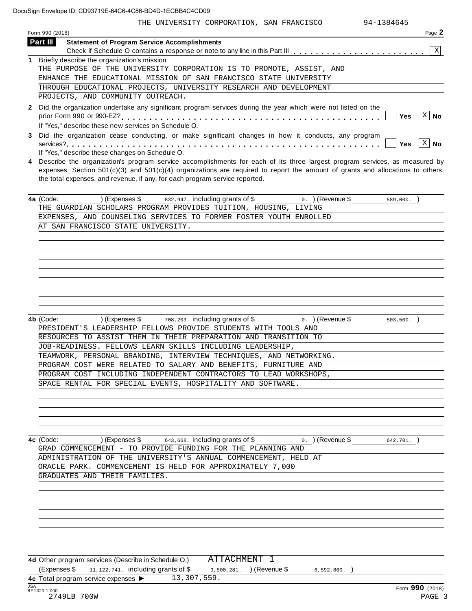| THE UNIVERSITY CORPORATION, SAN FRANCISCO<br>94-1384645                                                                                                                                                                                      |
|----------------------------------------------------------------------------------------------------------------------------------------------------------------------------------------------------------------------------------------------|
| Page 2<br>Form 990 (2018)                                                                                                                                                                                                                    |
| Part III<br><b>Statement of Program Service Accomplishments</b>                                                                                                                                                                              |
| X                                                                                                                                                                                                                                            |
| 1 Briefly describe the organization's mission:                                                                                                                                                                                               |
| THE PURPOSE OF THE UNIVERSITY CORPORATION IS TO PROMOTE, ASSIST, AND                                                                                                                                                                         |
| ENHANCE THE EDUCATIONAL MISSION OF SAN FRANCISCO STATE UNIVERSITY                                                                                                                                                                            |
| THROUGH EDUCATIONAL PROJECTS, UNIVERSITY RESEARCH AND DEVELOPMENT                                                                                                                                                                            |
| PROJECTS, AND COMMUNITY OUTREACH.                                                                                                                                                                                                            |
| 2 Did the organization undertake any significant program services during the year which were not listed on the<br>X<br>Yes<br>No<br>If "Yes," describe these new services on Schedule O.                                                     |
| Did the organization cease conducting, or make significant changes in how it conducts, any program                                                                                                                                           |
| $\vert$ X<br>No<br>Yes<br>If "Yes," describe these changes on Schedule O.                                                                                                                                                                    |
| 4 Describe the organization's program service accomplishments for each of its three largest program services, as measured by                                                                                                                 |
| the total expenses, and revenue, if any, for each program service reported.                                                                                                                                                                  |
| 4a (Code:<br>832,947. including grants of \$<br>) (Expenses \$<br>$0.$ ) (Revenue \$<br>$589,000.$ )<br>THE GUARDIAN SCHOLARS PROGRAM PROVIDES TUITION, HOUSING, LIVING<br>EXPENSES, AND COUNSELING SERVICES TO FORMER FOSTER YOUTH ENROLLED |
| AT SAN FRANCISCO STATE UNIVERSITY.                                                                                                                                                                                                           |
| expenses. Section $501(c)(3)$ and $501(c)(4)$ organizations are required to report the amount of grants and allocations to others,                                                                                                           |
|                                                                                                                                                                                                                                              |
|                                                                                                                                                                                                                                              |
| 708, 203. including grants of \$<br>4b (Code:<br>) (Expenses \$<br>$0.$ ) (Revenue \$<br>503, 500.<br>PRESIDENT'S LEADERSHIP FELLOWS PROVIDE STUDENTS WITH TOOLS AND                                                                         |
| RESOURCES TO ASSIST THEM IN THEIR PREPARATION AND TRANSITION TO                                                                                                                                                                              |
|                                                                                                                                                                                                                                              |
| JOB-READINESS. FELLOWS LEARN SKILLS INCLUDING LEADERSHIP,                                                                                                                                                                                    |
| TEAMWORK, PERSONAL BRANDING, INTERVIEW TECHNIQUES, AND NETWORKING.                                                                                                                                                                           |
| PROGRAM COST WERE RELATED TO SALARY AND BENEFITS, FURNITURE AND<br>PROGRAM COST INCLUDING INDEPENDENT CONTRACTORS TO LEAD WORKSHOPS,                                                                                                         |

| 4c (Code: |                               | $(Express 1)$ (Expenses $\frac{1}{2}$ 643,668. including grants of $\frac{1}{2}$ | 0. ) (Revenue \$<br>642,701. |  |
|-----------|-------------------------------|----------------------------------------------------------------------------------|------------------------------|--|
|           |                               | GRAD COMMENCEMENT - TO PROVIDE FUNDING FOR THE PLANNING AND                      |                              |  |
|           |                               | ADMINISTRATION OF THE UNIVERSITY'S ANNUAL COMMENCEMENT, HELD AT                  |                              |  |
|           |                               | ORACLE PARK. COMMENCEMENT IS HELD FOR APPROXIMATELY 7,000                        |                              |  |
|           | GRADUATES AND THEIR FAMILIES. |                                                                                  |                              |  |
|           |                               |                                                                                  |                              |  |
|           |                               |                                                                                  |                              |  |

**4d** Other program services (Describe in Schedule O.) (Expenses \$  $11, 122, 741$ . including grants of \$  $3, 500, 281$ . (Revenue \$  $6, 592, 860$ .) **4e** Total program service expenses **ISA**<br>**4e** Total program service expenses **I** [ATTACHMENT 1](#page--1-0) 13,307,559.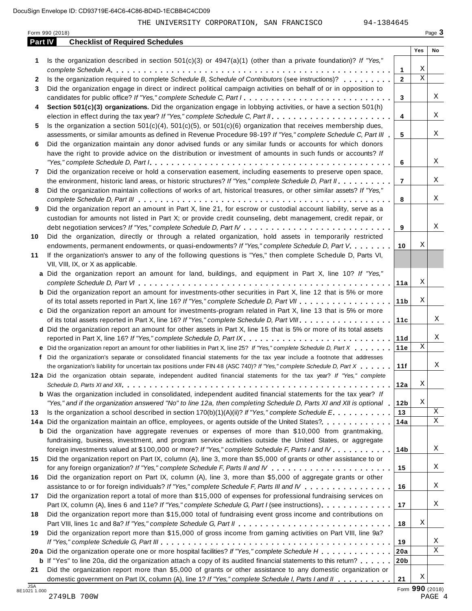|            | Form 990 (2018)                                                                                                                                                                                                                                                                                                                                                                                                                                                                                              |                 |                  | Page 3           |
|------------|--------------------------------------------------------------------------------------------------------------------------------------------------------------------------------------------------------------------------------------------------------------------------------------------------------------------------------------------------------------------------------------------------------------------------------------------------------------------------------------------------------------|-----------------|------------------|------------------|
| Part IV    | <b>Checklist of Required Schedules</b>                                                                                                                                                                                                                                                                                                                                                                                                                                                                       |                 |                  |                  |
|            |                                                                                                                                                                                                                                                                                                                                                                                                                                                                                                              |                 | Yes              | No               |
| 1          | Is the organization described in section $501(c)(3)$ or $4947(a)(1)$ (other than a private foundation)? If "Yes,"                                                                                                                                                                                                                                                                                                                                                                                            |                 |                  |                  |
|            |                                                                                                                                                                                                                                                                                                                                                                                                                                                                                                              | 1               | Χ<br>$\mathbf X$ |                  |
| 2          | Is the organization required to complete Schedule B, Schedule of Contributors (see instructions)?                                                                                                                                                                                                                                                                                                                                                                                                            | $\mathbf{2}$    |                  |                  |
| 3          | Did the organization engage in direct or indirect political campaign activities on behalf of or in opposition to                                                                                                                                                                                                                                                                                                                                                                                             |                 |                  |                  |
|            | candidates for public office? If "Yes," complete Schedule C, Part I.                                                                                                                                                                                                                                                                                                                                                                                                                                         | 3               |                  | Χ                |
| 4          | Section 501(c)(3) organizations. Did the organization engage in lobbying activities, or have a section 501(h)                                                                                                                                                                                                                                                                                                                                                                                                |                 |                  | Χ                |
|            |                                                                                                                                                                                                                                                                                                                                                                                                                                                                                                              | 4               |                  |                  |
| 5          | Is the organization a section $501(c)(4)$ , $501(c)(5)$ , or $501(c)(6)$ organization that receives membership dues,                                                                                                                                                                                                                                                                                                                                                                                         |                 |                  | Χ                |
|            | assessments, or similar amounts as defined in Revenue Procedure 98-19? If "Yes," complete Schedule C, Part III                                                                                                                                                                                                                                                                                                                                                                                               | 5               |                  |                  |
| 6          | Did the organization maintain any donor advised funds or any similar funds or accounts for which donors                                                                                                                                                                                                                                                                                                                                                                                                      |                 |                  |                  |
|            | have the right to provide advice on the distribution or investment of amounts in such funds or accounts? If<br>"Yes," complete Schedule D, Part $l_1, \ldots, l_k, \ldots, l_k, \ldots, l_k, \ldots, l_k, \ldots, l_k, \ldots, l_k, \ldots, l_k, \ldots, l_k, \ldots, l_k, \ldots, l_k, \ldots, l_k, \ldots, l_k, \ldots, l_k, \ldots, l_k, \ldots, l_k, \ldots, l_k, \ldots, l_k, \ldots, l_k, \ldots, l_k, \ldots, l_k, \ldots, l_k, \ldots, l_k, \ldots, l_k, \ldots, l_k, \ldots, l_k, \ldots, l_k, \ld$ | 6               |                  | Χ                |
| 7          | Did the organization receive or hold a conservation easement, including easements to preserve open space,                                                                                                                                                                                                                                                                                                                                                                                                    |                 |                  |                  |
|            | the environment, historic land areas, or historic structures? If "Yes," complete Schedule D, Part II.                                                                                                                                                                                                                                                                                                                                                                                                        | $\overline{7}$  |                  | Χ                |
| 8          | Did the organization maintain collections of works of art, historical treasures, or other similar assets? If "Yes,"                                                                                                                                                                                                                                                                                                                                                                                          |                 |                  |                  |
|            |                                                                                                                                                                                                                                                                                                                                                                                                                                                                                                              | 8               |                  | Χ                |
| 9          | Did the organization report an amount in Part X, line 21, for escrow or custodial account liability, serve as a                                                                                                                                                                                                                                                                                                                                                                                              |                 |                  |                  |
|            | custodian for amounts not listed in Part X; or provide credit counseling, debt management, credit repair, or                                                                                                                                                                                                                                                                                                                                                                                                 |                 |                  |                  |
|            |                                                                                                                                                                                                                                                                                                                                                                                                                                                                                                              | 9               |                  | Χ                |
| 10         | Did the organization, directly or through a related organization, hold assets in temporarily restricted                                                                                                                                                                                                                                                                                                                                                                                                      |                 |                  |                  |
|            | endowments, permanent endowments, or quasi-endowments? If "Yes," complete Schedule D, Part V.                                                                                                                                                                                                                                                                                                                                                                                                                | 10              | Χ                |                  |
| 11         | If the organization's answer to any of the following questions is "Yes," then complete Schedule D, Parts VI,                                                                                                                                                                                                                                                                                                                                                                                                 |                 |                  |                  |
|            | VII, VIII, IX, or X as applicable.                                                                                                                                                                                                                                                                                                                                                                                                                                                                           |                 |                  |                  |
|            | a Did the organization report an amount for land, buildings, and equipment in Part X, line 10? If "Yes,"                                                                                                                                                                                                                                                                                                                                                                                                     |                 |                  |                  |
|            |                                                                                                                                                                                                                                                                                                                                                                                                                                                                                                              | 11a             | Χ                |                  |
|            | <b>b</b> Did the organization report an amount for investments-other securities in Part X, line 12 that is 5% or more                                                                                                                                                                                                                                                                                                                                                                                        |                 |                  |                  |
|            |                                                                                                                                                                                                                                                                                                                                                                                                                                                                                                              | 11 <sub>b</sub> | Χ                |                  |
|            | c Did the organization report an amount for investments-program related in Part X, line 13 that is 5% or more                                                                                                                                                                                                                                                                                                                                                                                                |                 |                  |                  |
|            |                                                                                                                                                                                                                                                                                                                                                                                                                                                                                                              | 11c             |                  | Χ                |
|            | d Did the organization report an amount for other assets in Part X, line 15 that is 5% or more of its total assets                                                                                                                                                                                                                                                                                                                                                                                           |                 |                  |                  |
|            | reported in Part X, line 16? If "Yes," complete Schedule D, Part IX.                                                                                                                                                                                                                                                                                                                                                                                                                                         | 11d             |                  | Χ                |
|            | e Did the organization report an amount for other liabilities in Part X, line 25? If "Yes," complete Schedule D, Part X                                                                                                                                                                                                                                                                                                                                                                                      | 11e             | $\mathbf X$      |                  |
|            | f Did the organization's separate or consolidated financial statements for the tax year include a footnote that addresses                                                                                                                                                                                                                                                                                                                                                                                    |                 |                  |                  |
|            | the organization's liability for uncertain tax positions under FIN 48 (ASC 740)? If "Yes," complete Schedule D, Part X                                                                                                                                                                                                                                                                                                                                                                                       | 11f             |                  | Χ                |
|            | 12a Did the organization obtain separate, independent audited financial statements for the tax year? If "Yes," complete                                                                                                                                                                                                                                                                                                                                                                                      |                 |                  |                  |
|            |                                                                                                                                                                                                                                                                                                                                                                                                                                                                                                              | 12a             | Χ                |                  |
|            | <b>b</b> Was the organization included in consolidated, independent audited financial statements for the tax year? If                                                                                                                                                                                                                                                                                                                                                                                        |                 |                  |                  |
|            | "Yes," and if the organization answered "No" to line 12a, then completing Schedule D, Parts XI and XII is optional 1                                                                                                                                                                                                                                                                                                                                                                                         | 12 <sub>b</sub> | Χ                |                  |
| 13         | Is the organization a school described in section $170(b)(1)(A)(ii)?$ If "Yes," complete Schedule E.                                                                                                                                                                                                                                                                                                                                                                                                         | 13              |                  | X                |
|            | 14a Did the organization maintain an office, employees, or agents outside of the United States?                                                                                                                                                                                                                                                                                                                                                                                                              | 14a             |                  | X                |
|            | <b>b</b> Did the organization have aggregate revenues or expenses of more than \$10,000 from grantmaking,                                                                                                                                                                                                                                                                                                                                                                                                    |                 |                  |                  |
|            | fundraising, business, investment, and program service activities outside the United States, or aggregate                                                                                                                                                                                                                                                                                                                                                                                                    |                 |                  |                  |
|            | foreign investments valued at \$100,000 or more? If "Yes," complete Schedule F, Parts I and IV                                                                                                                                                                                                                                                                                                                                                                                                               | 14 <sub>b</sub> |                  | Χ                |
| 15         | Did the organization report on Part IX, column (A), line 3, more than \$5,000 of grants or other assistance to or                                                                                                                                                                                                                                                                                                                                                                                            |                 |                  |                  |
|            |                                                                                                                                                                                                                                                                                                                                                                                                                                                                                                              | 15              |                  | Χ                |
| 16         | Did the organization report on Part IX, column (A), line 3, more than \$5,000 of aggregate grants or other                                                                                                                                                                                                                                                                                                                                                                                                   |                 |                  |                  |
|            | assistance to or for foreign individuals? If "Yes," complete Schedule F, Parts III and IV                                                                                                                                                                                                                                                                                                                                                                                                                    | 16              |                  | Χ                |
| 17         | Did the organization report a total of more than \$15,000 of expenses for professional fundraising services on                                                                                                                                                                                                                                                                                                                                                                                               |                 |                  |                  |
|            | Part IX, column (A), lines 6 and 11e? If "Yes," complete Schedule G, Part I (see instructions)                                                                                                                                                                                                                                                                                                                                                                                                               | 17              |                  | Χ                |
| 18         | Did the organization report more than \$15,000 total of fundraising event gross income and contributions on                                                                                                                                                                                                                                                                                                                                                                                                  |                 |                  |                  |
|            |                                                                                                                                                                                                                                                                                                                                                                                                                                                                                                              | 18              | Χ                |                  |
| 19         | Did the organization report more than \$15,000 of gross income from gaming activities on Part VIII, line 9a?                                                                                                                                                                                                                                                                                                                                                                                                 |                 |                  |                  |
|            |                                                                                                                                                                                                                                                                                                                                                                                                                                                                                                              | 19              |                  | Χ                |
|            | 20a Did the organization operate one or more hospital facilities? If "Yes," complete Schedule H                                                                                                                                                                                                                                                                                                                                                                                                              | 20a             |                  | Χ                |
|            | <b>b</b> If "Yes" to line 20a, did the organization attach a copy of its audited financial statements to this return?                                                                                                                                                                                                                                                                                                                                                                                        | 20 <sub>b</sub> |                  |                  |
| 21         | Did the organization report more than \$5,000 of grants or other assistance to any domestic organization or                                                                                                                                                                                                                                                                                                                                                                                                  |                 |                  |                  |
| <b>JSA</b> | domestic government on Part IX, column (A), line 1? If "Yes," complete Schedule I, Parts I and II                                                                                                                                                                                                                                                                                                                                                                                                            | 21              | Χ                | $000 \text{ cm}$ |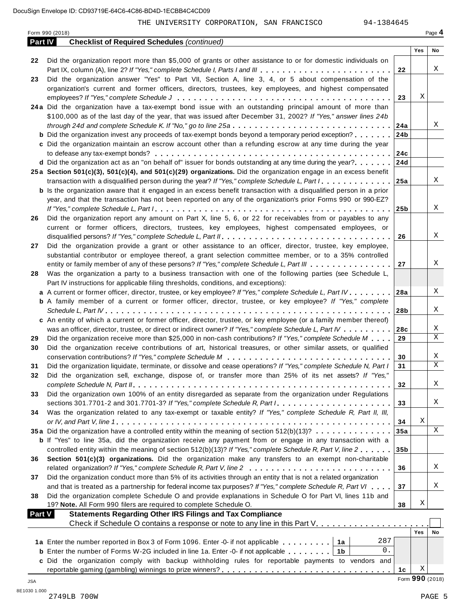| Part IV |                                                                                                                                                                                                                            |                 |     |                 |
|---------|----------------------------------------------------------------------------------------------------------------------------------------------------------------------------------------------------------------------------|-----------------|-----|-----------------|
|         | <b>Checklist of Required Schedules (continued)</b>                                                                                                                                                                         |                 |     |                 |
|         |                                                                                                                                                                                                                            |                 | Yes | No              |
| 22      | Did the organization report more than \$5,000 of grants or other assistance to or for domestic individuals on                                                                                                              |                 |     |                 |
|         |                                                                                                                                                                                                                            | 22              |     | Χ               |
| 23      | Did the organization answer "Yes" to Part VII, Section A, line 3, 4, or 5 about compensation of the                                                                                                                        |                 |     |                 |
|         | organization's current and former officers, directors, trustees, key employees, and highest compensated                                                                                                                    |                 |     |                 |
|         |                                                                                                                                                                                                                            | 23              | Χ   |                 |
|         | 24a Did the organization have a tax-exempt bond issue with an outstanding principal amount of more than                                                                                                                    |                 |     |                 |
|         | \$100,000 as of the last day of the year, that was issued after December 31, 2002? If "Yes," answer lines 24b                                                                                                              |                 |     | Χ               |
|         | through 24d and complete Schedule K. If "No," go to line 25a<br><b>b</b> Did the organization invest any proceeds of tax-exempt bonds beyond a temporary period exception?                                                 | 24a<br>24b      |     |                 |
|         |                                                                                                                                                                                                                            |                 |     |                 |
|         | c Did the organization maintain an escrow account other than a refunding escrow at any time during the year                                                                                                                | 24c             |     |                 |
|         | <b>d</b> Did the organization act as an "on behalf of" issuer for bonds outstanding at any time during the year? $\ldots$                                                                                                  | 24d             |     |                 |
|         | 25a Section 501(c)(3), 501(c)(4), and 501(c)(29) organizations. Did the organization engage in an excess benefit                                                                                                           |                 |     |                 |
|         | transaction with a disqualified person during the year? If "Yes," complete Schedule L, Part I.                                                                                                                             | 25a             |     | Χ               |
|         | <b>b</b> Is the organization aware that it engaged in an excess benefit transaction with a disqualified person in a prior                                                                                                  |                 |     |                 |
|         | year, and that the transaction has not been reported on any of the organization's prior Forms 990 or 990-EZ?                                                                                                               |                 |     |                 |
|         |                                                                                                                                                                                                                            | 25 <sub>b</sub> |     | Χ               |
| 26      | Did the organization report any amount on Part X, line 5, 6, or 22 for receivables from or payables to any                                                                                                                 |                 |     |                 |
|         | current or former officers, directors, trustees, key employees, highest compensated employees, or                                                                                                                          |                 |     |                 |
|         |                                                                                                                                                                                                                            | 26              |     | Χ               |
| 27      | Did the organization provide a grant or other assistance to an officer, director, trustee, key employee,                                                                                                                   |                 |     |                 |
|         | substantial contributor or employee thereof, a grant selection committee member, or to a 35% controlled                                                                                                                    |                 |     |                 |
|         | entity or family member of any of these persons? If "Yes," complete Schedule L, Part III                                                                                                                                   | 27              |     | Χ               |
| 28      | Was the organization a party to a business transaction with one of the following parties (see Schedule L,                                                                                                                  |                 |     |                 |
|         | Part IV instructions for applicable filing thresholds, conditions, and exceptions):                                                                                                                                        |                 |     |                 |
|         | a A current or former officer, director, trustee, or key employee? If "Yes," complete Schedule L, Part IV 28a                                                                                                              |                 |     | Χ               |
|         | <b>b</b> A family member of a current or former officer, director, trustee, or key employee? If "Yes," complete                                                                                                            |                 |     |                 |
|         |                                                                                                                                                                                                                            | ∣28b            |     | Χ               |
|         | c An entity of which a current or former officer, director, trustee, or key employee (or a family member thereof)                                                                                                          |                 |     |                 |
|         | was an officer, director, trustee, or direct or indirect owner? If "Yes," complete Schedule L, Part IV                                                                                                                     | 28c             |     | X               |
| 29      | Did the organization receive more than \$25,000 in non-cash contributions? If "Yes," complete Schedule M                                                                                                                   | 29              |     | X               |
| 30      | Did the organization receive contributions of art, historical treasures, or other similar assets, or qualified                                                                                                             |                 |     |                 |
|         |                                                                                                                                                                                                                            | 30              |     | Χ               |
| 31      | Did the organization liquidate, terminate, or dissolve and cease operations? If "Yes," complete Schedule N, Part I                                                                                                         | 31              |     | X               |
| 32      | Did the organization sell, exchange, dispose of, or transfer more than 25% of its net assets? If "Yes,"                                                                                                                    |                 |     |                 |
|         |                                                                                                                                                                                                                            | 32              |     | Χ               |
| 33      | Did the organization own 100% of an entity disregarded as separate from the organization under Regulations                                                                                                                 |                 |     |                 |
|         | sections 301.7701-2 and 301.7701-3? If "Yes," complete Schedule R, Part $l_1, \ldots, l_l, l_l, \ldots, l_l, l_l, l_l$                                                                                                     | 33              |     | Χ               |
| 34      | Was the organization related to any tax-exempt or taxable entity? If "Yes," complete Schedule R, Part II, III,                                                                                                             |                 |     |                 |
|         |                                                                                                                                                                                                                            | 34              | X   |                 |
|         | 35a Did the organization have a controlled entity within the meaning of section 512(b)(13)?                                                                                                                                | 35a             |     | X               |
|         | <b>b</b> If "Yes" to line 35a, did the organization receive any payment from or engage in any transaction with a                                                                                                           |                 |     |                 |
|         | controlled entity within the meaning of section 512(b)(13)? If "Yes," complete Schedule R, Part V, line 2                                                                                                                  | 35 <sub>b</sub> |     |                 |
| 36      | Section 501(c)(3) organizations. Did the organization make any transfers to an exempt non-charitable                                                                                                                       |                 |     | Χ               |
|         | related organization? If "Yes," complete Schedule R, Part V, line 2                                                                                                                                                        | 36              |     |                 |
| 37      | Did the organization conduct more than 5% of its activities through an entity that is not a related organization                                                                                                           | 37              |     | Χ               |
|         | and that is treated as a partnership for federal income tax purposes? If "Yes," complete Schedule R, Part VI<br>Did the organization complete Schedule O and provide explanations in Schedule O for Part VI, lines 11b and |                 |     |                 |
| 38      | 19? Note. All Form 990 filers are required to complete Schedule O.                                                                                                                                                         | 38              | Χ   |                 |
| Part V  | <b>Statements Regarding Other IRS Filings and Tax Compliance</b>                                                                                                                                                           |                 |     |                 |
|         | Check if Schedule O contains a response or note to any line in this Part V.                                                                                                                                                |                 |     |                 |
|         |                                                                                                                                                                                                                            |                 | Yes | No              |
|         | 287<br>1a Enter the number reported in Box 3 of Form 1096. Enter -0- if not applicable   1a                                                                                                                                |                 |     |                 |
|         | 0.<br><b>b</b> Enter the number of Forms W-2G included in line 1a. Enter -0- if not applicable $\ldots$ ,,,,,<br>1b                                                                                                        |                 |     |                 |
|         | c Did the organization comply with backup withholding rules for reportable payments to vendors and                                                                                                                         |                 |     |                 |
|         |                                                                                                                                                                                                                            | 1c              | Χ   |                 |
|         |                                                                                                                                                                                                                            |                 |     | Form 990 (2018) |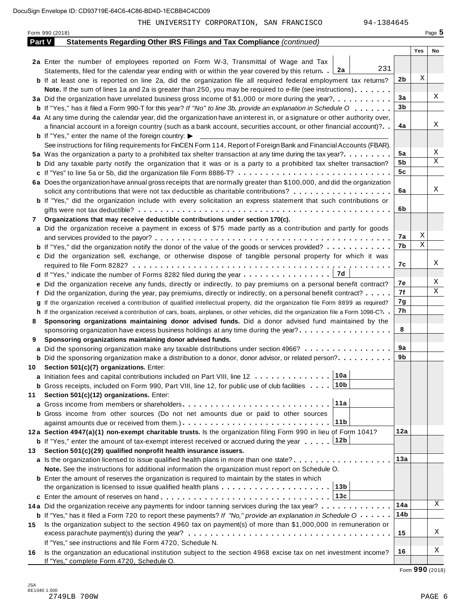|        | Form 990 (2018)                                                                                                                              |     |     | Page 5 |
|--------|----------------------------------------------------------------------------------------------------------------------------------------------|-----|-----|--------|
| Part V | Statements Regarding Other IRS Filings and Tax Compliance (continued)                                                                        |     |     |        |
|        |                                                                                                                                              |     | Yes | No     |
|        | 2a Enter the number of employees reported on Form W-3, Transmittal of Wage and Tax                                                           |     |     |        |
|        | 231<br>Statements, filed for the calendar year ending with or within the year covered by this return. 2a                                     |     |     |        |
|        | <b>b</b> If at least one is reported on line 2a, did the organization file all required federal employment tax returns?                      | 2b  | Χ   |        |
|        | <b>Note.</b> If the sum of lines 1a and 2a is greater than 250, you may be required to e-file (see instructions).                            |     |     |        |
|        | 3a Did the organization have unrelated business gross income of \$1,000 or more during the year?                                             | 3a  |     | Χ      |
|        | <b>b</b> If "Yes," has it filed a Form 990-T for this year? If "No" to line 3b, provide an explanation in Schedule O                         | 3b  |     |        |
|        | 4a At any time during the calendar year, did the organization have an interest in, or a signature or other authority over,                   |     |     |        |
|        | a financial account in a foreign country (such as a bank account, securities account, or other financial account)?                           | 4a  |     | Χ      |
|        | <b>b</b> If "Yes," enter the name of the foreign country: $\blacktriangleright$                                                              |     |     |        |
|        | See instructions for filing requirements for FinCEN Form 114, Report of Foreign Bank and Financial Accounts (FBAR).                          |     |     |        |
|        | 5a Was the organization a party to a prohibited tax shelter transaction at any time during the tax year?                                     | 5a  |     | Χ      |
|        | <b>b</b> Did any taxable party notify the organization that it was or is a party to a prohibited tax shelter transaction?                    | 5b  |     | Χ      |
|        | c If "Yes" to line 5a or 5b, did the organization file Form 8886-T?                                                                          | 5c  |     |        |
|        | 6a Does the organization have annual gross receipts that are normally greater than \$100,000, and did the organization                       |     |     |        |
|        |                                                                                                                                              | 6a  |     | Χ      |
|        | solicit any contributions that were not tax deductible as charitable contributions?                                                          |     |     |        |
|        | <b>b</b> If "Yes," did the organization include with every solicitation an express statement that such contributions or                      |     |     |        |
|        |                                                                                                                                              | 6b  |     |        |
| 7      | Organizations that may receive deductible contributions under section 170(c).                                                                |     |     |        |
|        | a Did the organization receive a payment in excess of \$75 made partly as a contribution and partly for goods                                |     | Χ   |        |
|        |                                                                                                                                              | 7а  | Χ   |        |
|        | <b>b</b> If "Yes," did the organization notify the donor of the value of the goods or services provided?                                     | 7b  |     |        |
|        | c Did the organization sell, exchange, or otherwise dispose of tangible personal property for which it was                                   |     |     |        |
|        |                                                                                                                                              | 7с  |     | Χ      |
|        | 17d<br><b>d</b> If "Yes," indicate the number of Forms 8282 filed during the year $\dots \dots \dots \dots \dots$                            |     |     |        |
|        | e Did the organization receive any funds, directly or indirectly, to pay premiums on a personal benefit contract?                            | 7е  |     | Χ      |
|        | f Did the organization, during the year, pay premiums, directly or indirectly, on a personal benefit contract?                               | 7f  |     | Χ      |
|        | If the organization received a contribution of qualified intellectual property, did the organization file Form 8899 as required?             | 7g  |     |        |
|        | h If the organization received a contribution of cars, boats, airplanes, or other vehicles, did the organization file a Form 1098-C?         | 7h  |     |        |
| 8      | Sponsoring organizations maintaining donor advised funds. Did a donor advised fund maintained by the                                         |     |     |        |
|        | sponsoring organization have excess business holdings at any time during the year?                                                           | 8   |     |        |
| 9      | Sponsoring organizations maintaining donor advised funds.                                                                                    |     |     |        |
|        | a Did the sponsoring organization make any taxable distributions under section 4966?                                                         | 9а  |     |        |
|        | <b>b</b> Did the sponsoring organization make a distribution to a donor, donor advisor, or related person?                                   | 9b  |     |        |
|        | 10 Section 501(c)(7) organizations. Enter:                                                                                                   |     |     |        |
|        | 10a <br>a Initiation fees and capital contributions included on Part VIII, line 12                                                           |     |     |        |
|        | ∣10b<br><b>b</b> Gross receipts, included on Form 990, Part VIII, line 12, for public use of club facilities $\ldots$ .                      |     |     |        |
| 11     | Section 501(c)(12) organizations. Enter:                                                                                                     |     |     |        |
|        | 11a                                                                                                                                          |     |     |        |
|        | b Gross income from other sources (Do not net amounts due or paid to other sources                                                           |     |     |        |
|        | 11b                                                                                                                                          |     |     |        |
|        |                                                                                                                                              | 12a |     |        |
|        | 12a Section 4947(a)(1) non-exempt charitable trusts. Is the organization filing Form 990 in lieu of Form 1041?<br>12b                        |     |     |        |
|        | <b>b</b> If "Yes," enter the amount of tax-exempt interest received or accrued during the year                                               |     |     |        |
| 13     | Section 501(c)(29) qualified nonprofit health insurance issuers.                                                                             |     |     |        |
|        | a Is the organization licensed to issue qualified health plans in more than one state?                                                       | 13а |     |        |
|        | Note. See the instructions for additional information the organization must report on Schedule O.                                            |     |     |        |
|        | <b>b</b> Enter the amount of reserves the organization is required to maintain by the states in which                                        |     |     |        |
|        | 13b<br>the organization is licensed to issue qualified health plans $\ldots \ldots \ldots \ldots \ldots \ldots \ldots$                       |     |     |        |
|        | 13c                                                                                                                                          |     |     |        |
|        | 14a Did the organization receive any payments for indoor tanning services during the tax year?                                               | 14a |     | Χ      |
|        | <b>b</b> If "Yes," has it filed a Form 720 to report these payments? If "No," provide an explanation in Schedule $0 \cdot \cdot \cdot \cdot$ | 14b |     |        |
| 15     | Is the organization subject to the section 4960 tax on payment(s) of more than \$1,000,000 in remuneration or                                |     |     |        |
|        |                                                                                                                                              | 15  |     | Χ      |
|        | If "Yes," see instructions and file Form 4720, Schedule N.                                                                                   |     |     |        |
| 16     | Is the organization an educational institution subject to the section 4968 excise tax on net investment income?                              | 16  |     | Χ      |
|        | If "Yes," complete Form 4720, Schedule O.                                                                                                    |     |     |        |

Form **990** (2018)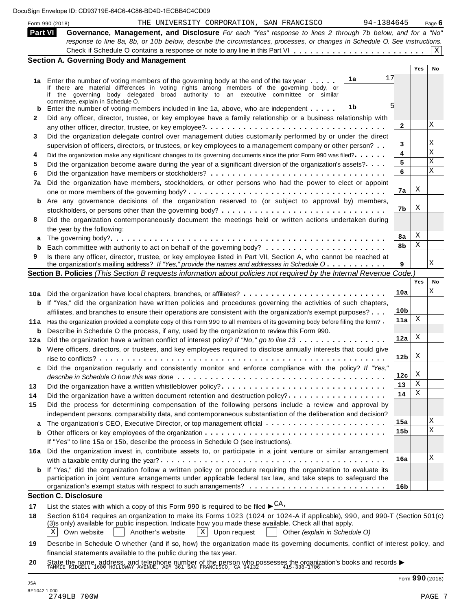|  |  | DocuSign Envelope ID: CD93719E-64C6-4C86-BD4D-1ECBB4C4CD09 |  |
|--|--|------------------------------------------------------------|--|
|--|--|------------------------------------------------------------|--|

| Form 990 (2018) | THE UNIVERSITY CORPORATION, SAN FRANCISCO<br>94-1384645                                                                         |                 |     | Page $6$ |
|-----------------|---------------------------------------------------------------------------------------------------------------------------------|-----------------|-----|----------|
| <b>Part VI</b>  | Governance, Management, and Disclosure For each "Yes" response to lines 2 through 7b below, and for a "No"                      |                 |     |          |
|                 | response to line 8a, 8b, or 10b below, describe the circumstances, processes, or changes in Schedule O. See instructions.       |                 |     |          |
|                 |                                                                                                                                 |                 |     | X        |
|                 | <b>Section A. Governing Body and Management</b>                                                                                 |                 |     |          |
|                 |                                                                                                                                 |                 | Yes | No       |
|                 | 17<br>1a<br>1a Enter the number of voting members of the governing body at the end of the tax year                              |                 |     |          |
|                 | If there are material differences in voting rights among members of the governing body, or                                      |                 |     |          |
|                 | if the governing body delegated broad authority to an executive committee or similar                                            |                 |     |          |
|                 | committee, explain in Schedule O.<br>1b                                                                                         |                 |     |          |
| b               | Enter the number of voting members included in line 1a, above, who are independent                                              |                 |     |          |
| 2               | Did any officer, director, trustee, or key employee have a family relationship or a business relationship with                  | 2               |     | Χ        |
|                 |                                                                                                                                 |                 |     |          |
| 3               | Did the organization delegate control over management duties customarily performed by or under the direct                       |                 |     | Χ        |
|                 | supervision of officers, directors, or trustees, or key employees to a management company or other person?                      | 3               |     |          |
| 4               | Did the organization make any significant changes to its governing documents since the prior Form 990 was filed?                | 4               |     | X        |
| 5               | Did the organization become aware during the year of a significant diversion of the organization's assets?                      | 5               |     | X        |
| 6               |                                                                                                                                 | 6               |     | X        |
| 7a              | Did the organization have members, stockholders, or other persons who had the power to elect or appoint                         |                 |     |          |
|                 |                                                                                                                                 | 7а              | X   |          |
|                 | <b>b</b> Are any governance decisions of the organization reserved to (or subject to approval by) members,                      |                 |     |          |
|                 |                                                                                                                                 | 7b              | Χ   |          |
| 8               | Did the organization contemporaneously document the meetings held or written actions undertaken during                          |                 |     |          |
|                 | the year by the following:                                                                                                      |                 |     |          |
| a               |                                                                                                                                 | 8а              | Χ   |          |
| b               |                                                                                                                                 | 8b              | Χ   |          |
| 9               | Is there any officer, director, trustee, or key employee listed in Part VII, Section A, who cannot be reached at                |                 |     |          |
|                 | the organization's mailing address? If "Yes," provide the names and addresses in Schedule O                                     | 9               |     | Χ        |
|                 | Section B. Policies (This Section B requests information about policies not required by the Internal Revenue Code.)             |                 |     |          |
|                 |                                                                                                                                 |                 | Yes | No       |
|                 |                                                                                                                                 | 10a             |     | Χ        |
|                 | 10a Did the organization have local chapters, branches, or affiliates?                                                          |                 |     |          |
|                 | <b>b</b> If "Yes," did the organization have written policies and procedures governing the activities of such chapters,         | 10 <sub>b</sub> |     |          |
|                 | affiliates, and branches to ensure their operations are consistent with the organization's exempt purposes?                     |                 | X   |          |
|                 | 11a Has the organization provided a complete copy of this Form 990 to all members of its governing body before filing the form? | 11a             |     |          |
| b               | Describe in Schedule O the process, if any, used by the organization to review this Form 990.                                   |                 |     |          |
| 12a             | Did the organization have a written conflict of interest policy? If "No," go to line 13                                         | 12a             | Χ   |          |
|                 | <b>b</b> Were officers, directors, or trustees, and key employees required to disclose annually interests that could give       |                 |     |          |
|                 |                                                                                                                                 | 12 <sub>b</sub> | X   |          |
| c               | Did the organization regularly and consistently monitor and enforce compliance with the policy? If "Yes,"                       |                 |     |          |
|                 |                                                                                                                                 | 12c             | Χ   |          |
| 13              | Did the organization have a written whistleblower policy?                                                                       | 13              | Χ   |          |
| 14              | Did the organization have a written document retention and destruction policy?                                                  | 14              | Χ   |          |
| 15              | Did the process for determining compensation of the following persons include a review and approval by                          |                 |     |          |
|                 | independent persons, comparability data, and contemporaneous substantiation of the deliberation and decision?                   |                 |     |          |
| a               |                                                                                                                                 | 15a             |     | Χ        |
| b               |                                                                                                                                 | 15 <sub>b</sub> |     | X        |
|                 | If "Yes" to line 15a or 15b, describe the process in Schedule O (see instructions).                                             |                 |     |          |
|                 | 16a Did the organization invest in, contribute assets to, or participate in a joint venture or similar arrangement              |                 |     |          |
|                 |                                                                                                                                 | 16a             |     | Χ        |
|                 | If "Yes," did the organization follow a written policy or procedure requiring the organization to evaluate its                  |                 |     |          |
| b               | participation in joint venture arrangements under applicable federal tax law, and take steps to safeguard the                   |                 |     |          |
|                 |                                                                                                                                 | 16 <sub>b</sub> |     |          |
|                 | <b>Section C. Disclosure</b>                                                                                                    |                 |     |          |
|                 |                                                                                                                                 |                 |     |          |
| 17              | List the states with which a copy of this Form 990 is required to be filed $\blacktriangleright \frac{\text{CA}}{\text{A}}$ ,   |                 |     |          |
| 18              |                                                                                                                                 |                 |     |          |
|                 | Section 6104 requires an organization to make its Forms 1023 (1024 or 1024-A if applicable), 990, and 990-T (Section 501(c)     |                 |     |          |
|                 | (3)s only) available for public inspection. Indicate how you made these available. Check all that apply.                        |                 |     |          |
|                 | Own website<br>$\mathbf{X}$<br>Another's website<br>$X$ Upon request<br>Other (explain in Schedule O)                           |                 |     |          |

**20** financial statements available to the public during the tax year. nnancial statements available to the public during the tax year.<br>State the name, address, and telephone number of the person who possesses the organization's books and records <br>TAMMIE RIDGELL 1600 HOLLOWAY AVENUE, ADM 361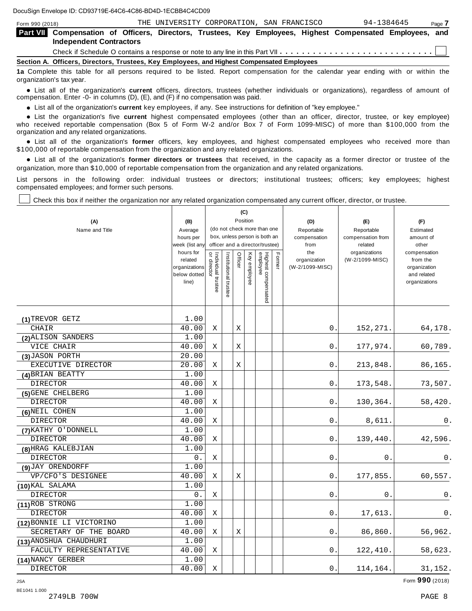| Form 990 (2018) |                                                                                                                                             | THE UNIVERSITY CORPORATION, SAN FRANCISCO |  |  | 94-1384645 | Page 7 |
|-----------------|---------------------------------------------------------------------------------------------------------------------------------------------|-------------------------------------------|--|--|------------|--------|
|                 | Part VII Compensation of Officers, Directors, Trustees, Key Employees, Highest Compensated Employees, and<br><b>Independent Contractors</b> |                                           |  |  |            |        |
|                 |                                                                                                                                             |                                           |  |  |            |        |
|                 | Section A. Officers, Directors, Trustees, Key Employees, and Highest Compensated Employees                                                  |                                           |  |  |            |        |
|                 | 1a Complete this table for all persons required to be listed. Report compensation for the calendar year ending with or within the           |                                           |  |  |            |        |

organization's tax year. anization's lax year.<br>● List all of the organization's **current** officers, directors, trustees (whether individuals or organizations), regardless of amount of<br>nnensation Enter -0- in columns (D) (E) and (E) if no compensa compensation. Enter -0- in columns (D), (E), and (F) if no compensation was paid.

**■** List all of the organization's **current** key employees, if any. See instructions for definition of "key employee."<br>■ List the experientials five event highert expressed employees (other than an efficer director of

**Example in the organization's current** key employees, if any. See instructions for definition of key employee.<br>• List the organization's five **current** highest compensated employees (other than an officer, director, trust who received reportable compensation (Box 5 of Form W-2 and/or Box 7 of Form 1099-MISC) of more than \$100,000 from the

organization and any related organizations.<br>• List all of the organization's **former** officers, key employees, and highest compensated employees who received more than<br>\$1.00.000 of reportable componention from the erganiza \$100,000 of reportable compensation from the organization and any related organizations.

% List all of the organization's **former directors or trustees** that received, in the capacity as a former director or trustee of the organization, more than \$10,000 of reportable compensation from the organization and any related organizations.

List persons in the following order: individual trustees or directors; institutional trustees; officers; key employees; highest compensated employees; and former such persons.

Check this box if neither the organization nor any related organization compensated any current officer, director, or trustee.

| (A)<br>Name and Title    | (B)<br>Average<br>hours per<br>week (list any<br>hours for<br>related<br>organizations<br>below dotted<br>line) | Individual trustee<br>or director | Institutional trustee | Officer     | (C)<br>Position<br>Key employee | (do not check more than one<br>box, unless person is both an<br>officer and a director/trustee)<br>Highest compensated<br>employee | Former | (D)<br>Reportable<br>compensation<br>from<br>the<br>organization<br>(W-2/1099-MISC) | (E)<br>Reportable<br>compensation from<br>related<br>organizations<br>(W-2/1099-MISC) | (F)<br>Estimated<br>amount of<br>other<br>compensation<br>from the<br>organization<br>and related<br>organizations |
|--------------------------|-----------------------------------------------------------------------------------------------------------------|-----------------------------------|-----------------------|-------------|---------------------------------|------------------------------------------------------------------------------------------------------------------------------------|--------|-------------------------------------------------------------------------------------|---------------------------------------------------------------------------------------|--------------------------------------------------------------------------------------------------------------------|
| (1) TREVOR GETZ          | 1.00                                                                                                            |                                   |                       |             |                                 |                                                                                                                                    |        |                                                                                     |                                                                                       |                                                                                                                    |
| <b>CHAIR</b>             | 40.00                                                                                                           | X                                 |                       | $\mathbf X$ |                                 |                                                                                                                                    |        | 0.                                                                                  | 152, 271.                                                                             | 64,178.                                                                                                            |
| (2) ALISON SANDERS       | 1.00                                                                                                            |                                   |                       |             |                                 |                                                                                                                                    |        |                                                                                     |                                                                                       |                                                                                                                    |
| VICE CHAIR               | 40.00                                                                                                           | Χ                                 |                       | Χ           |                                 |                                                                                                                                    |        | 0.                                                                                  | 177,974.                                                                              | 60,789.                                                                                                            |
| (3) JASON PORTH          | 20.00                                                                                                           |                                   |                       |             |                                 |                                                                                                                                    |        |                                                                                     |                                                                                       |                                                                                                                    |
| EXECUTIVE DIRECTOR       | 20.00                                                                                                           | X                                 |                       | Χ           |                                 |                                                                                                                                    |        | 0.                                                                                  | 213,848.                                                                              | 86,165.                                                                                                            |
| (4) BRIAN BEATTY         | 1.00                                                                                                            |                                   |                       |             |                                 |                                                                                                                                    |        |                                                                                     |                                                                                       |                                                                                                                    |
| <b>DIRECTOR</b>          | 40.00                                                                                                           | Χ                                 |                       |             |                                 |                                                                                                                                    |        | 0.                                                                                  | 173,548.                                                                              | 73,507.                                                                                                            |
| (5) GENE CHELBERG        | 1.00                                                                                                            |                                   |                       |             |                                 |                                                                                                                                    |        |                                                                                     |                                                                                       |                                                                                                                    |
| <b>DIRECTOR</b>          | 40.00                                                                                                           | Χ                                 |                       |             |                                 |                                                                                                                                    |        | 0.                                                                                  | 130,364.                                                                              | 58,420.                                                                                                            |
| (6) NEIL COHEN           | 1.00                                                                                                            |                                   |                       |             |                                 |                                                                                                                                    |        |                                                                                     |                                                                                       |                                                                                                                    |
| <b>DIRECTOR</b>          | 40.00                                                                                                           | Χ                                 |                       |             |                                 |                                                                                                                                    |        | 0.                                                                                  | 8,611.                                                                                | 0.                                                                                                                 |
| (7) KATHY O'DONNELL      | 1.00                                                                                                            |                                   |                       |             |                                 |                                                                                                                                    |        |                                                                                     |                                                                                       |                                                                                                                    |
| <b>DIRECTOR</b>          | 40.00                                                                                                           | Χ                                 |                       |             |                                 |                                                                                                                                    |        | 0.                                                                                  | 139,440.                                                                              | 42,596.                                                                                                            |
| (8) HRAG KALEBJIAN       | 1.00                                                                                                            |                                   |                       |             |                                 |                                                                                                                                    |        |                                                                                     |                                                                                       |                                                                                                                    |
| <b>DIRECTOR</b>          | 0.                                                                                                              | Χ                                 |                       |             |                                 |                                                                                                                                    |        | $0$ .                                                                               | 0.                                                                                    | 0.                                                                                                                 |
| (9) JAY ORENDORFF        | 1.00                                                                                                            |                                   |                       |             |                                 |                                                                                                                                    |        |                                                                                     |                                                                                       |                                                                                                                    |
| VP/CFO'S DESIGNEE        | 40.00                                                                                                           | X                                 |                       | Χ           |                                 |                                                                                                                                    |        | 0.                                                                                  | 177,855.                                                                              | 60,557.                                                                                                            |
| (10) KAL SALAMA          | 1.00                                                                                                            |                                   |                       |             |                                 |                                                                                                                                    |        |                                                                                     |                                                                                       |                                                                                                                    |
| <b>DIRECTOR</b>          | 0.                                                                                                              | Χ                                 |                       |             |                                 |                                                                                                                                    |        | 0.                                                                                  | 0.                                                                                    | 0.                                                                                                                 |
| (11) ROB STRONG          | 1.00                                                                                                            |                                   |                       |             |                                 |                                                                                                                                    |        |                                                                                     |                                                                                       |                                                                                                                    |
| DIRECTOR                 | 40.00                                                                                                           | Χ                                 |                       |             |                                 |                                                                                                                                    |        | 0.                                                                                  | 17,613.                                                                               | 0.                                                                                                                 |
| (12) BONNIE LI VICTORINO | 1.00                                                                                                            |                                   |                       |             |                                 |                                                                                                                                    |        |                                                                                     |                                                                                       |                                                                                                                    |
| SECRETARY OF THE BOARD   | 40.00                                                                                                           | Χ                                 |                       | Χ           |                                 |                                                                                                                                    |        | 0.                                                                                  | 86,860.                                                                               | 56,962.                                                                                                            |
| (13) ANOSHUA CHAUDHURI   | 1.00                                                                                                            |                                   |                       |             |                                 |                                                                                                                                    |        |                                                                                     |                                                                                       |                                                                                                                    |
| FACULTY REPRESENTATIVE   | 40.00                                                                                                           | Χ                                 |                       |             |                                 |                                                                                                                                    |        | $0$ .                                                                               | 122,410.                                                                              | 58,623.                                                                                                            |
| (14) NANCY GERBER        | 1.00                                                                                                            |                                   |                       |             |                                 |                                                                                                                                    |        |                                                                                     |                                                                                       |                                                                                                                    |
| <b>DIRECTOR</b>          | 40.00                                                                                                           | Χ                                 |                       |             |                                 |                                                                                                                                    |        | 0.                                                                                  | 114,164.                                                                              | 31, 152.                                                                                                           |

JSA Form **990** (2018)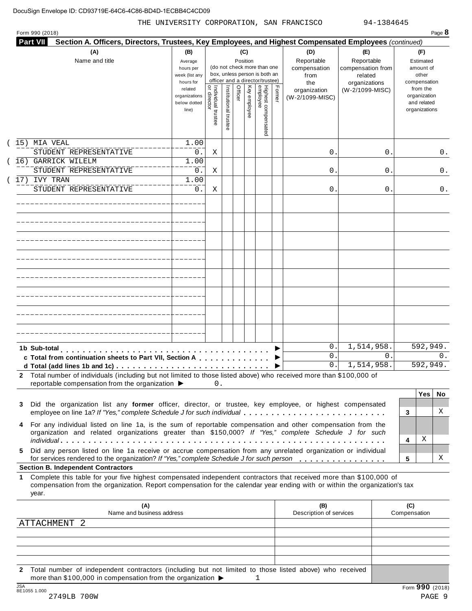|                                                                                                                                                                                                                                                           |                                                   |                                        |                       |         |              | (do not check more than one<br>box, unless person is both an<br>officer and a director/trustee) |        | Reportable<br>compensation<br>from<br>the | Reportable<br>compensation from<br>related<br>organizations |                     | Estimated<br>amount of<br>other<br>compensation          |
|-----------------------------------------------------------------------------------------------------------------------------------------------------------------------------------------------------------------------------------------------------------|---------------------------------------------------|----------------------------------------|-----------------------|---------|--------------|-------------------------------------------------------------------------------------------------|--------|-------------------------------------------|-------------------------------------------------------------|---------------------|----------------------------------------------------------|
|                                                                                                                                                                                                                                                           | related<br>organizations<br>below dotted<br>line) | Ğ<br>Individual trustee<br>or director | Institutional trustee | Officer | Key employee | Highest compensated<br>employee                                                                 | Former | organization<br>(W-2/1099-MISC)           | (W-2/1099-MISC)                                             |                     | from the<br>organization<br>and related<br>organizations |
| 15) MIA VEAL<br>STUDENT REPRESENTATIVE                                                                                                                                                                                                                    | 1.00<br>0.                                        | Χ                                      |                       |         |              |                                                                                                 |        | 0.                                        | 0                                                           |                     | 0.                                                       |
| 16) GARRICK WILELM<br>STUDENT REPRESENTATIVE                                                                                                                                                                                                              | 1.00                                              |                                        |                       |         |              |                                                                                                 |        |                                           |                                                             |                     |                                                          |
| 17) IVY TRAN                                                                                                                                                                                                                                              | 0.<br>1.00                                        | Χ                                      |                       |         |              |                                                                                                 |        | 0.                                        | 0                                                           |                     | 0.                                                       |
| STUDENT REPRESENTATIVE                                                                                                                                                                                                                                    | 0.                                                | Χ                                      |                       |         |              |                                                                                                 |        | 0.                                        | 0                                                           |                     | 0.                                                       |
|                                                                                                                                                                                                                                                           |                                                   |                                        |                       |         |              |                                                                                                 |        |                                           |                                                             |                     |                                                          |
|                                                                                                                                                                                                                                                           |                                                   |                                        |                       |         |              |                                                                                                 |        |                                           |                                                             |                     |                                                          |
|                                                                                                                                                                                                                                                           |                                                   |                                        |                       |         |              |                                                                                                 |        |                                           |                                                             |                     |                                                          |
|                                                                                                                                                                                                                                                           |                                                   |                                        |                       |         |              |                                                                                                 |        |                                           |                                                             |                     |                                                          |
|                                                                                                                                                                                                                                                           |                                                   |                                        |                       |         |              |                                                                                                 |        |                                           |                                                             |                     |                                                          |
|                                                                                                                                                                                                                                                           |                                                   |                                        |                       |         |              |                                                                                                 |        |                                           |                                                             |                     |                                                          |
|                                                                                                                                                                                                                                                           |                                                   |                                        |                       |         |              |                                                                                                 |        |                                           |                                                             |                     |                                                          |
|                                                                                                                                                                                                                                                           |                                                   |                                        |                       |         |              |                                                                                                 |        |                                           |                                                             |                     |                                                          |
| 1b Sub-total                                                                                                                                                                                                                                              |                                                   |                                        |                       |         |              |                                                                                                 |        | 0.<br>0.                                  | 1,514,958.<br>$\mathbf{0}$                                  |                     | 592,949.<br>0.                                           |
| c Total from continuation sheets to Part VII, Section A                                                                                                                                                                                                   |                                                   |                                        |                       |         |              |                                                                                                 |        | 0.                                        | 1,514,958.                                                  |                     | 592,949.                                                 |
| Total number of individuals (including but not limited to those listed above) who received more than \$100,000 of<br>reportable compensation from the organization ▶                                                                                      |                                                   | $0$ .                                  |                       |         |              |                                                                                                 |        |                                           |                                                             |                     |                                                          |
|                                                                                                                                                                                                                                                           |                                                   |                                        |                       |         |              |                                                                                                 |        |                                           |                                                             |                     | Yes<br>No.                                               |
| Did the organization list any former officer, director, or trustee, key employee, or highest compensated<br>employee on line 1a? If "Yes," complete Schedule J for such individual                                                                        |                                                   |                                        |                       |         |              |                                                                                                 |        |                                           |                                                             | 3                   | Χ                                                        |
| For any individual listed on line 1a, is the sum of reportable compensation and other compensation from the<br>organization and related organizations greater than \$150,000? If "Yes," complete Schedule J for such                                      |                                                   |                                        |                       |         |              |                                                                                                 |        |                                           |                                                             |                     |                                                          |
| Did any person listed on line 1a receive or accrue compensation from any unrelated organization or individual                                                                                                                                             |                                                   |                                        |                       |         |              |                                                                                                 |        |                                           |                                                             | 4                   | Χ                                                        |
| for services rendered to the organization? If "Yes," complete Schedule J for such person<br><b>Section B. Independent Contractors</b>                                                                                                                     |                                                   |                                        |                       |         |              |                                                                                                 |        |                                           |                                                             | 5                   | Χ                                                        |
| Complete this table for your five highest compensated independent contractors that received more than \$100,000 of<br>compensation from the organization. Report compensation for the calendar year ending with or within the organization's tax<br>year. |                                                   |                                        |                       |         |              |                                                                                                 |        |                                           |                                                             |                     |                                                          |
| (A)<br>Name and business address                                                                                                                                                                                                                          |                                                   |                                        |                       |         |              |                                                                                                 |        | (B)<br>Description of services            |                                                             | (C)<br>Compensation |                                                          |
| ATTACHMENT 2                                                                                                                                                                                                                                              |                                                   |                                        |                       |         |              |                                                                                                 |        |                                           |                                                             |                     |                                                          |

**2** Total number of independent contractors (including but not limited to those listed above) who received more than \$100,000 in compensation from the organization  $\triangleright$ <br>  $\frac{\text{JSA}}{8E1055 1.000}$ 1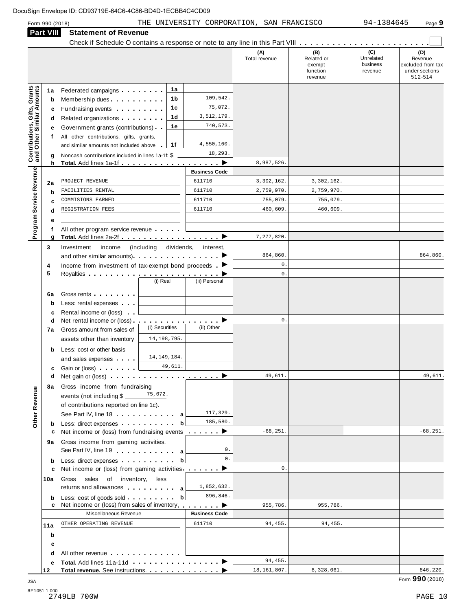# Form <sup>990</sup> (2018) Page **9** THE UNIVERSITY CORPORATION, SAN FRANCISCO 94-1384645

| <b>Part VIII</b>                                               | <b>Statement of Revenue</b>                                                                                                                                                                                                          |                       |                      |                      |                                                    |                                         |                                                                  |
|----------------------------------------------------------------|--------------------------------------------------------------------------------------------------------------------------------------------------------------------------------------------------------------------------------------|-----------------------|----------------------|----------------------|----------------------------------------------------|-----------------------------------------|------------------------------------------------------------------|
|                                                                |                                                                                                                                                                                                                                      |                       |                      | (A)<br>Total revenue | (B)<br>Related or<br>exempt<br>function<br>revenue | (C)<br>Unrelated<br>business<br>revenue | (D)<br>Revenue<br>excluded from tax<br>under sections<br>512-514 |
| 1a                                                             | Federated campaigns                                                                                                                                                                                                                  | 1a                    |                      |                      |                                                    |                                         |                                                                  |
| Contributions, Gifts, Grants<br>and Other Similar Amounts<br>b | Membership dues                                                                                                                                                                                                                      | 1 <sub>b</sub>        | 109,542.             |                      |                                                    |                                         |                                                                  |
| c                                                              | Fundraising events <b>Fundraising</b>                                                                                                                                                                                                | 1c                    | 75,072.              |                      |                                                    |                                         |                                                                  |
| d                                                              | Related organizations <b>and the set of the set of the set of the set of the set of the set of the set of the set of the set of the set of the set of the set of the set of the set of the set of the set of the set of the set </b> | 1 <sub>d</sub>        | 3,512,179.           |                      |                                                    |                                         |                                                                  |
| е                                                              | Government grants (contributions)                                                                                                                                                                                                    | 1e                    | 740,573.             |                      |                                                    |                                         |                                                                  |
| f                                                              | All other contributions, gifts, grants,                                                                                                                                                                                              |                       |                      |                      |                                                    |                                         |                                                                  |
|                                                                | and similar amounts not included above                                                                                                                                                                                               | 1f                    | 4,550,160.           |                      |                                                    |                                         |                                                                  |
| g                                                              | Noncash contributions included in lines 1a-1f: \$                                                                                                                                                                                    |                       | 18,293.              |                      |                                                    |                                         |                                                                  |
| h                                                              | Total. Add lines 1a-1f ▶                                                                                                                                                                                                             |                       |                      | 8,987,526.           |                                                    |                                         |                                                                  |
|                                                                |                                                                                                                                                                                                                                      |                       | <b>Business Code</b> |                      |                                                    |                                         |                                                                  |
| 2a                                                             | PROJECT REVENUE                                                                                                                                                                                                                      |                       | 611710               | 3,302,162.           | 3,302,162.                                         |                                         |                                                                  |
| b                                                              | FACILITIES RENTAL                                                                                                                                                                                                                    |                       | 611710               | 2,759,970.           | 2,759,970.                                         |                                         |                                                                  |
| Program Service Revenue<br>c                                   | COMMISIONS EARNED                                                                                                                                                                                                                    |                       | 611710               | 755,079.             | 755,079.                                           |                                         |                                                                  |
| d                                                              | REGISTRATION FEES                                                                                                                                                                                                                    |                       | 611710               | 460,609              | 460,609.                                           |                                         |                                                                  |
| е                                                              |                                                                                                                                                                                                                                      |                       |                      |                      |                                                    |                                         |                                                                  |
|                                                                | All other program service revenue                                                                                                                                                                                                    |                       |                      |                      |                                                    |                                         |                                                                  |
| g                                                              |                                                                                                                                                                                                                                      |                       |                      | 7,277,820.           |                                                    |                                         |                                                                  |
| 3                                                              | Investment<br>income                                                                                                                                                                                                                 | (including dividends, | interest,            |                      |                                                    |                                         |                                                                  |
|                                                                |                                                                                                                                                                                                                                      |                       |                      | 864,860.             |                                                    |                                         | 864,860.                                                         |
| 4                                                              | Income from investment of tax-exempt bond proceeds $\blacksquare$                                                                                                                                                                    |                       |                      | $\mathsf{O}$ .       |                                                    |                                         |                                                                  |
| 5                                                              |                                                                                                                                                                                                                                      | (i) Real              | (ii) Personal        | $\mathbf{0}$ .       |                                                    |                                         |                                                                  |
|                                                                |                                                                                                                                                                                                                                      |                       |                      |                      |                                                    |                                         |                                                                  |
| 6a                                                             | Gross rents <b>Container and Container</b>                                                                                                                                                                                           |                       |                      |                      |                                                    |                                         |                                                                  |
| b                                                              | Less: rental expenses                                                                                                                                                                                                                |                       |                      |                      |                                                    |                                         |                                                                  |
| c                                                              | Rental income or (loss)                                                                                                                                                                                                              |                       |                      | $\mathsf{0}$ .       |                                                    |                                         |                                                                  |
| d                                                              |                                                                                                                                                                                                                                      | (i) Securities        | (ii) Other           |                      |                                                    |                                         |                                                                  |
| 7а                                                             | Gross amount from sales of                                                                                                                                                                                                           | 14, 198, 795.         |                      |                      |                                                    |                                         |                                                                  |
|                                                                | assets other than inventory                                                                                                                                                                                                          |                       |                      |                      |                                                    |                                         |                                                                  |
| b                                                              | Less: cost or other basis                                                                                                                                                                                                            | 14, 149, 184.         |                      |                      |                                                    |                                         |                                                                  |
|                                                                | and sales expenses                                                                                                                                                                                                                   | 49,611.               |                      |                      |                                                    |                                         |                                                                  |
| c                                                              | Gain or (loss) <b>Cain Communist Communist Communist Communist Communist Communist Communist Communist Communist Communist Communist Communist Communist Communist Communist Communist Communist Communist Communist Communist C</b> |                       |                      | 49,611               |                                                    |                                         | 49,611                                                           |
|                                                                |                                                                                                                                                                                                                                      |                       |                      |                      |                                                    |                                         |                                                                  |
|                                                                | 8a Gross income from fundraising                                                                                                                                                                                                     |                       |                      |                      |                                                    |                                         |                                                                  |
|                                                                |                                                                                                                                                                                                                                      |                       |                      |                      |                                                    |                                         |                                                                  |
|                                                                | of contributions reported on line 1c).                                                                                                                                                                                               |                       | 117,329.             |                      |                                                    |                                         |                                                                  |
| Other Revenue                                                  | See Part IV, line 18 a<br>Less: direct expenses b                                                                                                                                                                                    |                       | 185,580.             |                      |                                                    |                                         |                                                                  |
| b<br>c                                                         | Net income or (loss) from fundraising events <u></u> ▶                                                                                                                                                                               |                       |                      | $-68, 251.$          |                                                    |                                         | $-68, 251.$                                                      |
|                                                                | 9a Gross income from gaming activities.                                                                                                                                                                                              |                       |                      |                      |                                                    |                                         |                                                                  |
|                                                                | See Part IV, line 19                                                                                                                                                                                                                 |                       | 0.                   |                      |                                                    |                                         |                                                                  |
| b                                                              | Less: direct expenses b                                                                                                                                                                                                              |                       | 0.                   |                      |                                                    |                                         |                                                                  |
| c                                                              | Net income or (loss) from gaming activities $\qquad \qquad \blacktriangleright$                                                                                                                                                      |                       |                      | $\mathbf{0}$ .       |                                                    |                                         |                                                                  |
| 10a                                                            | Gross<br>sales of inventory, less                                                                                                                                                                                                    |                       |                      |                      |                                                    |                                         |                                                                  |
|                                                                | returns and allowances and allowances                                                                                                                                                                                                |                       | 1,852,632.           |                      |                                                    |                                         |                                                                  |
| b                                                              | Less: cost of goods sold b                                                                                                                                                                                                           |                       | 896,846.             |                      |                                                    |                                         |                                                                  |
| c                                                              | Net income or (loss) from sales of inventory ▶ ▶ ▶                                                                                                                                                                                   |                       |                      | 955,786.             | 955,786.                                           |                                         |                                                                  |
|                                                                | Miscellaneous Revenue                                                                                                                                                                                                                |                       | <b>Business Code</b> |                      |                                                    |                                         |                                                                  |
| 11a                                                            | OTHER OPERATING REVENUE                                                                                                                                                                                                              |                       | 611710               | 94,455.              | 94, 455.                                           |                                         |                                                                  |
| b                                                              | the contract of the contract of the contract of the contract of the contract of                                                                                                                                                      |                       |                      |                      |                                                    |                                         |                                                                  |
| c                                                              |                                                                                                                                                                                                                                      |                       |                      |                      |                                                    |                                         |                                                                  |
| d                                                              | All other revenue                                                                                                                                                                                                                    |                       |                      |                      |                                                    |                                         |                                                                  |
| е                                                              |                                                                                                                                                                                                                                      |                       |                      | 94, 455.             |                                                    |                                         |                                                                  |
| 12                                                             |                                                                                                                                                                                                                                      |                       |                      | 18, 161, 807.        | 8,328,061.                                         |                                         | 846,220.                                                         |

8E1051 1.000 2749LB 700W PAGE 10

 $\blacksquare$  JSA  $\blacksquare$  Form  $\mathbf{990}$  (2018)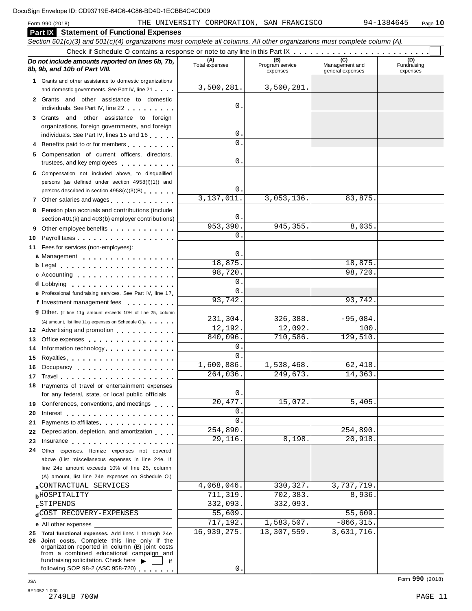|         | <b>Part X</b> Statement of Functional Expenses                                                                                                                                                                                       |                       |                                    |                                    |                                |  |  |  |  |  |
|---------|--------------------------------------------------------------------------------------------------------------------------------------------------------------------------------------------------------------------------------------|-----------------------|------------------------------------|------------------------------------|--------------------------------|--|--|--|--|--|
|         | Section 501(c)(3) and 501(c)(4) organizations must complete all columns. All other organizations must complete column (A).                                                                                                           |                       |                                    |                                    |                                |  |  |  |  |  |
|         |                                                                                                                                                                                                                                      |                       |                                    |                                    |                                |  |  |  |  |  |
|         | Do not include amounts reported on lines 6b, 7b,<br>8b, 9b, and 10b of Part VIII.                                                                                                                                                    | (A)<br>Total expenses | (B)<br>Program service<br>expenses | Management and<br>general expenses | (D)<br>Fundraising<br>expenses |  |  |  |  |  |
|         | 1 Grants and other assistance to domestic organizations<br>and domestic governments. See Part IV, line 21                                                                                                                            | 3,500,281.            | 3,500,281.                         |                                    |                                |  |  |  |  |  |
|         | 2 Grants and other assistance to domestic<br>individuals. See Part IV, line 22                                                                                                                                                       | 0                     |                                    |                                    |                                |  |  |  |  |  |
|         | 3 Grants and other assistance to foreign                                                                                                                                                                                             |                       |                                    |                                    |                                |  |  |  |  |  |
|         | organizations, foreign governments, and foreign<br>individuals. See Part IV, lines 15 and 16                                                                                                                                         | 0                     |                                    |                                    |                                |  |  |  |  |  |
|         | 4 Benefits paid to or for members                                                                                                                                                                                                    | $\Omega$              |                                    |                                    |                                |  |  |  |  |  |
|         | 5 Compensation of current officers, directors,<br>trustees, and key employees                                                                                                                                                        | 0                     |                                    |                                    |                                |  |  |  |  |  |
|         | 6 Compensation not included above, to disqualified<br>persons (as defined under section 4958(f)(1)) and                                                                                                                              |                       |                                    |                                    |                                |  |  |  |  |  |
|         | persons described in section 4958(c)(3)(B)                                                                                                                                                                                           | 0                     |                                    |                                    |                                |  |  |  |  |  |
|         |                                                                                                                                                                                                                                      | 3,137,011.            | 3,053,136.                         | 83,875.                            |                                |  |  |  |  |  |
|         | 8 Pension plan accruals and contributions (include                                                                                                                                                                                   | 0                     |                                    |                                    |                                |  |  |  |  |  |
|         | section 401(k) and 403(b) employer contributions)                                                                                                                                                                                    | 953,390               | $\overline{945}$ , 355.            | 8,035.                             |                                |  |  |  |  |  |
| 9<br>10 | Other employee benefits<br>Payroll taxes                                                                                                                                                                                             | 0                     |                                    |                                    |                                |  |  |  |  |  |
|         | 11 Fees for services (non-employees):                                                                                                                                                                                                |                       |                                    |                                    |                                |  |  |  |  |  |
|         | a Management                                                                                                                                                                                                                         | 0                     |                                    |                                    |                                |  |  |  |  |  |
|         |                                                                                                                                                                                                                                      | 18,875.               |                                    | 18,875.                            |                                |  |  |  |  |  |
|         | c Accounting                                                                                                                                                                                                                         | 98,720.               |                                    | 98,720.                            |                                |  |  |  |  |  |
|         |                                                                                                                                                                                                                                      | 0                     |                                    |                                    |                                |  |  |  |  |  |
|         | e Professional fundraising services. See Part IV, line 17                                                                                                                                                                            | 0                     |                                    |                                    |                                |  |  |  |  |  |
|         | f Investment management fees                                                                                                                                                                                                         | 93,742.               |                                    | 93,742.                            |                                |  |  |  |  |  |
|         | 9 Other. (If line 11g amount exceeds 10% of line 25, column                                                                                                                                                                          | 231,304.              | 326,388.                           | $-95,084.$                         |                                |  |  |  |  |  |
|         | (A) amount, list line 11g expenses on Schedule O.)<br>12 Advertising and promotion                                                                                                                                                   | 12,192.               | 12,092.                            | 100.                               |                                |  |  |  |  |  |
| 13      | Office expenses example.                                                                                                                                                                                                             | 840,096.              | 710,586.                           | 129,510.                           |                                |  |  |  |  |  |
| 14      | Information technology                                                                                                                                                                                                               | 0                     |                                    |                                    |                                |  |  |  |  |  |
| 15      | Royalties                                                                                                                                                                                                                            | 0                     |                                    |                                    |                                |  |  |  |  |  |
|         | 16 Occupancy                                                                                                                                                                                                                         | 1,600,886.            | 1,538,468.                         | 62,418.                            |                                |  |  |  |  |  |
|         | 17 Travel                                                                                                                                                                                                                            | 264,036.              | 249,673                            | 14, 363.                           |                                |  |  |  |  |  |
|         | 18 Payments of travel or entertainment expenses<br>for any federal, state, or local public officials                                                                                                                                 | 0                     |                                    |                                    |                                |  |  |  |  |  |
|         | 19 Conferences, conventions, and meetings                                                                                                                                                                                            | 20, 477.              | 15,072.                            | 5,405.                             |                                |  |  |  |  |  |
|         | 20 Interest entertainment and the set of the set of the set of the set of the set of the set of the set of the                                                                                                                       | 0                     |                                    |                                    |                                |  |  |  |  |  |
|         | 21 Payments to affiliates                                                                                                                                                                                                            | $\Omega$              |                                    |                                    |                                |  |  |  |  |  |
|         | 22 Depreciation, depletion, and amortization                                                                                                                                                                                         | 254,890.<br>29,116.   | 8,198.                             | 254,890.<br>20,918.                |                                |  |  |  |  |  |
|         | 23 Insurance <b>Contract Contract Contract Contract Contract Contract Contract Contract Contract Contract Contract Contract Contract Contract Contract Contract Contract Contract Contract Contract Contract Contract Contract C</b> |                       |                                    |                                    |                                |  |  |  |  |  |
|         | 24 Other expenses. Itemize expenses not covered<br>above (List miscellaneous expenses in line 24e. If                                                                                                                                |                       |                                    |                                    |                                |  |  |  |  |  |
|         | line 24e amount exceeds 10% of line 25, column                                                                                                                                                                                       |                       |                                    |                                    |                                |  |  |  |  |  |
|         | (A) amount, list line 24e expenses on Schedule O.)                                                                                                                                                                                   |                       |                                    |                                    |                                |  |  |  |  |  |
|         | a CONTRACTUAL SERVICES                                                                                                                                                                                                               | 4,068,046.            | 330, 327.                          | 3,737,719.                         |                                |  |  |  |  |  |
|         | <b>bHOSPITALITY</b>                                                                                                                                                                                                                  | 711,319.              | 702,383.                           | 8,936.                             |                                |  |  |  |  |  |
|         | <b>c</b> STIPENDS                                                                                                                                                                                                                    | 332,093.              | 332,093.                           |                                    |                                |  |  |  |  |  |
|         | dCOST RECOVERY-EXPENSES                                                                                                                                                                                                              | 55,609.               |                                    | 55,609.                            |                                |  |  |  |  |  |
|         | <b>e</b> All other expenses                                                                                                                                                                                                          | 717,192.              | 1,583,507.                         | $-866, 315.$                       |                                |  |  |  |  |  |
| 26      | 25 Total functional expenses. Add lines 1 through 24e<br>Joint costs. Complete this line only if the                                                                                                                                 | 16,939,275.           | 13,307,559.                        | 3,631,716.                         |                                |  |  |  |  |  |
|         | organization reported in column (B) joint costs<br>from a combined educational campaign and<br>fundraising solicitation. Check here<br>if                                                                                            |                       |                                    |                                    |                                |  |  |  |  |  |
|         | following SOP 98-2 (ASC 958-720)                                                                                                                                                                                                     | 0                     |                                    |                                    |                                |  |  |  |  |  |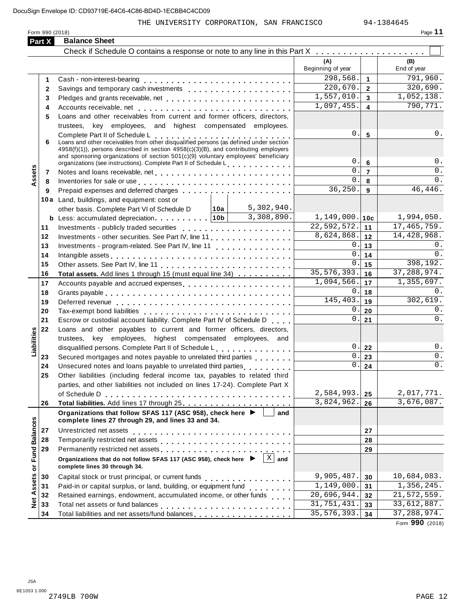## THE UNIVERSITY CORPORATION, SAN FRANCISCO 94-1384645

|                      | Form 990 (2018) |                                                                                                                                                                                                                               |                                 |                         | Page 11                  |
|----------------------|-----------------|-------------------------------------------------------------------------------------------------------------------------------------------------------------------------------------------------------------------------------|---------------------------------|-------------------------|--------------------------|
|                      | Part X          | <b>Balance Sheet</b>                                                                                                                                                                                                          |                                 |                         |                          |
|                      |                 |                                                                                                                                                                                                                               |                                 |                         |                          |
|                      |                 |                                                                                                                                                                                                                               | (A)<br>Beginning of year        |                         | (B)<br>End of year       |
|                      | 1               |                                                                                                                                                                                                                               | 298,568.                        | $\mathbf{1}$            | 791,960.                 |
|                      | $\mathbf{2}$    |                                                                                                                                                                                                                               | 220,670.                        | $\overline{2}$          | 320,690.                 |
|                      | 3               |                                                                                                                                                                                                                               | 1,557,010.                      | $\overline{3}$          | 1,052,138.               |
|                      | 4               |                                                                                                                                                                                                                               | 1,097,455.                      | $\overline{\mathbf{4}}$ | 790, 771.                |
|                      | 5               | Loans and other receivables from current and former officers, directors,                                                                                                                                                      |                                 |                         |                          |
|                      |                 | trustees, key employees, and highest compensated employees.                                                                                                                                                                   |                                 |                         |                          |
|                      |                 | Complete Part II of Schedule L<br>Loans and other receivables from other disqualified persons (as defined under section                                                                                                       | 0.                              | $5\phantom{1}$          | 0.                       |
|                      | 6               |                                                                                                                                                                                                                               |                                 |                         |                          |
|                      |                 | $4958(f)(1)$ , persons described in section $4958(c)(3)(B)$ , and contributing employers<br>and sponsoring organizations of section 501(c)(9) voluntary employees' beneficiary                                                |                                 |                         |                          |
|                      |                 | organizations (see instructions). Complete Part II of Schedule L.                                                                                                                                                             | 0.                              | $6\phantom{1}$          | 0.                       |
| ssets                | 7               |                                                                                                                                                                                                                               | $\overline{0}$ .                | $\overline{7}$          | 0.                       |
|                      | 8               | Inventories for sale or use enterpreteral resources and response to the set of the set of the set of the set of the set of the set of the set of the set of the set of the set of the set of the set of the set of the set of | $\Omega$ .                      | 8                       | 0.                       |
|                      | 9               |                                                                                                                                                                                                                               | 36, 250.                        | 9                       | 46, 446.                 |
|                      |                 | 10a Land, buildings, and equipment: cost or                                                                                                                                                                                   |                                 |                         |                          |
|                      |                 | other basis. Complete Part VI of Schedule D   10a   5,302,940.                                                                                                                                                                |                                 |                         |                          |
|                      |                 | 3,308,890.<br><b>b</b> Less: accumulated depreciation. $\vert$ 10b                                                                                                                                                            | $1,149,000.$ 10c                |                         | 1,994,050.               |
|                      | 11              |                                                                                                                                                                                                                               | $\overline{22,592,572.}$ 11     |                         | 17,465,759.              |
|                      | 12              |                                                                                                                                                                                                                               | $\overline{8,624,868}$ . 12     |                         | 14,428,968.              |
|                      | 13              | Investments - program-related. See Part IV, line 11                                                                                                                                                                           | 0.<br><u> Alban Maria San A</u> | 13                      | 0.                       |
|                      | 14              |                                                                                                                                                                                                                               | 0.                              | 14                      | 0.                       |
|                      | 15              |                                                                                                                                                                                                                               | 0.                              | 15                      | 398, 192.                |
|                      | 16              | Total assets. Add lines 1 through 15 (must equal line 34)                                                                                                                                                                     | $\overline{35,576,393}.$        | 16                      | 37, 288, 974.            |
|                      | 17              | Accounts payable and accrued expenses entitled and accrued expenses                                                                                                                                                           | 1,094,566.                      | 17                      | 1,355,697.               |
|                      | 18              |                                                                                                                                                                                                                               | $0$ .                           | 18                      | 0.                       |
|                      | 19              |                                                                                                                                                                                                                               | 145, 403.                       | 19                      | 302,619.                 |
|                      | 20              |                                                                                                                                                                                                                               | $0$ .                           | 20                      | 0.                       |
|                      | 21              | Escrow or custodial account liability. Complete Part IV of Schedule D                                                                                                                                                         | 0.                              | 21                      | 0.                       |
|                      | 22              | Loans and other payables to current and former officers, directors,                                                                                                                                                           |                                 |                         |                          |
| Liabilities          |                 | trustees, key employees, highest compensated employees, and                                                                                                                                                                   |                                 |                         |                          |
|                      |                 | disqualified persons. Complete Part II of Schedule L.                                                                                                                                                                         | 0.1                             | 22                      | 0.                       |
|                      | 23              | Secured mortgages and notes payable to unrelated third parties                                                                                                                                                                | 0.                              | 23                      | 0.                       |
|                      | 24              |                                                                                                                                                                                                                               | 0.1                             | 24                      | 0.                       |
|                      | 25              | Other liabilities (including federal income tax, payables to related third                                                                                                                                                    |                                 |                         |                          |
|                      |                 | parties, and other liabilities not included on lines 17-24). Complete Part X                                                                                                                                                  |                                 |                         |                          |
|                      |                 |                                                                                                                                                                                                                               | 2,584,993.                      | 25                      | 2,017,771.               |
|                      | 26              |                                                                                                                                                                                                                               | 3,824,962.                      | 26                      | 3,676,087.               |
|                      |                 | Organizations that follow SFAS 117 (ASC 958), check here ▶<br>and<br>complete lines 27 through 29, and lines 33 and 34.                                                                                                       |                                 |                         |                          |
|                      |                 |                                                                                                                                                                                                                               |                                 |                         |                          |
| <b>Fund Balances</b> | 27              |                                                                                                                                                                                                                               |                                 | 27                      |                          |
|                      | 28<br>29        |                                                                                                                                                                                                                               |                                 | 28                      |                          |
|                      |                 | $\mathbf X$<br>Organizations that do not follow SFAS 117 (ASC 958), check here $\blacktriangleright$                                                                                                                          |                                 | 29                      |                          |
|                      |                 | and<br>complete lines 30 through 34.                                                                                                                                                                                          |                                 |                         |                          |
| $\bf \bar{o}$        | 30              |                                                                                                                                                                                                                               | 9,905,487.                      | 30                      | 10,684,083.              |
|                      | 31              | Paid-in or capital surplus, or land, building, or equipment fund<br>                                                                                                                                                          | 1,149,000.                      | 31                      | 1,356,245.               |
|                      | 32              | Retained earnings, endowment, accumulated income, or other funds                                                                                                                                                              | 20,696,944.                     | 32                      | 21,572,559.              |
| <b>Net Assets</b>    | 33              |                                                                                                                                                                                                                               | 31,751,431.                     | 33                      | 33,612,887.              |
|                      | 34              | Total liabilities and net assets/fund balances                                                                                                                                                                                | $\overline{35,576,}$ 393.       | 34                      | 37, 288, 974.            |
|                      |                 |                                                                                                                                                                                                                               |                                 |                         | $\overline{\phantom{a}}$ |

Form **990** (2018)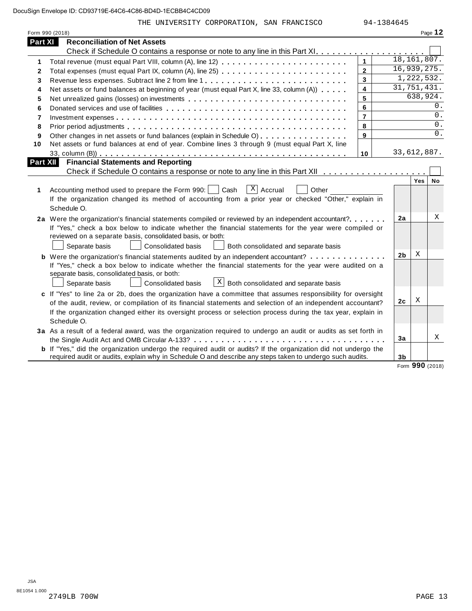THE UNIVERSITY CORPORATION, SAN FRANCISCO 94-1384645

|          | Form 990 (2018)                                                                                                                                                                                                                                                                                                                                            |                |                |            | Page 12 |
|----------|------------------------------------------------------------------------------------------------------------------------------------------------------------------------------------------------------------------------------------------------------------------------------------------------------------------------------------------------------------|----------------|----------------|------------|---------|
| Part XI  | <b>Reconciliation of Net Assets</b>                                                                                                                                                                                                                                                                                                                        |                |                |            |         |
|          |                                                                                                                                                                                                                                                                                                                                                            |                |                |            |         |
| 1        | Total revenue (must equal Part VIII, column (A), line 12)                                                                                                                                                                                                                                                                                                  | $\mathbf{1}$   | 18, 161, 807.  |            |         |
| 2        | Total expenses (must equal Part IX, column (A), line 25)                                                                                                                                                                                                                                                                                                   | $\overline{2}$ | 16,939,275.    |            |         |
| 3        |                                                                                                                                                                                                                                                                                                                                                            | 3              |                | 1,222,532. |         |
| 4        | Net assets or fund balances at beginning of year (must equal Part X, line 33, column (A))                                                                                                                                                                                                                                                                  | 4              | 31,751,431.    |            |         |
| 5        |                                                                                                                                                                                                                                                                                                                                                            | 5              |                | 638,924.   |         |
| 6        |                                                                                                                                                                                                                                                                                                                                                            | 6              |                |            | 0.      |
| 7        |                                                                                                                                                                                                                                                                                                                                                            | $\overline{7}$ |                |            | 0.      |
| 8        |                                                                                                                                                                                                                                                                                                                                                            | 8              |                |            | 0.      |
| 9        | Other changes in net assets or fund balances (explain in Schedule O)                                                                                                                                                                                                                                                                                       | 9              |                |            | $0$ .   |
| 10       | Net assets or fund balances at end of year. Combine lines 3 through 9 (must equal Part X, line                                                                                                                                                                                                                                                             |                |                |            |         |
|          |                                                                                                                                                                                                                                                                                                                                                            | 10             | 33,612,887.    |            |         |
| Part XII | <b>Financial Statements and Reporting</b>                                                                                                                                                                                                                                                                                                                  |                |                |            |         |
|          |                                                                                                                                                                                                                                                                                                                                                            |                |                |            |         |
| 1        | $X$ Accrual<br>Accounting method used to prepare the Form 990:<br>Cash<br>Other<br>If the organization changed its method of accounting from a prior year or checked "Other," explain in<br>Schedule O.                                                                                                                                                    |                |                | Yes        | No      |
|          | 2a Were the organization's financial statements compiled or reviewed by an independent accountant?<br>If "Yes," check a box below to indicate whether the financial statements for the year were compiled or<br>reviewed on a separate basis, consolidated basis, or both:<br>Separate basis<br>Consolidated basis<br>Both consolidated and separate basis |                | 2a             |            | х       |
|          | <b>b</b> Were the organization's financial statements audited by an independent accountant?                                                                                                                                                                                                                                                                |                | 2 <sub>b</sub> | Χ          |         |
|          | If "Yes," check a box below to indicate whether the financial statements for the year were audited on a<br>separate basis, consolidated basis, or both:<br>$\lfloor x \rfloor$ Both consolidated and separate basis<br>Consolidated basis<br>Separate basis                                                                                                |                |                |            |         |
|          | c If "Yes" to line 2a or 2b, does the organization have a committee that assumes responsibility for oversight                                                                                                                                                                                                                                              |                |                |            |         |
|          | of the audit, review, or compilation of its financial statements and selection of an independent accountant?                                                                                                                                                                                                                                               |                | 2c             | Χ          |         |
|          | If the organization changed either its oversight process or selection process during the tax year, explain in<br>Schedule O.                                                                                                                                                                                                                               |                |                |            |         |
|          | 3a As a result of a federal award, was the organization required to undergo an audit or audits as set forth in                                                                                                                                                                                                                                             |                |                |            |         |
|          |                                                                                                                                                                                                                                                                                                                                                            |                | 3a             |            | Χ       |
|          | <b>b</b> If "Yes," did the organization undergo the required audit or audits? If the organization did not undergo the                                                                                                                                                                                                                                      |                |                |            |         |
|          | required audit or audits, explain why in Schedule O and describe any steps taken to undergo such audits.                                                                                                                                                                                                                                                   |                | 3 <sub>b</sub> |            |         |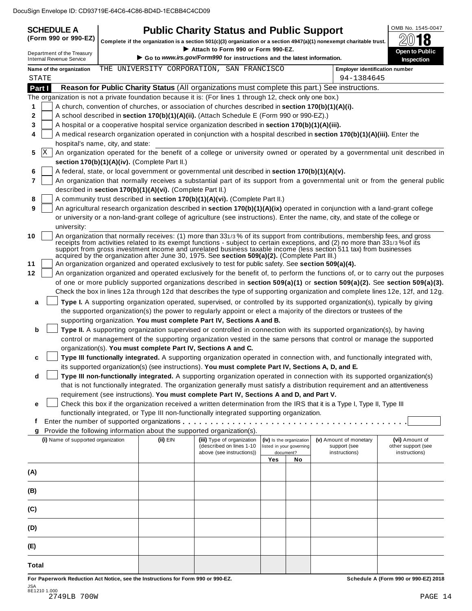| <b>SCHEDULE A</b><br>(Form 990 or 990-EZ)                                                                 |                                                                                                              | <b>Public Charity Status and Public Support</b>                                                      |     |                          |                                                                                                                                                                                                                                                                                                                                                                                 | OMB No. 1545-0047                                                                                                                |  |  |  |
|-----------------------------------------------------------------------------------------------------------|--------------------------------------------------------------------------------------------------------------|------------------------------------------------------------------------------------------------------|-----|--------------------------|---------------------------------------------------------------------------------------------------------------------------------------------------------------------------------------------------------------------------------------------------------------------------------------------------------------------------------------------------------------------------------|----------------------------------------------------------------------------------------------------------------------------------|--|--|--|
|                                                                                                           |                                                                                                              |                                                                                                      |     |                          | Complete if the organization is a section 501(c)(3) organization or a section 4947(a)(1) nonexempt charitable trust.                                                                                                                                                                                                                                                            |                                                                                                                                  |  |  |  |
| Department of the Treasury<br><b>Internal Revenue Service</b>                                             | Attach to Form 990 or Form 990-EZ.<br>Go to www.irs.gov/Form990 for instructions and the latest information. |                                                                                                      |     |                          |                                                                                                                                                                                                                                                                                                                                                                                 |                                                                                                                                  |  |  |  |
| Name of the organization<br>STATE                                                                         |                                                                                                              | THE UNIVERSITY CORPORATION, SAN FRANCISCO                                                            |     |                          | <b>Employer identification number</b><br>94-1384645                                                                                                                                                                                                                                                                                                                             | <b>Inspection</b>                                                                                                                |  |  |  |
| Part I                                                                                                    |                                                                                                              |                                                                                                      |     |                          | Reason for Public Charity Status (All organizations must complete this part.) See instructions.                                                                                                                                                                                                                                                                                 |                                                                                                                                  |  |  |  |
| The organization is not a private foundation because it is: (For lines 1 through 12, check only one box.) |                                                                                                              |                                                                                                      |     |                          |                                                                                                                                                                                                                                                                                                                                                                                 |                                                                                                                                  |  |  |  |
| 1                                                                                                         |                                                                                                              | A church, convention of churches, or association of churches described in section 170(b)(1)(A)(i).   |     |                          |                                                                                                                                                                                                                                                                                                                                                                                 |                                                                                                                                  |  |  |  |
| 2                                                                                                         |                                                                                                              | A school described in section 170(b)(1)(A)(ii). (Attach Schedule E (Form 990 or 990-EZ).)            |     |                          |                                                                                                                                                                                                                                                                                                                                                                                 |                                                                                                                                  |  |  |  |
| 3                                                                                                         |                                                                                                              | A hospital or a cooperative hospital service organization described in section 170(b)(1)(A)(iii).    |     |                          |                                                                                                                                                                                                                                                                                                                                                                                 |                                                                                                                                  |  |  |  |
| 4                                                                                                         |                                                                                                              |                                                                                                      |     |                          | A medical research organization operated in conjunction with a hospital described in section 170(b)(1)(A)(iii). Enter the                                                                                                                                                                                                                                                       |                                                                                                                                  |  |  |  |
| hospital's name, city, and state:                                                                         |                                                                                                              |                                                                                                      |     |                          |                                                                                                                                                                                                                                                                                                                                                                                 |                                                                                                                                  |  |  |  |
| ΙX<br>5                                                                                                   | section $170(b)(1)(A)(iv)$ . (Complete Part II.)                                                             |                                                                                                      |     |                          |                                                                                                                                                                                                                                                                                                                                                                                 | An organization operated for the benefit of a college or university owned or operated by a governmental unit described in        |  |  |  |
| 6                                                                                                         |                                                                                                              | A federal, state, or local government or governmental unit described in section 170(b)(1)(A)(v).     |     |                          |                                                                                                                                                                                                                                                                                                                                                                                 |                                                                                                                                  |  |  |  |
| 7                                                                                                         |                                                                                                              |                                                                                                      |     |                          |                                                                                                                                                                                                                                                                                                                                                                                 | An organization that normally receives a substantial part of its support from a governmental unit or from the general public     |  |  |  |
|                                                                                                           | described in section 170(b)(1)(A)(vi). (Complete Part II.)                                                   |                                                                                                      |     |                          |                                                                                                                                                                                                                                                                                                                                                                                 |                                                                                                                                  |  |  |  |
| 8                                                                                                         |                                                                                                              | A community trust described in section 170(b)(1)(A)(vi). (Complete Part II.)                         |     |                          |                                                                                                                                                                                                                                                                                                                                                                                 |                                                                                                                                  |  |  |  |
| 9                                                                                                         |                                                                                                              |                                                                                                      |     |                          | An agricultural research organization described in section 170(b)(1)(A)(ix) operated in conjunction with a land-grant college                                                                                                                                                                                                                                                   |                                                                                                                                  |  |  |  |
| university:                                                                                               |                                                                                                              |                                                                                                      |     |                          | or university or a non-land-grant college of agriculture (see instructions). Enter the name, city, and state of the college or                                                                                                                                                                                                                                                  |                                                                                                                                  |  |  |  |
| 10                                                                                                        |                                                                                                              | acquired by the organization after June 30, 1975. See section 509(a)(2). (Complete Part III.)        |     |                          | An organization that normally receives: (1) more than 331/3% of its support from contributions, membership fees, and gross<br>receipts from activities related to its exempt functions - subject to certain exceptions, and (2) no more than 331/3% of its<br>support from gross investment income and unrelated business taxable income (less section 511 tax) from businesses |                                                                                                                                  |  |  |  |
| 11                                                                                                        |                                                                                                              | An organization organized and operated exclusively to test for public safety. See section 509(a)(4). |     |                          |                                                                                                                                                                                                                                                                                                                                                                                 |                                                                                                                                  |  |  |  |
| 12                                                                                                        |                                                                                                              |                                                                                                      |     |                          |                                                                                                                                                                                                                                                                                                                                                                                 | An organization organized and operated exclusively for the benefit of, to perform the functions of, or to carry out the purposes |  |  |  |
|                                                                                                           |                                                                                                              |                                                                                                      |     |                          |                                                                                                                                                                                                                                                                                                                                                                                 | of one or more publicly supported organizations described in section 509(a)(1) or section 509(a)(2). See section 509(a)(3).      |  |  |  |
|                                                                                                           |                                                                                                              |                                                                                                      |     |                          |                                                                                                                                                                                                                                                                                                                                                                                 | Check the box in lines 12a through 12d that describes the type of supporting organization and complete lines 12e, 12f, and 12g.  |  |  |  |
| a                                                                                                         |                                                                                                              |                                                                                                      |     |                          | Type I. A supporting organization operated, supervised, or controlled by its supported organization(s), typically by giving                                                                                                                                                                                                                                                     |                                                                                                                                  |  |  |  |
|                                                                                                           |                                                                                                              |                                                                                                      |     |                          | the supported organization(s) the power to regularly appoint or elect a majority of the directors or trustees of the                                                                                                                                                                                                                                                            |                                                                                                                                  |  |  |  |
|                                                                                                           |                                                                                                              | supporting organization. You must complete Part IV, Sections A and B.                                |     |                          |                                                                                                                                                                                                                                                                                                                                                                                 |                                                                                                                                  |  |  |  |
| b                                                                                                         |                                                                                                              |                                                                                                      |     |                          | Type II. A supporting organization supervised or controlled in connection with its supported organization(s), by having<br>control or management of the supporting organization vested in the same persons that control or manage the supported                                                                                                                                 |                                                                                                                                  |  |  |  |
|                                                                                                           |                                                                                                              | organization(s). You must complete Part IV, Sections A and C.                                        |     |                          |                                                                                                                                                                                                                                                                                                                                                                                 |                                                                                                                                  |  |  |  |
| c                                                                                                         |                                                                                                              |                                                                                                      |     |                          | Type III functionally integrated. A supporting organization operated in connection with, and functionally integrated with,                                                                                                                                                                                                                                                      |                                                                                                                                  |  |  |  |
|                                                                                                           |                                                                                                              | its supported organization(s) (see instructions). You must complete Part IV, Sections A, D, and E.   |     |                          |                                                                                                                                                                                                                                                                                                                                                                                 |                                                                                                                                  |  |  |  |
| d                                                                                                         |                                                                                                              |                                                                                                      |     |                          | Type III non-functionally integrated. A supporting organization operated in connection with its supported organization(s)                                                                                                                                                                                                                                                       |                                                                                                                                  |  |  |  |
|                                                                                                           |                                                                                                              |                                                                                                      |     |                          | that is not functionally integrated. The organization generally must satisfy a distribution requirement and an attentiveness                                                                                                                                                                                                                                                    |                                                                                                                                  |  |  |  |
|                                                                                                           |                                                                                                              | requirement (see instructions). You must complete Part IV, Sections A and D, and Part V.             |     |                          |                                                                                                                                                                                                                                                                                                                                                                                 |                                                                                                                                  |  |  |  |
| е                                                                                                         |                                                                                                              | functionally integrated, or Type III non-functionally integrated supporting organization.            |     |                          | Check this box if the organization received a written determination from the IRS that it is a Type I, Type II, Type III                                                                                                                                                                                                                                                         |                                                                                                                                  |  |  |  |
| Ť                                                                                                         |                                                                                                              |                                                                                                      |     |                          |                                                                                                                                                                                                                                                                                                                                                                                 |                                                                                                                                  |  |  |  |
| g                                                                                                         |                                                                                                              | Provide the following information about the supported organization(s).                               |     |                          |                                                                                                                                                                                                                                                                                                                                                                                 |                                                                                                                                  |  |  |  |
| (i) Name of supported organization                                                                        | (ii) EIN                                                                                                     | (iii) Type of organization                                                                           |     | (iv) Is the organization | (v) Amount of monetary                                                                                                                                                                                                                                                                                                                                                          | (vi) Amount of                                                                                                                   |  |  |  |
|                                                                                                           |                                                                                                              | (described on lines 1-10                                                                             |     | listed in your governing | support (see                                                                                                                                                                                                                                                                                                                                                                    | other support (see                                                                                                               |  |  |  |
|                                                                                                           |                                                                                                              | above (see instructions))                                                                            | Yes | document?<br>No          | instructions)                                                                                                                                                                                                                                                                                                                                                                   | instructions)                                                                                                                    |  |  |  |
|                                                                                                           |                                                                                                              |                                                                                                      |     |                          |                                                                                                                                                                                                                                                                                                                                                                                 |                                                                                                                                  |  |  |  |
| (A)                                                                                                       |                                                                                                              |                                                                                                      |     |                          |                                                                                                                                                                                                                                                                                                                                                                                 |                                                                                                                                  |  |  |  |
| (B)                                                                                                       |                                                                                                              |                                                                                                      |     |                          |                                                                                                                                                                                                                                                                                                                                                                                 |                                                                                                                                  |  |  |  |
| (C)                                                                                                       |                                                                                                              |                                                                                                      |     |                          |                                                                                                                                                                                                                                                                                                                                                                                 |                                                                                                                                  |  |  |  |
| (D)                                                                                                       |                                                                                                              |                                                                                                      |     |                          |                                                                                                                                                                                                                                                                                                                                                                                 |                                                                                                                                  |  |  |  |
| (E)                                                                                                       |                                                                                                              |                                                                                                      |     |                          |                                                                                                                                                                                                                                                                                                                                                                                 |                                                                                                                                  |  |  |  |
|                                                                                                           |                                                                                                              |                                                                                                      |     |                          |                                                                                                                                                                                                                                                                                                                                                                                 |                                                                                                                                  |  |  |  |
| Total                                                                                                     |                                                                                                              |                                                                                                      |     |                          |                                                                                                                                                                                                                                                                                                                                                                                 |                                                                                                                                  |  |  |  |
| For Paperwork Reduction Act Notice, see the Instructions for Form 990 or 990-EZ.                          |                                                                                                              |                                                                                                      |     |                          |                                                                                                                                                                                                                                                                                                                                                                                 | Schedule A (Form 990 or 990-EZ) 2018                                                                                             |  |  |  |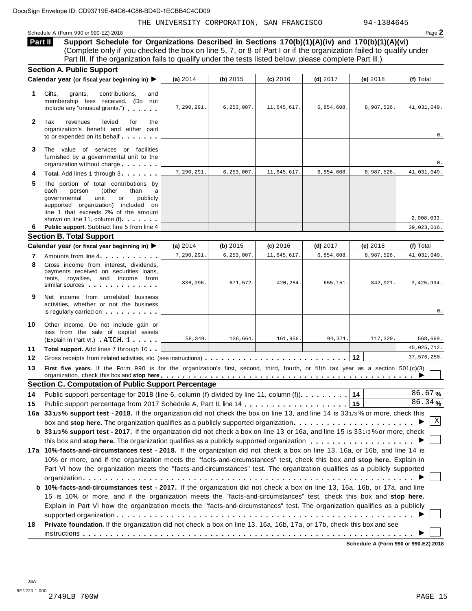THE UNIVERSITY CORPORATION, SAN FRANCISCO 94-1384645

Schedule A (Form 990 or 990-EZ) 2018 Page 2

**Support Schedule for Organizations Described in Sections 170(b)(1)(A)(iv) and 170(b)(1)(A)(vi)** (Complete only if you checked the box on line 5, 7, or 8 of Part I or if the organization failed to qualify under Part III. If the organization fails to qualify under the tests listed below, please complete Part III.) **Part II**

|              | <b>Section A. Public Support</b>                                                                                                                                                                                                         |            |              |             |            |            |             |
|--------------|------------------------------------------------------------------------------------------------------------------------------------------------------------------------------------------------------------------------------------------|------------|--------------|-------------|------------|------------|-------------|
|              | Calendar year (or fiscal year beginning in) ▶                                                                                                                                                                                            | (a) 2014   | (b) 2015     | (c) 2016    | $(d)$ 2017 | (e) 2018   | (f) Total   |
| 1.           | Gifts,<br>contributions,<br>grants,<br>and<br>membership fees received. (Do not<br>include any "unusual grants.")                                                                                                                        | 7,290,291. | 6, 253, 007. | 11,645,617. | 6,854,608. | 8,987,526. | 41,031,049. |
| $\mathbf{2}$ | Tax<br>revenues<br>levied<br>for<br>the<br>organization's benefit and either paid<br>to or expended on its behalf                                                                                                                        |            |              |             |            |            | 0.          |
| 3            | The value of services or facilities<br>furnished by a governmental unit to the<br>organization without charge                                                                                                                            |            |              |             |            |            | 0.          |
| 4            | Total. Add lines 1 through 3.                                                                                                                                                                                                            | 7,290,291. | 6, 253, 007. | 11,645,617. | 6,854,608. | 8,987,526. | 41,031,049. |
| 5            | The portion of total contributions by<br>(other<br>than<br>each<br>person<br>a<br>qovernmental<br>unit<br>publicly<br>or<br>supported organization) included on<br>line 1 that exceeds 2% of the amount<br>shown on line 11, column (f). |            |              |             |            |            | 2,008,033.  |
| 6            | Public support. Subtract line 5 from line 4                                                                                                                                                                                              |            |              |             |            |            | 39,023,016. |
|              | <b>Section B. Total Support</b>                                                                                                                                                                                                          |            |              |             |            |            |             |
|              | Calendar year (or fiscal year beginning in) ▶                                                                                                                                                                                            | (a) 2014   | (b) 2015     | (c) 2016    | $(d)$ 2017 | (e) 2018   | (f) Total   |
| 7            | Amounts from line 4                                                                                                                                                                                                                      | 7,290,291. | 6,253,007.   | 11,645,617  | 6,854,608  | 8,987,526  | 41,031,049. |
| 8            | Gross income from interest, dividends,<br>payments received on securities loans,<br>rents, royalties, and income from<br>similar sources                                                                                                 | 836,096.   | 671,572.     | 420,254.    | 655,151.   | 842,921.   | 3,425,994.  |
| 9            | Net income from unrelated business<br>activities, whether or not the business<br>is regularly carried on with window is regularly carried on                                                                                             |            |              |             |            |            | 0.          |
| 10           | Other income. Do not include gain or<br>loss from the sale of capital assets<br>(Explain in Part VI.) ATCH 1                                                                                                                             | 58,349.    | 136,664.     | 161,956.    | 94,371     | 117,329    | 568,669.    |
| 11           | Total support. Add lines 7 through 10                                                                                                                                                                                                    |            |              |             |            |            | 45,025,712. |
| 12           |                                                                                                                                                                                                                                          |            |              |             |            | 12         | 37,576,250. |
| 13           | First five years. If the Form 990 is for the organization's first, second, third, fourth, or fifth tax year as a section 501(c)(3)                                                                                                       |            |              |             |            |            |             |
|              | <b>Section C. Computation of Public Support Percentage</b>                                                                                                                                                                               |            |              |             |            |            |             |
| 14           | Public support percentage for 2018 (line 6, column (f) divided by line 11, column (f)).                                                                                                                                                  |            |              |             |            | 14         | 86.67%      |
| 15           |                                                                                                                                                                                                                                          |            |              |             |            | 15         | $86.34$ %   |
|              | 16a 331/3% support test - 2018. If the organization did not check the box on line 13, and line 14 is 331/3% or more, check this<br>box and stop here. The organization qualifies as a publicly supported organization                    |            |              |             |            |            | X           |
|              | b 331/3% support test - 2017. If the organization did not check a box on line 13 or 16a, and line 15 is 331/3% or more, check                                                                                                            |            |              |             |            |            |             |
|              |                                                                                                                                                                                                                                          |            |              |             |            |            |             |
|              | 17a 10%-facts-and-circumstances test - 2018. If the organization did not check a box on line 13, 16a, or 16b, and line 14 is                                                                                                             |            |              |             |            |            |             |
|              | 10% or more, and if the organization meets the "facts-and-circumstances" test, check this box and stop here. Explain in                                                                                                                  |            |              |             |            |            |             |
|              | Part VI how the organization meets the "facts-and-circumstances" test. The organization qualifies as a publicly supported                                                                                                                |            |              |             |            |            |             |
|              |                                                                                                                                                                                                                                          |            |              |             |            |            |             |
|              | b 10%-facts-and-circumstances test - 2017. If the organization did not check a box on line 13, 16a, 16b, or 17a, and line                                                                                                                |            |              |             |            |            |             |
|              | 15 is 10% or more, and if the organization meets the "facts-and-circumstances" test, check this box and stop here.                                                                                                                       |            |              |             |            |            |             |
|              | Explain in Part VI how the organization meets the "facts-and-circumstances" test. The organization qualifies as a publicly                                                                                                               |            |              |             |            |            |             |
|              |                                                                                                                                                                                                                                          |            |              |             |            |            |             |
| 18           | Private foundation. If the organization did not check a box on line 13, 16a, 16b, 17a, or 17b, check this box and see                                                                                                                    |            |              |             |            |            |             |
|              |                                                                                                                                                                                                                                          |            |              |             |            |            |             |
|              |                                                                                                                                                                                                                                          |            |              |             |            |            |             |

**Schedule A (Form 990 or 990-EZ) 2018**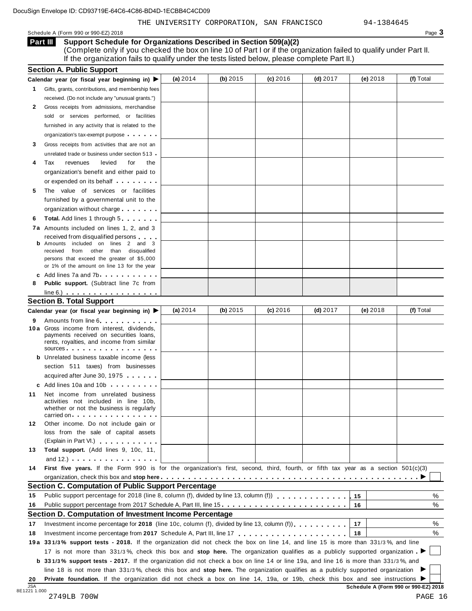THE UNIVERSITY CORPORATION, SAN FRANCISCO 94-1384645

Schedule A (Form 990 or 990-EZ) 2018 Page 3

**Support Schedule for Organizations Described in Section 509(a)(2)** (Complete only if you checked the box on line 10 of Part I or if the organization failed to qualify under Part II. If the organization fails to qualify under the tests listed below, please complete Part II.) **Part III**

|    | Calendar year (or fiscal year beginning in) ▶                                                                                                                                                                                                                         | (a) 2014 | (b) 2015 | (c) 2016 | $(d)$ 2017 | (e) 2018   | (f) Total |
|----|-----------------------------------------------------------------------------------------------------------------------------------------------------------------------------------------------------------------------------------------------------------------------|----------|----------|----------|------------|------------|-----------|
| 1. | Gifts, grants, contributions, and membership fees                                                                                                                                                                                                                     |          |          |          |            |            |           |
|    | received. (Do not include any "unusual grants.")                                                                                                                                                                                                                      |          |          |          |            |            |           |
| 2  | Gross receipts from admissions, merchandise                                                                                                                                                                                                                           |          |          |          |            |            |           |
|    | sold or services performed, or facilities                                                                                                                                                                                                                             |          |          |          |            |            |           |
|    | furnished in any activity that is related to the                                                                                                                                                                                                                      |          |          |          |            |            |           |
|    | organization's tax-exempt purpose                                                                                                                                                                                                                                     |          |          |          |            |            |           |
| 3  | Gross receipts from activities that are not an                                                                                                                                                                                                                        |          |          |          |            |            |           |
|    | unrelated trade or business under section 513                                                                                                                                                                                                                         |          |          |          |            |            |           |
| 4  | Tax<br>levied<br>revenues<br>for<br>the                                                                                                                                                                                                                               |          |          |          |            |            |           |
|    | organization's benefit and either paid to                                                                                                                                                                                                                             |          |          |          |            |            |           |
|    | or expended on its behalf                                                                                                                                                                                                                                             |          |          |          |            |            |           |
| 5  | The value of services or facilities                                                                                                                                                                                                                                   |          |          |          |            |            |           |
|    | furnished by a governmental unit to the                                                                                                                                                                                                                               |          |          |          |            |            |           |
|    | organization without charge                                                                                                                                                                                                                                           |          |          |          |            |            |           |
| 6  | <b>Total.</b> Add lines 1 through 5                                                                                                                                                                                                                                   |          |          |          |            |            |           |
|    |                                                                                                                                                                                                                                                                       |          |          |          |            |            |           |
|    | 7a Amounts included on lines 1, 2, and 3                                                                                                                                                                                                                              |          |          |          |            |            |           |
|    | received from disqualified persons<br><b>b</b> Amounts included on lines 2 and 3                                                                                                                                                                                      |          |          |          |            |            |           |
|    | from other than disqualified<br>received                                                                                                                                                                                                                              |          |          |          |            |            |           |
|    | persons that exceed the greater of \$5,000                                                                                                                                                                                                                            |          |          |          |            |            |           |
|    | or 1% of the amount on line 13 for the year                                                                                                                                                                                                                           |          |          |          |            |            |           |
| c  | Add lines 7a and 7b                                                                                                                                                                                                                                                   |          |          |          |            |            |           |
| 8  | <b>Public support.</b> (Subtract line 7c from                                                                                                                                                                                                                         |          |          |          |            |            |           |
|    | $line 6.)$                                                                                                                                                                                                                                                            |          |          |          |            |            |           |
|    | <b>Section B. Total Support</b>                                                                                                                                                                                                                                       |          |          |          |            |            |           |
|    | Calendar year (or fiscal year beginning in) ▶                                                                                                                                                                                                                         | (a) 2014 | (b) 2015 | (c) 2016 | $(d)$ 2017 | $(e)$ 2018 | (f) Total |
| 9  | Amounts from line 6                                                                                                                                                                                                                                                   |          |          |          |            |            |           |
|    | 10 a Gross income from interest, dividends,<br>payments received on securities loans,<br>rents, royalties, and income from similar<br>sources                                                                                                                         |          |          |          |            |            |           |
| b  | Unrelated business taxable income (less                                                                                                                                                                                                                               |          |          |          |            |            |           |
|    |                                                                                                                                                                                                                                                                       |          |          |          |            |            |           |
|    | section 511 taxes) from businesses                                                                                                                                                                                                                                    |          |          |          |            |            |           |
|    | acquired after June 30, 1975                                                                                                                                                                                                                                          |          |          |          |            |            |           |
|    | c Add lines 10a and 10b                                                                                                                                                                                                                                               |          |          |          |            |            |           |
| 11 | Net income from unrelated business<br>activities not included in line 10b,<br>whether or not the business is regularly<br>carried on entries and the set of the set of the set of the set of the set of the set of the set of the set of                              |          |          |          |            |            |           |
|    |                                                                                                                                                                                                                                                                       |          |          |          |            |            |           |
| 12 | Other income. Do not include gain or<br>loss from the sale of capital assets                                                                                                                                                                                          |          |          |          |            |            |           |
|    | (Explain in Part VI.)                                                                                                                                                                                                                                                 |          |          |          |            |            |           |
| 13 | Total support. (Add lines 9, 10c, 11,                                                                                                                                                                                                                                 |          |          |          |            |            |           |
|    | and 12.) $\cdots$ $\cdots$ $\cdots$ $\cdots$                                                                                                                                                                                                                          |          |          |          |            |            |           |
|    | First five years. If the Form 990 is for the organization's first, second, third, fourth, or fifth tax year as a section 501(c)(3)                                                                                                                                    |          |          |          |            |            |           |
| 14 |                                                                                                                                                                                                                                                                       |          |          |          |            |            |           |
|    |                                                                                                                                                                                                                                                                       |          |          |          |            |            |           |
|    | Section C. Computation of Public Support Percentage                                                                                                                                                                                                                   |          |          |          |            |            |           |
| 15 | Public support percentage for 2018 (line 8, column (f), divided by line 13, column (f) [1] [1] $\ldots$ [1] $\ldots$ [1] $\ldots$ [1] $\ldots$ [1] $\ldots$ [1] $\ldots$ [1] $\ldots$ [1] $\ldots$ [1] $\ldots$ [1] $\ldots$ [1] $\ldots$ [1] $\ldots$ [1] $\ldots$ [ |          |          |          |            | 15         | %         |
| 16 |                                                                                                                                                                                                                                                                       |          |          |          |            | 16         | %         |
|    | Section D. Computation of Investment Income Percentage                                                                                                                                                                                                                |          |          |          |            |            |           |
| 17 | Investment income percentage for 2018 (line 10c, column (f), divided by line 13, column (f)),                                                                                                                                                                         |          |          |          |            | 17         | %         |
|    |                                                                                                                                                                                                                                                                       |          |          |          |            | 18         | $\%$      |
|    |                                                                                                                                                                                                                                                                       |          |          |          |            |            |           |
|    | 19a 331/3% support tests - 2018. If the organization did not check the box on line 14, and line 15 is more than 331/3%, and line                                                                                                                                      |          |          |          |            |            |           |
| 18 | 17 is not more than 331/3%, check this box and stop here. The organization qualifies as a publicly supported organization                                                                                                                                             |          |          |          |            |            |           |
|    | <b>b</b> 331/3% support tests - 2017. If the organization did not check a box on line 14 or line 19a, and line 16 is more than 331/3%, and                                                                                                                            |          |          |          |            |            |           |
|    | line 18 is not more than 331/3%, check this box and stop here. The organization qualifies as a publicly supported organization                                                                                                                                        |          |          |          |            |            |           |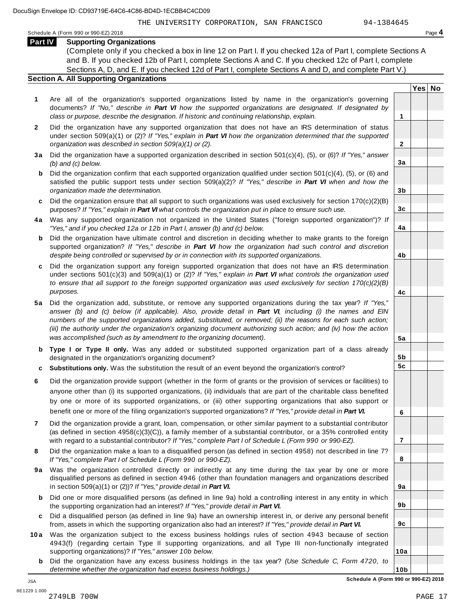THE UNIVERSITY CORPORATION, SAN FRANCISCO 94-1384645

**Yes No**

**2**

**3a**

**3b**

**3c**

**4a**

**4b**

**4c**

**5a**

**5b 5c**

**6**

**7**

**8**

**9a**

**9b**

**9c**

**10a**

Schedule <sup>A</sup> (Form <sup>990</sup> or 990-EZ) <sup>2018</sup> Page **4**

**Part IV Supporting Organizations** (Complete only if you checked a box in line 12 on Part I. If you checked 12a of Part I, complete Sections A and B. If you checked 12b of Part I, complete Sections A and C. If you checked 12c of Part I, complete Sections A, D, and E. If you checked 12d of Part I, complete Sections A and D, and complete Part V.)

## **Section A. All Supporting Organizations**

- **1** Are all of the organization's supported organizations listed by name in the organization's governing documents? *If "No," describe in Part VI how the supported organizations are designated. If designated by class or purpose, describe the designation. If historic and continuing relationship, explain.* **1**
- **2** Did the organization have any supported organization that does not have an IRS determination of status under section 509(a)(1) or (2)? *If"Yes," explain in Part VI how the organization determined that the supported organization was described in section 509(a)(1) or (2).*
- **3 a** Did the organization have a supported organization described in section 501(c)(4), (5), or (6)? *If "Yes," answer (b) and (c) below.*
- **b** Did the organization confirm that each supported organization qualified under section 501(c)(4), (5), or (6) and | satisfied the public support tests under section 509(a)(2)? *If "Yes," describe in Part VI when and how the organization made the determination.*
- **c** Did the organization ensure that all support to such organizations was used exclusively for section 170(c)(2)(B) purposes? *If"Yes," explain in Part VI what controls the organization put in place to ensure such use.*
- **4 a** Was any supported organization not organized in the United States ("foreign supported organization")? *If "Yes," and if you checked 12a or 12b in Part I, answer (b) and (c) below.*
- **b** Did the organization have ultimate control and discretion in deciding whether to make grants to the foreign | supported organization? *If "Yes," describe in Part VI how the organization had such control and discretion despite being controlled or supervised by or in connection with its supported organizations.*
- **c** Did the organization support any foreign supported organization that does not have an IRS determination | under sections 501(c)(3) and 509(a)(1) or (2)? *If "Yes," explain in Part VI what controls the organization used to ensure that all support to the foreign supported organization was used exclusively for section 170(c)(2)(B) purposes.*
- **5 a** Did the organization add, substitute, or remove any supported organizations during the tax year? *If "Yes,"* answer (b) and (c) below (if applicable). Also, provide detail in Part VI, including (i) the names and EIN *numbers of the supported organizations added, substituted, or removed; (ii) the reasons for each such action;* (iii) the authority under the organization's organizing document authorizing such action; and (iv) how the action *was accomplished (such as by amendment to the organizing document).*
- **b Type I or Type II only.** Was any added or substituted supported organization part of a class already designated in the organization's organizing document?
- **c Substitutions only.** Was the substitution the result of an event beyond the organization's control?
- **6** Did the organization provide support (whether in the form of grants or the provision of services or facilities) to anyone other than (i) its supported organizations, (ii) individuals that are part of the charitable class benefited by one or more of its supported organizations, or (iii) other supporting organizations that also support or benefit one or more of the filing organization's supported organizations? *If"Yes," provide detail in Part VI.*
- **7** Did the organization provide a grant, loan, compensation, or other similar payment to a substantial contributor (as defined in section 4958(c)(3)(C)), a family member of a substantial contributor, or a 35% controlled entity with regard to a substantial contributor? *If"Yes," complete Part I of Schedule L (Form 990 or 990-EZ).*
- **8** Did the organization make a loan to a disqualified person (as defined in section 4958) not described in line 7? *If "Yes," complete Part I of Schedule L (Form 990 or 990-EZ).*
- **9a** Was the organization controlled directly or indirectly at any time during the tax year by one or more | disqualified persons as defined in section 4946 (other than foundation managers and organizations described in section 509(a)(1) or (2))? *If"Yes," provide detail in Part VI.*
- **b** Did one or more disqualified persons (as defined in line 9a) hold a controlling interest in any entity in which | the supporting organization had an interest? *If"Yes," provide detail in Part VI.*
- **c** Did a disqualified person (as defined in line 9a) have an ownership interest in, or derive any personal benefit from, assets in which the supporting organization also had an interest? *If"Yes," provide detail in Part VI.*
- **10a** Was the organization subject to the excess business holdings rules of section 4943 because of section | 4943(f) (regarding certain Type II supporting organizations, and all Type III non-functionally integrated supporting organizations)? *If"Yes," answer 10b below.*
	- **b** Did the organization have any excess business holdings in the tax year? *(Use Schedule C, Form 4720, to determine whether the organization had excess business holdings.)*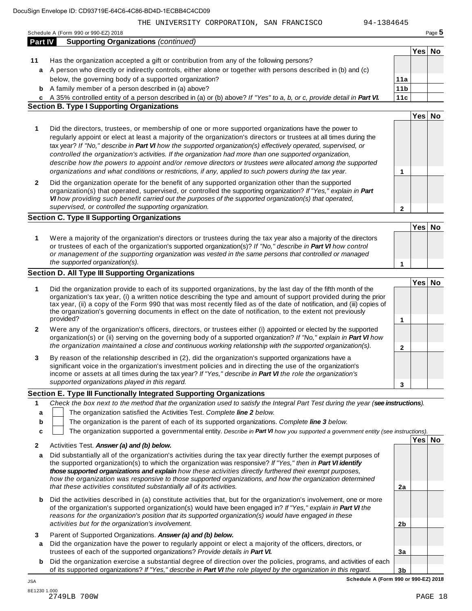|              | Part IV<br><b>Supporting Organizations (continued)</b>                                                                                                                                                                                                                                                                                                                                                                                                                      |                      |        |  |
|--------------|-----------------------------------------------------------------------------------------------------------------------------------------------------------------------------------------------------------------------------------------------------------------------------------------------------------------------------------------------------------------------------------------------------------------------------------------------------------------------------|----------------------|--------|--|
|              |                                                                                                                                                                                                                                                                                                                                                                                                                                                                             |                      | Yes No |  |
| 11           | Has the organization accepted a gift or contribution from any of the following persons?                                                                                                                                                                                                                                                                                                                                                                                     |                      |        |  |
|              | a A person who directly or indirectly controls, either alone or together with persons described in (b) and (c)                                                                                                                                                                                                                                                                                                                                                              |                      |        |  |
|              | below, the governing body of a supported organization?                                                                                                                                                                                                                                                                                                                                                                                                                      | 11a                  |        |  |
| b            | A family member of a person described in (a) above?                                                                                                                                                                                                                                                                                                                                                                                                                         | 11 <sub>b</sub>      |        |  |
|              | c A 35% controlled entity of a person described in (a) or (b) above? If "Yes" to a, b, or c, provide detail in Part VI.                                                                                                                                                                                                                                                                                                                                                     | 11c                  |        |  |
|              | <b>Section B. Type I Supporting Organizations</b>                                                                                                                                                                                                                                                                                                                                                                                                                           |                      |        |  |
|              |                                                                                                                                                                                                                                                                                                                                                                                                                                                                             |                      | Yes No |  |
| 1            | Did the directors, trustees, or membership of one or more supported organizations have the power to<br>regularly appoint or elect at least a majority of the organization's directors or trustees at all times during the                                                                                                                                                                                                                                                   |                      |        |  |
|              | tax year? If "No," describe in Part VI how the supported organization(s) effectively operated, supervised, or<br>controlled the organization's activities. If the organization had more than one supported organization,<br>describe how the powers to appoint and/or remove directors or trustees were allocated among the supported<br>organizations and what conditions or restrictions, if any, applied to such powers during the tax year.                             |                      |        |  |
| $\mathbf{2}$ | Did the organization operate for the benefit of any supported organization other than the supported<br>organization(s) that operated, supervised, or controlled the supporting organization? If "Yes," explain in Part                                                                                                                                                                                                                                                      | 1                    |        |  |
|              | VI how providing such benefit carried out the purposes of the supported organization(s) that operated,<br>supervised, or controlled the supporting organization.                                                                                                                                                                                                                                                                                                            | $\mathbf{2}$         |        |  |
|              | <b>Section C. Type II Supporting Organizations</b>                                                                                                                                                                                                                                                                                                                                                                                                                          |                      |        |  |
|              |                                                                                                                                                                                                                                                                                                                                                                                                                                                                             |                      | Yes No |  |
| 1            | Were a majority of the organization's directors or trustees during the tax year also a majority of the directors<br>or trustees of each of the organization's supported organization(s)? If "No," describe in Part VI how control<br>or management of the supporting organization was vested in the same persons that controlled or managed<br>the supported organization(s).                                                                                               | 1                    |        |  |
|              | Section D. All Type III Supporting Organizations                                                                                                                                                                                                                                                                                                                                                                                                                            |                      |        |  |
|              |                                                                                                                                                                                                                                                                                                                                                                                                                                                                             |                      | Yes No |  |
| 1            | Did the organization provide to each of its supported organizations, by the last day of the fifth month of the<br>organization's tax year, (i) a written notice describing the type and amount of support provided during the prior<br>tax year, (ii) a copy of the Form 990 that was most recently filed as of the date of notification, and (iii) copies of<br>the organization's governing documents in effect on the date of notification, to the extent not previously |                      |        |  |
|              | provided?                                                                                                                                                                                                                                                                                                                                                                                                                                                                   | 1                    |        |  |
| 2            | Were any of the organization's officers, directors, or trustees either (i) appointed or elected by the supported<br>organization(s) or (ii) serving on the governing body of a supported organization? If "No," explain in Part VI how<br>the organization maintained a close and continuous working relationship with the supported organization(s).                                                                                                                       |                      |        |  |
|              |                                                                                                                                                                                                                                                                                                                                                                                                                                                                             | $\mathbf 2$          |        |  |
| 3            | By reason of the relationship described in (2), did the organization's supported organizations have a<br>significant voice in the organization's investment policies and in directing the use of the organization's<br>income or assets at all times during the tax year? If "Yes," describe in Part VI the role the organization's                                                                                                                                         |                      |        |  |
|              | supported organizations played in this regard.                                                                                                                                                                                                                                                                                                                                                                                                                              | 3                    |        |  |
|              | Section E. Type III Functionally Integrated Supporting Organizations                                                                                                                                                                                                                                                                                                                                                                                                        |                      |        |  |
| 1            | Check the box next to the method that the organization used to satisfy the Integral Part Test during the year (see instructions).                                                                                                                                                                                                                                                                                                                                           |                      |        |  |
| a            | The organization satisfied the Activities Test. Complete line 2 below.                                                                                                                                                                                                                                                                                                                                                                                                      |                      |        |  |
| b            | The organization is the parent of each of its supported organizations. Complete line 3 below.                                                                                                                                                                                                                                                                                                                                                                               |                      |        |  |
| c            | The organization supported a governmental entity. Describe in Part VI how you supported a government entity (see instructions).                                                                                                                                                                                                                                                                                                                                             |                      |        |  |
|              |                                                                                                                                                                                                                                                                                                                                                                                                                                                                             |                      | Yes No |  |
| 2            | Activities Test. Answer (a) and (b) below.                                                                                                                                                                                                                                                                                                                                                                                                                                  |                      |        |  |
| a            | Did substantially all of the organization's activities during the tax year directly further the exempt purposes of                                                                                                                                                                                                                                                                                                                                                          |                      |        |  |
|              | the supported organization(s) to which the organization was responsive? If "Yes," then in Part VI identify<br>those supported organizations and explain how these activities directly furthered their exempt purposes,<br>how the organization was responsive to those supported organizations, and how the organization determined                                                                                                                                         |                      |        |  |
|              | that these activities constituted substantially all of its activities.                                                                                                                                                                                                                                                                                                                                                                                                      | 2a                   |        |  |
| b            | Did the activities described in (a) constitute activities that, but for the organization's involvement, one or more<br>of the organization's supported organization(s) would have been engaged in? If "Yes," explain in Part VI the<br>reasons for the organization's position that its supported organization(s) would have engaged in these                                                                                                                               |                      |        |  |
|              | activities but for the organization's involvement.                                                                                                                                                                                                                                                                                                                                                                                                                          | 2 <sub>b</sub>       |        |  |
| 3<br>a       | Parent of Supported Organizations. Answer (a) and (b) below.<br>Did the organization have the power to regularly appoint or elect a majority of the officers, directors, or                                                                                                                                                                                                                                                                                                 |                      |        |  |
| b            | trustees of each of the supported organizations? Provide details in Part VI.<br>Did the organization exercise a substantial degree of direction over the policies, programs, and activities of each<br>of its supported organizations? If "Yes," describe in Part VI the role played by the organization in this regard.                                                                                                                                                    | 3a<br>3 <sub>b</sub> |        |  |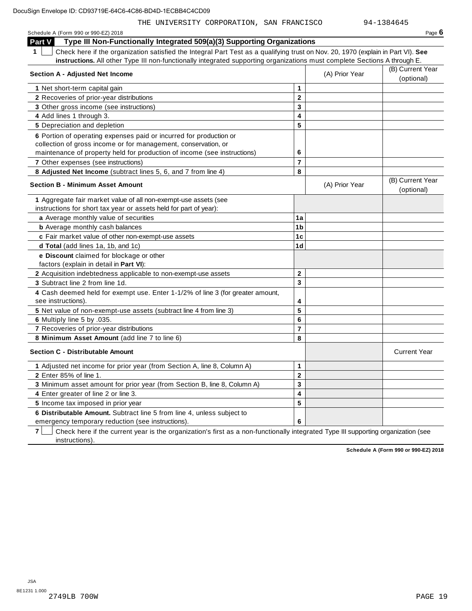| THE UNIVERSITY CORPORATION, SAN FRANCISCO                                                                                                       |                         |                | 94-1384645                     |
|-------------------------------------------------------------------------------------------------------------------------------------------------|-------------------------|----------------|--------------------------------|
| Schedule A (Form 990 or 990-EZ) 2018                                                                                                            |                         |                | Page $6$                       |
| Part V<br>Type III Non-Functionally Integrated 509(a)(3) Supporting Organizations                                                               |                         |                |                                |
| $\mathbf 1$<br>Check here if the organization satisfied the Integral Part Test as a qualifying trust on Nov. 20, 1970 (explain in Part VI). See |                         |                |                                |
| instructions. All other Type III non-functionally integrated supporting organizations must complete Sections A through E.                       |                         |                |                                |
|                                                                                                                                                 |                         |                | (B) Current Year               |
| Section A - Adjusted Net Income                                                                                                                 |                         | (A) Prior Year | (optional)                     |
| 1 Net short-term capital gain                                                                                                                   | 1                       |                |                                |
| 2 Recoveries of prior-year distributions                                                                                                        | $\mathbf{2}$            |                |                                |
| 3 Other gross income (see instructions)                                                                                                         | 3                       |                |                                |
| 4 Add lines 1 through 3.                                                                                                                        | 4                       |                |                                |
| 5 Depreciation and depletion                                                                                                                    | 5                       |                |                                |
| 6 Portion of operating expenses paid or incurred for production or                                                                              |                         |                |                                |
| collection of gross income or for management, conservation, or                                                                                  |                         |                |                                |
| maintenance of property held for production of income (see instructions)                                                                        | 6                       |                |                                |
| 7 Other expenses (see instructions)                                                                                                             | $\overline{\mathbf{r}}$ |                |                                |
| 8 Adjusted Net Income (subtract lines 5, 6, and 7 from line 4)                                                                                  | 8                       |                |                                |
| <b>Section B - Minimum Asset Amount</b>                                                                                                         |                         | (A) Prior Year | (B) Current Year<br>(optional) |
| 1 Aggregate fair market value of all non-exempt-use assets (see                                                                                 |                         |                |                                |
| instructions for short tax year or assets held for part of year):                                                                               |                         |                |                                |
| a Average monthly value of securities                                                                                                           | 1a                      |                |                                |
| <b>b</b> Average monthly cash balances                                                                                                          | 1 <sub>b</sub>          |                |                                |
| c Fair market value of other non-exempt-use assets                                                                                              | 1 <sub>c</sub>          |                |                                |
| d Total (add lines 1a, 1b, and 1c)                                                                                                              | 1 <sub>d</sub>          |                |                                |
| e Discount claimed for blockage or other                                                                                                        |                         |                |                                |
| factors (explain in detail in Part VI):                                                                                                         |                         |                |                                |
| 2 Acquisition indebtedness applicable to non-exempt-use assets                                                                                  | 2                       |                |                                |
| 3 Subtract line 2 from line 1d.                                                                                                                 | 3                       |                |                                |
| 4 Cash deemed held for exempt use. Enter 1-1/2% of line 3 (for greater amount,                                                                  |                         |                |                                |
| see instructions).                                                                                                                              | 4                       |                |                                |
| 5 Net value of non-exempt-use assets (subtract line 4 from line 3)                                                                              | 5                       |                |                                |
| 6 Multiply line 5 by .035.                                                                                                                      | 6                       |                |                                |
| 7 Recoveries of prior-year distributions                                                                                                        | $\overline{7}$          |                |                                |
| 8 Minimum Asset Amount (add line 7 to line 6)                                                                                                   | 8                       |                |                                |
| <b>Section C - Distributable Amount</b>                                                                                                         |                         |                | <b>Current Year</b>            |
| 1 Adjusted net income for prior year (from Section A, line 8, Column A)                                                                         | 1                       |                |                                |
| 2 Enter 85% of line 1.                                                                                                                          | $\overline{\mathbf{2}}$ |                |                                |
| 3 Minimum asset amount for prior year (from Section B, line 8, Column A)                                                                        | $\overline{\mathbf{3}}$ |                |                                |

**4** Enter greater of line 2 or line 3. **5** Income tax imposed in prior year **6 Distributable Amount.** Subtract line 5 from line 4, unless subject to

emergency temporary reduction (see instructions).

**7** Check here if the current year is the organization's first as a non-functionally integrated Type III supporting organization (see instructions).

**4 5**

**6**

**Schedule A (Form 990 or 990-EZ) 2018**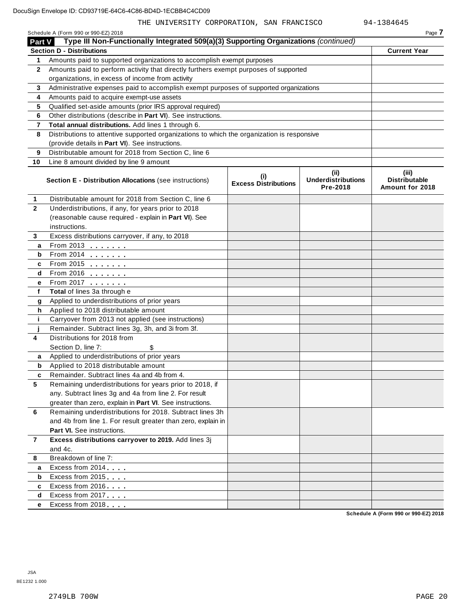| Page |
|------|
|      |

|                         | Type III Non-Functionally Integrated 509(a)(3) Supporting Organizations (continued)<br>Part V |                                    |                                               |                                                  |  |  |  |  |  |
|-------------------------|-----------------------------------------------------------------------------------------------|------------------------------------|-----------------------------------------------|--------------------------------------------------|--|--|--|--|--|
|                         | <b>Section D - Distributions</b>                                                              |                                    |                                               | <b>Current Year</b>                              |  |  |  |  |  |
| 1                       | Amounts paid to supported organizations to accomplish exempt purposes                         |                                    |                                               |                                                  |  |  |  |  |  |
| $\mathbf{2}$            | Amounts paid to perform activity that directly furthers exempt purposes of supported          |                                    |                                               |                                                  |  |  |  |  |  |
|                         | organizations, in excess of income from activity                                              |                                    |                                               |                                                  |  |  |  |  |  |
| 3                       | Administrative expenses paid to accomplish exempt purposes of supported organizations         |                                    |                                               |                                                  |  |  |  |  |  |
| 4                       | Amounts paid to acquire exempt-use assets                                                     |                                    |                                               |                                                  |  |  |  |  |  |
| 5                       | Qualified set-aside amounts (prior IRS approval required)                                     |                                    |                                               |                                                  |  |  |  |  |  |
| 6                       | Other distributions (describe in Part VI). See instructions.                                  |                                    |                                               |                                                  |  |  |  |  |  |
| $\overline{\mathbf{r}}$ | Total annual distributions. Add lines 1 through 6.                                            |                                    |                                               |                                                  |  |  |  |  |  |
| 8                       | Distributions to attentive supported organizations to which the organization is responsive    |                                    |                                               |                                                  |  |  |  |  |  |
|                         | (provide details in Part VI). See instructions.                                               |                                    |                                               |                                                  |  |  |  |  |  |
| 9                       | Distributable amount for 2018 from Section C, line 6                                          |                                    |                                               |                                                  |  |  |  |  |  |
| 10                      | Line 8 amount divided by line 9 amount                                                        |                                    |                                               |                                                  |  |  |  |  |  |
|                         | <b>Section E - Distribution Allocations (see instructions)</b>                                | (i)<br><b>Excess Distributions</b> | (ii)<br><b>Underdistributions</b><br>Pre-2018 | (iii)<br><b>Distributable</b><br>Amount for 2018 |  |  |  |  |  |
| 1                       | Distributable amount for 2018 from Section C, line 6                                          |                                    |                                               |                                                  |  |  |  |  |  |
| $\mathbf{2}$            | Underdistributions, if any, for years prior to 2018                                           |                                    |                                               |                                                  |  |  |  |  |  |
|                         | (reasonable cause required - explain in Part VI). See                                         |                                    |                                               |                                                  |  |  |  |  |  |
|                         | instructions.                                                                                 |                                    |                                               |                                                  |  |  |  |  |  |
| 3                       | Excess distributions carryover, if any, to 2018                                               |                                    |                                               |                                                  |  |  |  |  |  |
| a                       | From 2013                                                                                     |                                    |                                               |                                                  |  |  |  |  |  |
| b                       | From 2014 $\frac{201}{20}$                                                                    |                                    |                                               |                                                  |  |  |  |  |  |
| c                       | From 2015 $\frac{1}{2}$                                                                       |                                    |                                               |                                                  |  |  |  |  |  |
| d                       | From 2016 $\frac{1}{\sqrt{2}}$                                                                |                                    |                                               |                                                  |  |  |  |  |  |
| е                       | From 2017                                                                                     |                                    |                                               |                                                  |  |  |  |  |  |
| f                       | Total of lines 3a through e                                                                   |                                    |                                               |                                                  |  |  |  |  |  |
| g                       | Applied to underdistributions of prior years                                                  |                                    |                                               |                                                  |  |  |  |  |  |
| h                       | Applied to 2018 distributable amount                                                          |                                    |                                               |                                                  |  |  |  |  |  |
| j.                      | Carryover from 2013 not applied (see instructions)                                            |                                    |                                               |                                                  |  |  |  |  |  |
|                         | Remainder. Subtract lines 3g, 3h, and 3i from 3f.                                             |                                    |                                               |                                                  |  |  |  |  |  |
| 4                       | Distributions for 2018 from                                                                   |                                    |                                               |                                                  |  |  |  |  |  |
|                         | Section D, line 7:                                                                            |                                    |                                               |                                                  |  |  |  |  |  |
| a                       | Applied to underdistributions of prior years                                                  |                                    |                                               |                                                  |  |  |  |  |  |
| b                       | Applied to 2018 distributable amount                                                          |                                    |                                               |                                                  |  |  |  |  |  |
| c                       | Remainder. Subtract lines 4a and 4b from 4.                                                   |                                    |                                               |                                                  |  |  |  |  |  |
|                         | Remaining underdistributions for years prior to 2018, if                                      |                                    |                                               |                                                  |  |  |  |  |  |
|                         | any. Subtract lines 3g and 4a from line 2. For result                                         |                                    |                                               |                                                  |  |  |  |  |  |
|                         | greater than zero, explain in Part VI. See instructions.                                      |                                    |                                               |                                                  |  |  |  |  |  |
| 6                       | Remaining underdistributions for 2018. Subtract lines 3h                                      |                                    |                                               |                                                  |  |  |  |  |  |
|                         | and 4b from line 1. For result greater than zero, explain in                                  |                                    |                                               |                                                  |  |  |  |  |  |
|                         | Part VI. See instructions.                                                                    |                                    |                                               |                                                  |  |  |  |  |  |
| $\overline{7}$          | Excess distributions carryover to 2019. Add lines 3j                                          |                                    |                                               |                                                  |  |  |  |  |  |
|                         | and 4c.                                                                                       |                                    |                                               |                                                  |  |  |  |  |  |
| 8                       | Breakdown of line 7:                                                                          |                                    |                                               |                                                  |  |  |  |  |  |
| a                       | Excess from 2014                                                                              |                                    |                                               |                                                  |  |  |  |  |  |
| b                       | Excess from 2015                                                                              |                                    |                                               |                                                  |  |  |  |  |  |
| c                       | Excess from 2016                                                                              |                                    |                                               |                                                  |  |  |  |  |  |
| d                       | Excess from 2017                                                                              |                                    |                                               |                                                  |  |  |  |  |  |
| е                       | Excess from 2018                                                                              |                                    |                                               |                                                  |  |  |  |  |  |

**Schedule A (Form 990 or 990-EZ) 2018**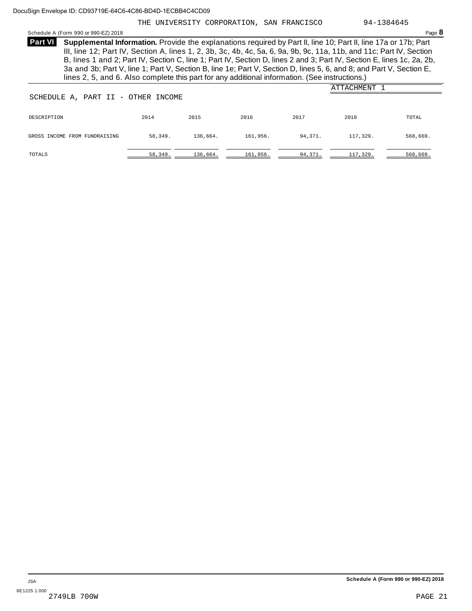## THE UNIVERSITY CORPORATION, SAN FRANCISCO 94-1384645

Schedule <sup>A</sup> (Form <sup>990</sup> or 990-EZ) <sup>2018</sup> Page **8**

**Supplemental Information.** Provide the explanations required by Part II, line 10; Part II, line 17a or 17b; Part **Part VI** III, line 12; Part IV, Section A, lines 1, 2, 3b, 3c, 4b, 4c, 5a, 6, 9a, 9b, 9c, 11a, 11b, and 11c; Part IV, Section B, lines 1 and 2; Part IV, Section C, line 1; Part IV, Section D, lines 2 and 3; Part IV, Section E, lines 1c, 2a, 2b, 3a and 3b; Part V, line 1; Part V, Section B, line 1e; Part V, Section D, lines 5, 6, and 8; and Part V, Section E, lines 2, 5, and 6. Also complete this part for any additional information. (See instructions.)

|                               | ATTACHMENT<br>SCHEDULE A, PART II - OTHER INCOME |          |          |         |          |          |  |  |  |
|-------------------------------|--------------------------------------------------|----------|----------|---------|----------|----------|--|--|--|
|                               |                                                  |          |          |         |          |          |  |  |  |
| DESCRIPTION                   | 2014                                             | 2015     | 2016     | 2017    | 2018     | TOTAL    |  |  |  |
| GROSS INCOME FROM FUNDRAISING | 58,349.                                          | 136,664. | 161,956. | 94,371. | 117,329. | 568,669. |  |  |  |
| TOTALS                        | 58,349.                                          | 136,664. | 161,956. | 94,371. | 117,329. | 568,669. |  |  |  |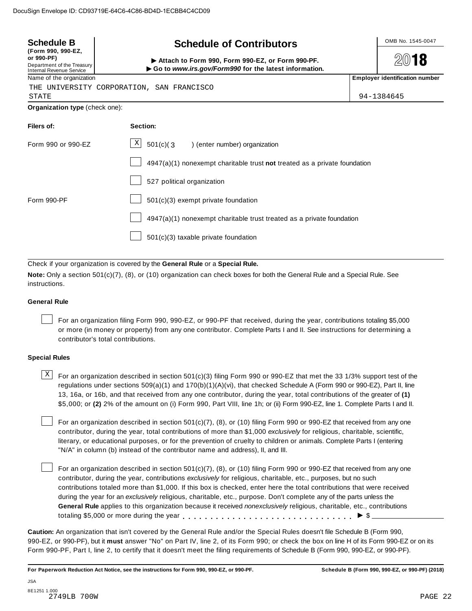| <b>Schedule B</b><br><b>Schedule of Contributors</b><br>(Form 990, 990-EZ,  |                                                                                                           |  | OMB No. 1545-0047                     |
|-----------------------------------------------------------------------------|-----------------------------------------------------------------------------------------------------------|--|---------------------------------------|
| or 990-PF)<br>Department of the Treasury<br><b>Internal Revenue Service</b> | Attach to Form 990, Form 990-EZ, or Form 990-PF.<br>Go to www.irs.gov/Form990 for the latest information. |  | 18                                    |
| Name of the organization                                                    |                                                                                                           |  | <b>Employer identification number</b> |
|                                                                             | THE UNIVERSITY CORPORATION, SAN FRANCISCO                                                                 |  |                                       |
| <b>STATE</b>                                                                |                                                                                                           |  | 94-1384645                            |
| Organization type (check one):                                              |                                                                                                           |  |                                       |
| Filers of:                                                                  | Section:                                                                                                  |  |                                       |
| Form 990 or 990-FZ                                                          | X  <br>$501(c)$ (3<br>) (enter number) organization                                                       |  |                                       |
|                                                                             | $4947(a)(1)$ nonexempt charitable trust not treated as a private foundation                               |  |                                       |
|                                                                             | 527 political organization                                                                                |  |                                       |
| Form 990-PF                                                                 | 501(c)(3) exempt private foundation                                                                       |  |                                       |
|                                                                             | $4947(a)(1)$ nonexempt charitable trust treated as a private foundation                                   |  |                                       |
|                                                                             | $501(c)(3)$ taxable private foundation                                                                    |  |                                       |

Check if your organization is covered by the **General Rule** or a **Special Rule.**

**Note:** Only a section 501(c)(7), (8), or (10) organization can check boxes for both the General Rule and a Special Rule. See instructions.

## **General Rule**

For an organization filing Form 990, 990-EZ, or 990-PF that received, during the year, contributions totaling \$5,000 or more (in money or property) from any one contributor. Complete Parts I and II. See instructions for determining a contributor's total contributions.

## **Special Rules**

 $\text{X}$  For an organization described in section 501(c)(3) filing Form 990 or 990-EZ that met the 33 1/3% support test of the regulations under sections 509(a)(1) and 170(b)(1)(A)(vi), that checked Schedule A (Form 990 or 990-EZ), Part II, line 13, 16a, or 16b, and that received from any one contributor, during the year, total contributions of the greater of **(1)** \$5,000; or **(2)** 2% of the amount on (i) Form 990, Part VIII, line 1h; or (ii) Form 990-EZ, line 1. Complete Parts I and II.

For an organization described in section 501(c)(7), (8), or (10) filing Form 990 or 990-EZ that received from any one contributor, during the year, total contributions of more than \$1,000 *exclusively* for religious, charitable, scientific, literary, or educational purposes, or for the prevention of cruelty to children or animals. Complete Parts I (entering "N/A" in column (b) instead of the contributor name and address), II, and III.

For an organization described in section 501(c)(7), (8), or (10) filing Form 990 or 990-EZ that received from any one contributor, during the year, contributions *exclusively* for religious, charitable, etc., purposes, but no such contributions totaled more than \$1,000. If this box is checked, enter here the total contributions that were received during the year for an *exclusively* religious, charitable, etc., purpose. Don't complete any of the parts unless the **General Rule** applies to this organization because it received *nonexclusively* religious, charitable, etc., contributions totaling \$5,000 or more during the year m m m m m m m m m m m m m m m m m m m m m m m m m m m m m m m I \$

**Caution:** An organization that isn't covered by the General Rule and/or the Special Rules doesn't file Schedule B (Form 990, 990-EZ, or 990-PF), but it **must** answer "No" on Part IV, line 2, of its Form 990; or check the box on line H of its Form 990-EZ or on its Form 990-PF, Part I, line 2, to certify that it doesn't meet the filing requirements of Schedule B (Form 990, 990-EZ, or 990-PF).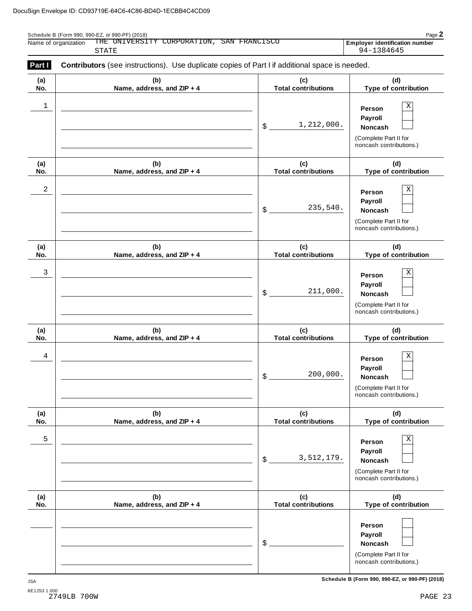| Page $\mathbf{z}$<br>Schedule B (Form 990, 990-EZ, or 990-PF) (2018) |                                                  |                                |  |  |
|----------------------------------------------------------------------|--------------------------------------------------|--------------------------------|--|--|
| Name of organization                                                 | THE UNIVERSITY CORPORATION, S<br>, SAN FRANCISCO | Emplover identification number |  |  |
|                                                                      | STATE                                            | 94-1384645                     |  |  |

| (a) | (b)                        | (c)                        | (d)                                                                                   |
|-----|----------------------------|----------------------------|---------------------------------------------------------------------------------------|
| No. | Name, address, and ZIP + 4 | <b>Total contributions</b> | Type of contribution                                                                  |
| 1   |                            | 1,212,000.<br>\$           | Χ<br>Person<br>Payroll<br>Noncash<br>(Complete Part II for<br>noncash contributions.) |
| (a) | (b)                        | (c)                        | (d)                                                                                   |
| No. | Name, address, and ZIP + 4 | <b>Total contributions</b> | Type of contribution                                                                  |
| 2   |                            | 235,540.<br>\$             | Χ<br>Person<br>Payroll<br>Noncash<br>(Complete Part II for<br>noncash contributions.) |
| (a) | (b)                        | (c)                        | (d)                                                                                   |
| No. | Name, address, and ZIP + 4 | <b>Total contributions</b> | Type of contribution                                                                  |
| 3   |                            | 211,000.<br>\$             | Χ<br>Person<br>Payroll<br>Noncash<br>(Complete Part II for<br>noncash contributions.) |
| (a) | (b)                        | (c)                        | (d)                                                                                   |
| No. | Name, address, and ZIP + 4 | <b>Total contributions</b> | Type of contribution                                                                  |
| 4   |                            | 200,000.<br>\$             | Χ<br>Person<br>Payroll<br>Noncash<br>(Complete Part II for<br>noncash contributions.) |
| (a) | (b)                        | (c)                        | (d)                                                                                   |
| No. | Name, address, and ZIP + 4 | <b>Total contributions</b> | Type of contribution                                                                  |
| 5   |                            | 3,512,179.<br>\$           | Χ<br>Person<br>Payroll<br>Noncash<br>(Complete Part II for<br>noncash contributions.) |
| (a) | (b)                        | (c)                        | (d)                                                                                   |
| No. | Name, address, and ZIP + 4 | <b>Total contributions</b> | Type of contribution                                                                  |
|     |                            | \$                         | Person<br>Payroll<br>Noncash<br>(Complete Part II for<br>noncash contributions.)      |

**Schedule B (Form 990, 990-EZ, or 990-PF) (2018)** JSA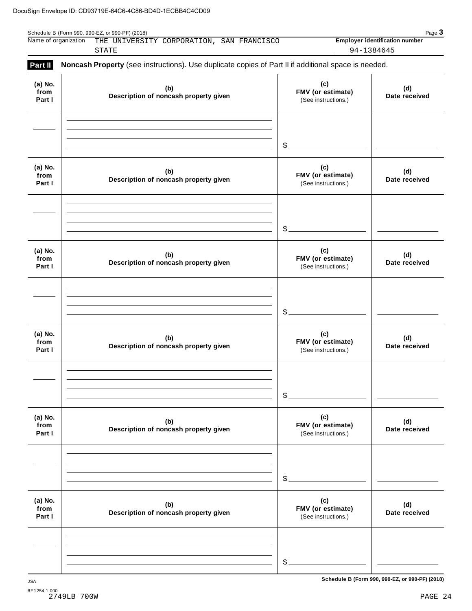| Name of organization | THE UNIVERSITY CORPORATION, SAN FRANCISCO                                                           |  | <b>Employer identification number</b> |
|----------------------|-----------------------------------------------------------------------------------------------------|--|---------------------------------------|
|                      | STATE                                                                                               |  | 94-1384645                            |
| <b>Part II</b>       |                                                                                                     |  |                                       |
|                      | Noncash Property (see instructions). Use duplicate copies of Part II if additional space is needed. |  |                                       |

|                           |                                              | $\mathcal{S}_{-}$                               |                      |
|---------------------------|----------------------------------------------|-------------------------------------------------|----------------------|
| (a) No.<br>from<br>Part I | (b)<br>Description of noncash property given | (c)<br>FMV (or estimate)<br>(See instructions.) | (d)<br>Date received |
| (a) No.<br>from           | (b)                                          | $\mathcal{S}_{-}$<br>(c)<br>FMV (or estimate)   | (d)                  |
| Part I                    | Description of noncash property given        | (See instructions.)                             | Date received        |
|                           |                                              |                                                 |                      |
|                           |                                              | $$$ .                                           |                      |
| (a) No.<br>from<br>Part I | (b)<br>Description of noncash property given | (c)<br>FMV (or estimate)<br>(See instructions.) | (d)<br>Date received |
|                           |                                              |                                                 |                      |
|                           |                                              | \$.                                             |                      |
| (a) No.<br>from<br>Part I | (b)<br>Description of noncash property given | (c)<br>FMV (or estimate)<br>(See instructions.) | (d)<br>Date received |
|                           |                                              |                                                 |                      |
|                           |                                              | \$                                              |                      |
| (a) No.<br>from<br>Part I | (b)<br>Description of noncash property given | (c)<br>FMV (or estimate)<br>(See instructions.) | (d)<br>Date received |
|                           |                                              |                                                 |                      |
|                           |                                              | $\mathcal{L}$                                   |                      |

**Schedule B (Form 990, 990-EZ, or 990-PF) (2018)** JSA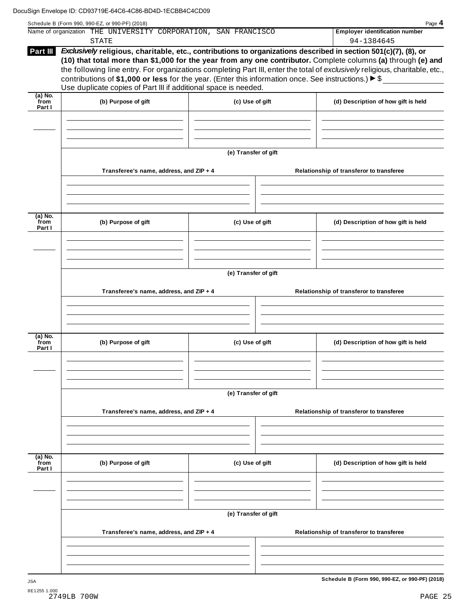|                           | Name of organization THE UNIVERSITY CORPORATION, SAN FRANCISCO<br><b>STATE</b>                                                                                                                                                                                                                                 |                      | <b>Employer identification number</b><br>94-1384645                                                                                                                                                                                           |
|---------------------------|----------------------------------------------------------------------------------------------------------------------------------------------------------------------------------------------------------------------------------------------------------------------------------------------------------------|----------------------|-----------------------------------------------------------------------------------------------------------------------------------------------------------------------------------------------------------------------------------------------|
| Part III                  | Exclusively religious, charitable, etc., contributions to organizations described in section 501(c)(7), (8), or<br>contributions of \$1,000 or less for the year. (Enter this information once. See instructions.) $\blacktriangleright$ \$<br>Use duplicate copies of Part III if additional space is needed. |                      | (10) that total more than \$1,000 for the year from any one contributor. Complete columns (a) through (e) and<br>the following line entry. For organizations completing Part III, enter the total of exclusively religious, charitable, etc., |
| (a) No.<br>from<br>Part I | (b) Purpose of gift                                                                                                                                                                                                                                                                                            | (c) Use of gift      | (d) Description of how gift is held                                                                                                                                                                                                           |
|                           |                                                                                                                                                                                                                                                                                                                |                      |                                                                                                                                                                                                                                               |
|                           |                                                                                                                                                                                                                                                                                                                | (e) Transfer of gift |                                                                                                                                                                                                                                               |
|                           | Transferee's name, address, and ZIP + 4                                                                                                                                                                                                                                                                        |                      | Relationship of transferor to transferee                                                                                                                                                                                                      |
| (a) No.                   |                                                                                                                                                                                                                                                                                                                |                      |                                                                                                                                                                                                                                               |
| from<br>Part I            | (b) Purpose of gift                                                                                                                                                                                                                                                                                            | (c) Use of gift      | (d) Description of how gift is held                                                                                                                                                                                                           |
|                           |                                                                                                                                                                                                                                                                                                                |                      |                                                                                                                                                                                                                                               |
|                           | Transferee's name, address, and ZIP + 4                                                                                                                                                                                                                                                                        | (e) Transfer of gift | Relationship of transferor to transferee                                                                                                                                                                                                      |
|                           |                                                                                                                                                                                                                                                                                                                |                      |                                                                                                                                                                                                                                               |
| (a) No.<br>from<br>Part I | (b) Purpose of gift                                                                                                                                                                                                                                                                                            | (c) Use of gift      | (d) Description of how gift is held                                                                                                                                                                                                           |
|                           |                                                                                                                                                                                                                                                                                                                |                      |                                                                                                                                                                                                                                               |
|                           | Transferee's name, address, and ZIP + 4                                                                                                                                                                                                                                                                        | (e) Transfer of gift | Relationship of transferor to transferee                                                                                                                                                                                                      |
|                           |                                                                                                                                                                                                                                                                                                                |                      |                                                                                                                                                                                                                                               |
| (a) No.<br>from<br>Part I | (b) Purpose of gift                                                                                                                                                                                                                                                                                            | (c) Use of gift      | (d) Description of how gift is held                                                                                                                                                                                                           |
|                           |                                                                                                                                                                                                                                                                                                                |                      |                                                                                                                                                                                                                                               |
|                           |                                                                                                                                                                                                                                                                                                                | (e) Transfer of gift |                                                                                                                                                                                                                                               |
|                           | Transferee's name, address, and ZIP + 4                                                                                                                                                                                                                                                                        |                      | Relationship of transferor to transferee                                                                                                                                                                                                      |
|                           |                                                                                                                                                                                                                                                                                                                |                      |                                                                                                                                                                                                                                               |
|                           |                                                                                                                                                                                                                                                                                                                |                      |                                                                                                                                                                                                                                               |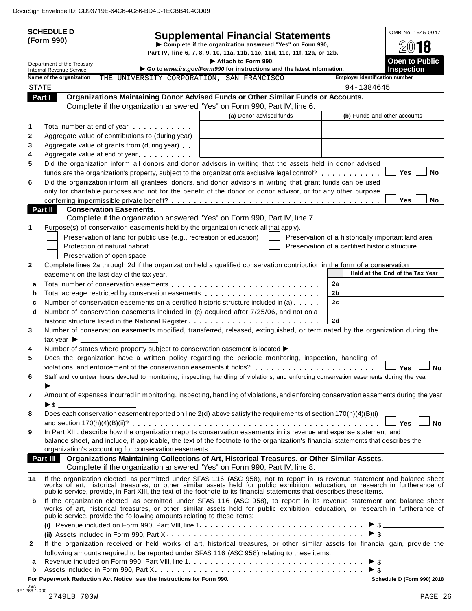|              | <b>SCHEDULE D</b>                                             |                                                                                                                                                                                                                               | <b>Supplemental Financial Statements</b>                                                      |          | OMB No. 1545-0047                                                                                                                                                                                                                                            |
|--------------|---------------------------------------------------------------|-------------------------------------------------------------------------------------------------------------------------------------------------------------------------------------------------------------------------------|-----------------------------------------------------------------------------------------------|----------|--------------------------------------------------------------------------------------------------------------------------------------------------------------------------------------------------------------------------------------------------------------|
|              | (Form 990)                                                    |                                                                                                                                                                                                                               | Complete if the organization answered "Yes" on Form 990,                                      |          | 18                                                                                                                                                                                                                                                           |
|              |                                                               |                                                                                                                                                                                                                               | Part IV, line 6, 7, 8, 9, 10, 11a, 11b, 11c, 11d, 11e, 11f, 12a, or 12b.                      |          |                                                                                                                                                                                                                                                              |
|              | Department of the Treasury<br><b>Internal Revenue Service</b> |                                                                                                                                                                                                                               | Attach to Form 990.<br>Go to www.irs.gov/Form990 for instructions and the latest information. |          | <b>Open to Public</b><br><b>Inspection</b>                                                                                                                                                                                                                   |
|              | Name of the organization                                      | THE UNIVERSITY CORPORATION, SAN FRANCISCO                                                                                                                                                                                     |                                                                                               |          | <b>Employer identification number</b>                                                                                                                                                                                                                        |
| <b>STATE</b> |                                                               |                                                                                                                                                                                                                               |                                                                                               |          | 94-1384645                                                                                                                                                                                                                                                   |
| Part I       |                                                               | Organizations Maintaining Donor Advised Funds or Other Similar Funds or Accounts.                                                                                                                                             |                                                                                               |          |                                                                                                                                                                                                                                                              |
|              |                                                               | Complete if the organization answered "Yes" on Form 990, Part IV, line 6.                                                                                                                                                     |                                                                                               |          |                                                                                                                                                                                                                                                              |
|              |                                                               |                                                                                                                                                                                                                               | (a) Donor advised funds                                                                       |          | (b) Funds and other accounts                                                                                                                                                                                                                                 |
| 1            |                                                               | Total number at end of year entitled as a set of the set of the set of the set of the set of the set of the set of the set of the set of the set of the set of the set of the set of the set of the set of the set of the set |                                                                                               |          |                                                                                                                                                                                                                                                              |
| 2            |                                                               | Aggregate value of contributions to (during year)                                                                                                                                                                             |                                                                                               |          |                                                                                                                                                                                                                                                              |
| 3            |                                                               | Aggregate value of grants from (during year)                                                                                                                                                                                  |                                                                                               |          |                                                                                                                                                                                                                                                              |
| 4            |                                                               | Aggregate value at end of year                                                                                                                                                                                                |                                                                                               |          |                                                                                                                                                                                                                                                              |
| 5            |                                                               | Did the organization inform all donors and donor advisors in writing that the assets held in donor advised<br>funds are the organization's property, subject to the organization's exclusive legal control?                   |                                                                                               |          | <b>Yes</b><br><b>No</b>                                                                                                                                                                                                                                      |
| 6            |                                                               | Did the organization inform all grantees, donors, and donor advisors in writing that grant funds can be used                                                                                                                  |                                                                                               |          |                                                                                                                                                                                                                                                              |
|              |                                                               | only for charitable purposes and not for the benefit of the donor or donor advisor, or for any other purpose                                                                                                                  |                                                                                               |          |                                                                                                                                                                                                                                                              |
|              |                                                               |                                                                                                                                                                                                                               |                                                                                               |          | <b>Yes</b><br><b>No</b>                                                                                                                                                                                                                                      |
| Part II      |                                                               | <b>Conservation Easements.</b>                                                                                                                                                                                                |                                                                                               |          |                                                                                                                                                                                                                                                              |
|              |                                                               | Complete if the organization answered "Yes" on Form 990, Part IV, line 7.                                                                                                                                                     |                                                                                               |          |                                                                                                                                                                                                                                                              |
|              |                                                               | Purpose(s) of conservation easements held by the organization (check all that apply).                                                                                                                                         |                                                                                               |          |                                                                                                                                                                                                                                                              |
|              |                                                               | Preservation of land for public use (e.g., recreation or education)                                                                                                                                                           |                                                                                               |          | Preservation of a historically important land area                                                                                                                                                                                                           |
|              |                                                               | Protection of natural habitat                                                                                                                                                                                                 |                                                                                               |          | Preservation of a certified historic structure                                                                                                                                                                                                               |
|              |                                                               | Preservation of open space                                                                                                                                                                                                    |                                                                                               |          |                                                                                                                                                                                                                                                              |
| $\mathbf{2}$ |                                                               | Complete lines 2a through 2d if the organization held a qualified conservation contribution in the form of a conservation                                                                                                     |                                                                                               |          | Held at the End of the Tax Year                                                                                                                                                                                                                              |
|              |                                                               | easement on the last day of the tax year.                                                                                                                                                                                     |                                                                                               |          |                                                                                                                                                                                                                                                              |
| a            |                                                               |                                                                                                                                                                                                                               |                                                                                               | 2a       |                                                                                                                                                                                                                                                              |
| b            |                                                               | Number of conservation easements on a certified historic structure included in (a)                                                                                                                                            |                                                                                               | 2b<br>2c |                                                                                                                                                                                                                                                              |
| c<br>d       |                                                               | Number of conservation easements included in (c) acquired after 7/25/06, and not on a                                                                                                                                         |                                                                                               |          |                                                                                                                                                                                                                                                              |
|              |                                                               |                                                                                                                                                                                                                               |                                                                                               | 2d       |                                                                                                                                                                                                                                                              |
| 3            |                                                               | Number of conservation easements modified, transferred, released, extinguished, or terminated by the organization during the                                                                                                  |                                                                                               |          |                                                                                                                                                                                                                                                              |
|              | tax year $\blacktriangleright$                                |                                                                                                                                                                                                                               |                                                                                               |          |                                                                                                                                                                                                                                                              |
| 4            |                                                               |                                                                                                                                                                                                                               |                                                                                               |          |                                                                                                                                                                                                                                                              |
| 5            |                                                               | Does the organization have a written policy regarding the periodic monitoring, inspection, handling of                                                                                                                        |                                                                                               |          |                                                                                                                                                                                                                                                              |
|              |                                                               |                                                                                                                                                                                                                               |                                                                                               |          | Yes<br>No                                                                                                                                                                                                                                                    |
| 6            |                                                               | Staff and volunteer hours devoted to monitoring, inspecting, handling of violations, and enforcing conservation easements during the year                                                                                     |                                                                                               |          |                                                                                                                                                                                                                                                              |
|              |                                                               |                                                                                                                                                                                                                               |                                                                                               |          |                                                                                                                                                                                                                                                              |
| 7            |                                                               |                                                                                                                                                                                                                               |                                                                                               |          | Amount of expenses incurred in monitoring, inspecting, handling of violations, and enforcing conservation easements during the year                                                                                                                          |
|              | $\blacktriangleright$ \$                                      |                                                                                                                                                                                                                               |                                                                                               |          |                                                                                                                                                                                                                                                              |
| 8            |                                                               | Does each conservation easement reported on line 2(d) above satisfy the requirements of section 170(h)(4)(B)(i)                                                                                                               |                                                                                               |          |                                                                                                                                                                                                                                                              |
|              |                                                               | In Part XIII, describe how the organization reports conservation easements in its revenue and expense statement, and                                                                                                          |                                                                                               |          | <b>No</b><br><b>Yes</b>                                                                                                                                                                                                                                      |
| 9            |                                                               | balance sheet, and include, if applicable, the text of the footnote to the organization's financial statements that describes the                                                                                             |                                                                                               |          |                                                                                                                                                                                                                                                              |
|              |                                                               | organization's accounting for conservation easements.                                                                                                                                                                         |                                                                                               |          |                                                                                                                                                                                                                                                              |
|              |                                                               | Part III Organizations Maintaining Collections of Art, Historical Treasures, or Other Similar Assets.                                                                                                                         |                                                                                               |          |                                                                                                                                                                                                                                                              |
|              |                                                               | Complete if the organization answered "Yes" on Form 990, Part IV, line 8.                                                                                                                                                     |                                                                                               |          |                                                                                                                                                                                                                                                              |
| 1a           |                                                               |                                                                                                                                                                                                                               |                                                                                               |          |                                                                                                                                                                                                                                                              |
|              |                                                               |                                                                                                                                                                                                                               |                                                                                               |          | If the organization elected, as permitted under SFAS 116 (ASC 958), not to report in its revenue statement and balance sheet works of art, historical treasures, or other similar assets held for public exhibition, education                               |
| b            |                                                               | public service, provide the following amounts relating to these items:                                                                                                                                                        |                                                                                               |          | If the organization elected, as permitted under SFAS 116 (ASC 958), to report in its revenue statement and balance sheet<br>works of art, historical treasures, or other similar assets held for public exhibition, education, or research in furtherance of |
|              |                                                               |                                                                                                                                                                                                                               |                                                                                               |          |                                                                                                                                                                                                                                                              |
|              |                                                               |                                                                                                                                                                                                                               |                                                                                               |          |                                                                                                                                                                                                                                                              |
| $\mathbf{2}$ |                                                               |                                                                                                                                                                                                                               |                                                                                               |          | If the organization received or held works of art, historical treasures, or other similar assets for financial gain, provide the                                                                                                                             |
|              |                                                               | following amounts required to be reported under SFAS 116 (ASC 958) relating to these items:                                                                                                                                   |                                                                                               |          |                                                                                                                                                                                                                                                              |
| a            |                                                               |                                                                                                                                                                                                                               |                                                                                               |          |                                                                                                                                                                                                                                                              |
| b            |                                                               | For Paperwork Reduction Act Notice, see the Instructions for Form 990.                                                                                                                                                        |                                                                                               |          | Schedule D (Form 990) 2018                                                                                                                                                                                                                                   |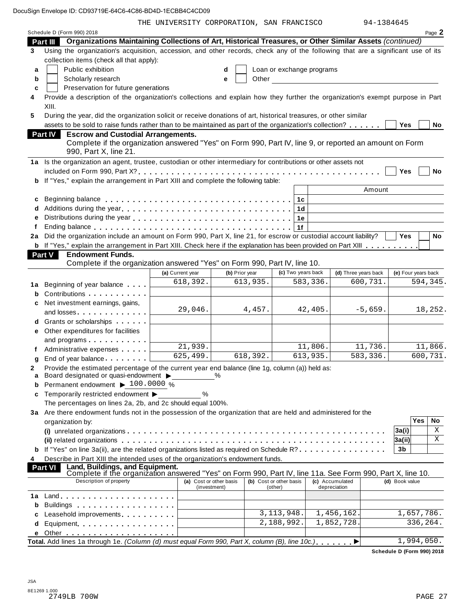THE UNIVERSITY CORPORATION, SAN FRANCISCO 94-1384645

|        | Schedule D (Form 990) 2018                                                                                                                                   |                         |              |                |                           |          |                                  |                     |            | Page 2    |
|--------|--------------------------------------------------------------------------------------------------------------------------------------------------------------|-------------------------|--------------|----------------|---------------------------|----------|----------------------------------|---------------------|------------|-----------|
|        | Organizations Maintaining Collections of Art, Historical Treasures, or Other Similar Assets (continued)<br>Part III                                          |                         |              |                |                           |          |                                  |                     |            |           |
| 3      | Using the organization's acquisition, accession, and other records, check any of the following that are a significant use of its                             |                         |              |                |                           |          |                                  |                     |            |           |
|        | collection items (check all that apply):                                                                                                                     |                         |              |                |                           |          |                                  |                     |            |           |
| a      | Public exhibition                                                                                                                                            |                         | d            |                | Loan or exchange programs |          |                                  |                     |            |           |
| b      | Scholarly research                                                                                                                                           |                         | e            | Other          |                           |          |                                  |                     |            |           |
| C      | Preservation for future generations                                                                                                                          |                         |              |                |                           |          |                                  |                     |            |           |
| 4      | Provide a description of the organization's collections and explain how they further the organization's exempt purpose in Part                               |                         |              |                |                           |          |                                  |                     |            |           |
|        | XIII.                                                                                                                                                        |                         |              |                |                           |          |                                  |                     |            |           |
| 5      | During the year, did the organization solicit or receive donations of art, historical treasures, or other similar                                            |                         |              |                |                           |          |                                  |                     |            |           |
|        | assets to be sold to raise funds rather than to be maintained as part of the organization's collection?                                                      |                         |              |                |                           |          |                                  | Yes                 |            | No        |
|        | Part IV<br><b>Escrow and Custodial Arrangements.</b>                                                                                                         |                         |              |                |                           |          |                                  |                     |            |           |
|        | Complete if the organization answered "Yes" on Form 990, Part IV, line 9, or reported an amount on Form<br>990, Part X, line 21.                             |                         |              |                |                           |          |                                  |                     |            |           |
|        | 1a Is the organization an agent, trustee, custodian or other intermediary for contributions or other assets not                                              |                         |              |                |                           |          |                                  |                     |            |           |
|        |                                                                                                                                                              |                         |              |                |                           |          |                                  | Yes                 |            | <b>No</b> |
|        | b If "Yes," explain the arrangement in Part XIII and complete the following table:                                                                           |                         |              |                |                           |          |                                  |                     |            |           |
|        |                                                                                                                                                              |                         |              |                |                           |          | Amount                           |                     |            |           |
| c      |                                                                                                                                                              |                         |              |                | 1c                        |          |                                  |                     |            |           |
| d      |                                                                                                                                                              |                         |              |                | 1d                        |          |                                  |                     |            |           |
| e      |                                                                                                                                                              |                         |              |                | 1e                        |          |                                  |                     |            |           |
| f      | Ending balance enterprised and the series of the series are series and the series of the series of the series o                                              |                         |              |                | 1f                        |          |                                  |                     |            |           |
| 2a     | Did the organization include an amount on Form 990, Part X, line 21, for escrow or custodial account liability?                                              |                         |              |                |                           |          |                                  | Yes                 |            | No        |
|        | b If "Yes," explain the arrangement in Part XIII. Check here if the explanation has been provided on Part XIII                                               |                         |              |                |                           |          |                                  |                     |            |           |
|        | <b>Part V</b><br><b>Endowment Funds.</b>                                                                                                                     |                         |              |                |                           |          |                                  |                     |            |           |
|        | Complete if the organization answered "Yes" on Form 990, Part IV, line 10.                                                                                   |                         |              |                |                           |          |                                  |                     |            |           |
|        |                                                                                                                                                              | (a) Current year        |              | (b) Prior year | (c) Two years back        |          | (d) Three years back<br>600,731. | (e) Four years back |            | 594,345.  |
| 1a     | Beginning of year balance                                                                                                                                    | 618,392.                |              | 613,935.       |                           | 583,336. |                                  |                     |            |           |
| b      | Contributions                                                                                                                                                |                         |              |                |                           |          |                                  |                     |            |           |
| c      | Net investment earnings, gains,                                                                                                                              | 29,046.                 |              | 4,457.         |                           | 42,405.  | $-5,659.$                        |                     |            | 18,252.   |
|        | and losses                                                                                                                                                   |                         |              |                |                           |          |                                  |                     |            |           |
| d      | Grants or scholarships <b>State of State State</b>                                                                                                           |                         |              |                |                           |          |                                  |                     |            |           |
| е      | Other expenditures for facilities                                                                                                                            |                         |              |                |                           |          |                                  |                     |            |           |
|        | and programs                                                                                                                                                 | 21,939.                 |              |                |                           | 11,806.  | 11,736.                          |                     |            | 11,866.   |
|        | Administrative expenses                                                                                                                                      | 625,499.                |              | 618,392.       |                           | 613,935. | 583,336.                         |                     |            | 600,731.  |
| g      | End of year balance                                                                                                                                          |                         |              |                |                           |          |                                  |                     |            |           |
| 2<br>a | Provide the estimated percentage of the current year end balance (line 1g, column (a)) held as:<br>Board designated or quasi-endowment $\blacktriangleright$ |                         | $\%$         |                |                           |          |                                  |                     |            |           |
|        | Permanent endowment ▶ 100.0000 %                                                                                                                             |                         |              |                |                           |          |                                  |                     |            |           |
| c      | Temporarily restricted endowment ▶                                                                                                                           | %                       |              |                |                           |          |                                  |                     |            |           |
|        | The percentages on lines 2a, 2b, and 2c should equal 100%.                                                                                                   |                         |              |                |                           |          |                                  |                     |            |           |
|        | 3a Are there endowment funds not in the possession of the organization that are held and administered for the                                                |                         |              |                |                           |          |                                  |                     |            |           |
|        | organization by:                                                                                                                                             |                         |              |                |                           |          |                                  |                     | Yes        | No        |
|        |                                                                                                                                                              |                         |              |                |                           |          |                                  | 3a(i)               |            | X         |
|        |                                                                                                                                                              |                         |              |                |                           |          |                                  | 3a(ii)              |            | X         |
|        | If "Yes" on line 3a(ii), are the related organizations listed as required on Schedule R?                                                                     |                         |              |                |                           |          |                                  | 3b                  |            |           |
| 4      | Describe in Part XIII the intended uses of the organization's endowment funds.                                                                               |                         |              |                |                           |          |                                  |                     |            |           |
|        | Land, Buildings, and Equipment.<br>Part VI<br>Complete if the organization answered "Yes" on Form 990, Part IV, line 11a. See Form 990, Part X, line 10.     |                         |              |                |                           |          |                                  |                     |            |           |
|        | Description of property                                                                                                                                      | (a) Cost or other basis |              |                | (b) Cost or other basis   |          | (c) Accumulated                  | (d) Book value      |            |           |
| 1a     |                                                                                                                                                              |                         | (investment) |                | (other)                   |          | depreciation                     |                     |            |           |
| b      | Buildings                                                                                                                                                    |                         |              |                |                           |          |                                  |                     |            |           |
|        | Leasehold improvements entitled and the set of the set of the set of the set of the set of the set of the set o                                              |                         |              |                | 3,113,948.                |          | 1,456,162.                       |                     | 1,657,786. |           |
| d      | Equipment                                                                                                                                                    |                         |              |                | 2,188,992.                |          | 1,852,728.                       |                     | 336,264.   |           |
|        |                                                                                                                                                              |                         |              |                |                           |          |                                  |                     |            |           |
|        | Total. Add lines 1a through 1e. (Column (d) must equal Form 990, Part X, column (B), line 10c.)                                                              |                         |              |                |                           |          |                                  |                     | 1,994,050. |           |
|        |                                                                                                                                                              |                         |              |                |                           |          |                                  |                     |            |           |

**Schedule D (Form 990) 2018**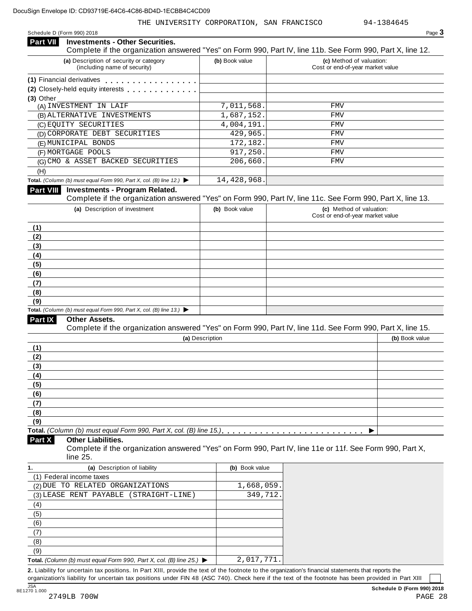| <b>Investments - Other Securities.</b><br><b>Part VII</b>                                                                                                                                                                |                 |                                                                                                                              |
|--------------------------------------------------------------------------------------------------------------------------------------------------------------------------------------------------------------------------|-----------------|------------------------------------------------------------------------------------------------------------------------------|
|                                                                                                                                                                                                                          |                 | Complete if the organization answered "Yes" on Form 990, Part IV, line 11b. See Form 990, Part X, line 12.                   |
| (a) Description of security or category<br>(including name of security)                                                                                                                                                  | (b) Book value  | (c) Method of valuation:<br>Cost or end-of-year market value                                                                 |
| (1) Financial derivatives                                                                                                                                                                                                |                 |                                                                                                                              |
| (2) Closely-held equity interests <b>contained a state of the container</b>                                                                                                                                              |                 |                                                                                                                              |
| (3) Other                                                                                                                                                                                                                |                 |                                                                                                                              |
| (A) INVESTMENT IN LAIF                                                                                                                                                                                                   | 7,011,568.      | FMV                                                                                                                          |
| (B) ALTERNATIVE INVESTMENTS                                                                                                                                                                                              | 1,687,152.      | FMV                                                                                                                          |
| (C) EQUITY SECURITIES                                                                                                                                                                                                    | 4,004,191.      | FMV                                                                                                                          |
| (D) CORPORATE DEBT SECURITIES                                                                                                                                                                                            | 429,965.        | <b>FMV</b>                                                                                                                   |
| (E) MUNICIPAL BONDS                                                                                                                                                                                                      | 172, 182.       | FMV                                                                                                                          |
| (F) MORTGAGE POOLS                                                                                                                                                                                                       | 917,250         | <b>FMV</b>                                                                                                                   |
| (G) CMO & ASSET BACKED SECURITIES                                                                                                                                                                                        | 206,660         | FMV                                                                                                                          |
| (H)                                                                                                                                                                                                                      |                 |                                                                                                                              |
| Total. (Column (b) must equal Form 990, Part X, col. (B) line 12.) $\blacktriangleright$                                                                                                                                 | 14,428,968.     |                                                                                                                              |
| Part VIII Investments - Program Related.                                                                                                                                                                                 |                 | Complete if the organization answered "Yes" on Form 990, Part IV, line 11c. See Form 990, Part X, line 13.                   |
| (a) Description of investment                                                                                                                                                                                            | (b) Book value  | (c) Method of valuation:                                                                                                     |
| (1)                                                                                                                                                                                                                      |                 | Cost or end-of-year market value                                                                                             |
| (2)                                                                                                                                                                                                                      |                 |                                                                                                                              |
| (3)                                                                                                                                                                                                                      |                 |                                                                                                                              |
| (4)                                                                                                                                                                                                                      |                 |                                                                                                                              |
| (5)                                                                                                                                                                                                                      |                 |                                                                                                                              |
|                                                                                                                                                                                                                          |                 |                                                                                                                              |
|                                                                                                                                                                                                                          |                 |                                                                                                                              |
|                                                                                                                                                                                                                          |                 |                                                                                                                              |
|                                                                                                                                                                                                                          |                 |                                                                                                                              |
|                                                                                                                                                                                                                          |                 |                                                                                                                              |
| (6)<br>(7)<br>(8)<br>(9)<br>Total. (Column (b) must equal Form 990, Part X, col. (B) line 13.) $\blacktriangleright$                                                                                                     |                 |                                                                                                                              |
| Other Assets.                                                                                                                                                                                                            |                 |                                                                                                                              |
|                                                                                                                                                                                                                          |                 |                                                                                                                              |
| Part IX                                                                                                                                                                                                                  | (a) Description |                                                                                                                              |
|                                                                                                                                                                                                                          |                 | Complete if the organization answered "Yes" on Form 990, Part IV, line 11d. See Form 990, Part X, line 15.<br>(b) Book value |
|                                                                                                                                                                                                                          |                 |                                                                                                                              |
|                                                                                                                                                                                                                          |                 |                                                                                                                              |
|                                                                                                                                                                                                                          |                 |                                                                                                                              |
|                                                                                                                                                                                                                          |                 |                                                                                                                              |
|                                                                                                                                                                                                                          |                 |                                                                                                                              |
|                                                                                                                                                                                                                          |                 |                                                                                                                              |
|                                                                                                                                                                                                                          |                 |                                                                                                                              |
|                                                                                                                                                                                                                          |                 |                                                                                                                              |
|                                                                                                                                                                                                                          |                 |                                                                                                                              |
| <b>Other Liabilities.</b>                                                                                                                                                                                                |                 | Complete if the organization answered "Yes" on Form 990, Part IV, line 11e or 11f. See Form 990, Part X,                     |
| line 25.                                                                                                                                                                                                                 |                 |                                                                                                                              |
| (a) Description of liability                                                                                                                                                                                             | (b) Book value  |                                                                                                                              |
|                                                                                                                                                                                                                          |                 |                                                                                                                              |
|                                                                                                                                                                                                                          | 1,668,059       |                                                                                                                              |
|                                                                                                                                                                                                                          | 349,712         |                                                                                                                              |
|                                                                                                                                                                                                                          |                 |                                                                                                                              |
|                                                                                                                                                                                                                          |                 |                                                                                                                              |
|                                                                                                                                                                                                                          |                 |                                                                                                                              |
| (1)<br>(2)<br>(3)<br>(4)<br>(5)<br>(6)<br>(7)<br>(8)<br>(9)<br>Part X<br>1.<br>(1) Federal income taxes<br>(2) DUE TO RELATED ORGANIZATIONS<br>(3) LEASE RENT PAYABLE (STRAIGHT-LINE)<br>(4)<br>(5)<br>(6)<br>(7)<br>(8) |                 |                                                                                                                              |

**Total.** *(Column (b) must equal Form 990, Part X, col. (B) line 25.)* I **2.** Liability for uncertain tax positions. In Part XIII, provide the text of the footnote to the organization's financial statements that reports the 2,017,771.

organization's liability for uncertain tax positions under FIN 48 (ASC 740). Check here ifthe text of the footnote has been provided in Part XIII 3<br>8E1270 1.000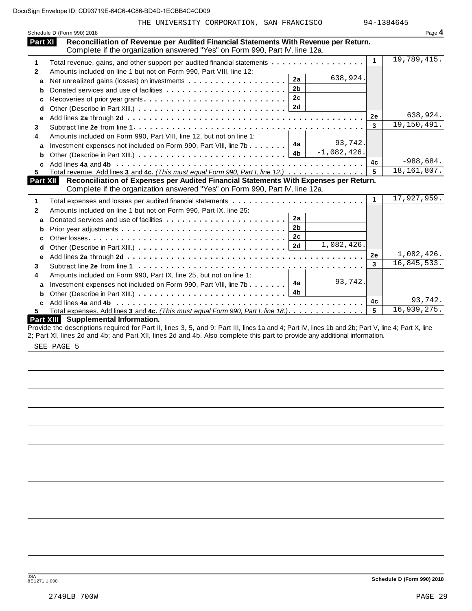|              | Schedule D (Form 990) 2018                                                                                                                         |              | Page 4        |
|--------------|----------------------------------------------------------------------------------------------------------------------------------------------------|--------------|---------------|
| Part XI      | Reconciliation of Revenue per Audited Financial Statements With Revenue per Return.                                                                |              |               |
|              | Complete if the organization answered "Yes" on Form 990, Part IV, line 12a.                                                                        |              |               |
| 1            | Total revenue, gains, and other support per audited financial statements                                                                           | $\mathbf{1}$ | 19,789,415.   |
| $\mathbf{2}$ | Amounts included on line 1 but not on Form 990, Part VIII, line 12:                                                                                |              |               |
| a            | 638,924.<br>2a                                                                                                                                     |              |               |
| b            | 2 <sub>b</sub>                                                                                                                                     |              |               |
| с            | 2c                                                                                                                                                 |              |               |
| d            |                                                                                                                                                    |              |               |
| е            |                                                                                                                                                    | <b>2e</b>    | 638,924.      |
| 3            |                                                                                                                                                    | 3            | 19,150,491.   |
| 4            | Amounts included on Form 990, Part VIII, line 12, but not on line 1:                                                                               |              |               |
| a            | 93,742.<br>4a<br>Investment expenses not included on Form 990, Part VIII, line 7b                                                                  |              |               |
| b            | $-1,082,426.$<br>4 <sub>b</sub>                                                                                                                    |              |               |
| C            |                                                                                                                                                    | 4c           | $-988,684.$   |
| 5.           | Total revenue. Add lines 3 and 4c. (This must equal Form 990, Part I, line 12.)                                                                    | 5            | 18, 161, 807. |
| Part XII     | Reconciliation of Expenses per Audited Financial Statements With Expenses per Return.                                                              |              |               |
|              | Complete if the organization answered "Yes" on Form 990, Part IV, line 12a.                                                                        |              |               |
| 1            |                                                                                                                                                    | $\mathbf{1}$ | 17,927,959.   |
| $\mathbf{2}$ | Amounts included on line 1 but not on Form 990, Part IX, line 25:                                                                                  |              |               |
| a            | 2a<br>Donated services and use of facilities                                                                                                       |              |               |
| b            | 2 <sub>b</sub>                                                                                                                                     |              |               |
| c            | 2 <sub>c</sub>                                                                                                                                     |              |               |
| d            | 1,082,426.<br>2d                                                                                                                                   |              |               |
| е            |                                                                                                                                                    | 2e           | 1,082,426.    |
| 3            |                                                                                                                                                    | 3            | 16,845,533.   |
| 4            | Amounts included on Form 990, Part IX, line 25, but not on line 1:                                                                                 |              |               |
| a            | 93,742.<br>Investment expenses not included on Form 990, Part VIII, line 7b $\boxed{4a}$                                                           |              |               |
| b            |                                                                                                                                                    |              |               |
| C.           |                                                                                                                                                    | 4c           | 93,742.       |
| 5.           | Total expenses. Add lines 3 and 4c. (This must equal Form 990, Part I, line 18.).                                                                  | 5            | 16,939,275.   |
|              | Part XIII Supplemental Information.                                                                                                                |              |               |
|              | Provide the descriptions required for Part II, lines 3, 5, and 9; Part III, lines 1a and 4; Part IV, lines 1b and 2b; Part V, line 4; Part X, line |              |               |

2; Part XI, lines 2d and 4b; and Part XII, lines 2d and 4b. Also complete this part to provide any additional information.

SEE PAGE 5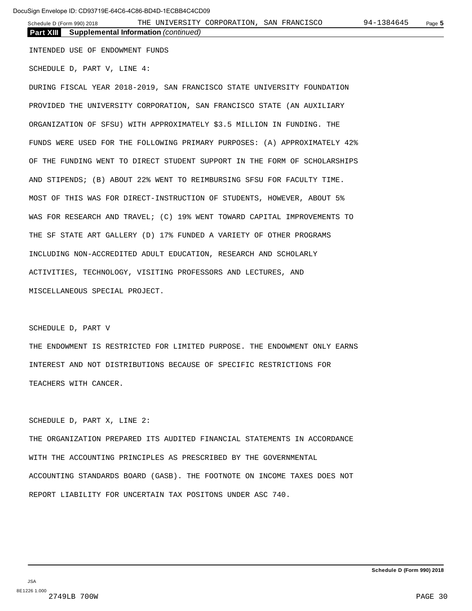**Part XIII Supplemental Information** *(continued)*

INTENDED USE OF ENDOWMENT FUNDS

SCHEDULE D, PART V, LINE 4:

DURING FISCAL YEAR 2018-2019, SAN FRANCISCO STATE UNIVERSITY FOUNDATION PROVIDED THE UNIVERSITY CORPORATION, SAN FRANCISCO STATE (AN AUXILIARY ORGANIZATION OF SFSU) WITH APPROXIMATELY \$3.5 MILLION IN FUNDING. THE FUNDS WERE USED FOR THE FOLLOWING PRIMARY PURPOSES: (A) APPROXIMATELY 42% OF THE FUNDING WENT TO DIRECT STUDENT SUPPORT IN THE FORM OF SCHOLARSHIPS AND STIPENDS; (B) ABOUT 22% WENT TO REIMBURSING SFSU FOR FACULTY TIME. MOST OF THIS WAS FOR DIRECT-INSTRUCTION OF STUDENTS, HOWEVER, ABOUT 5% WAS FOR RESEARCH AND TRAVEL; (C) 19% WENT TOWARD CAPITAL IMPROVEMENTS TO THE SF STATE ART GALLERY (D) 17% FUNDED A VARIETY OF OTHER PROGRAMS INCLUDING NON-ACCREDITED ADULT EDUCATION, RESEARCH AND SCHOLARLY ACTIVITIES, TECHNOLOGY, VISITING PROFESSORS AND LECTURES, AND MISCELLANEOUS SPECIAL PROJECT.

### SCHEDULE D, PART V

THE ENDOWMENT IS RESTRICTED FOR LIMITED PURPOSE. THE ENDOWMENT ONLY EARNS INTEREST AND NOT DISTRIBUTIONS BECAUSE OF SPECIFIC RESTRICTIONS FOR TEACHERS WITH CANCER.

## SCHEDULE D, PART X, LINE 2:

THE ORGANIZATION PREPARED ITS AUDITED FINANCIAL STATEMENTS IN ACCORDANCE WITH THE ACCOUNTING PRINCIPLES AS PRESCRIBED BY THE GOVERNMENTAL ACCOUNTING STANDARDS BOARD (GASB). THE FOOTNOTE ON INCOME TAXES DOES NOT REPORT LIABILITY FOR UNCERTAIN TAX POSITONS UNDER ASC 740.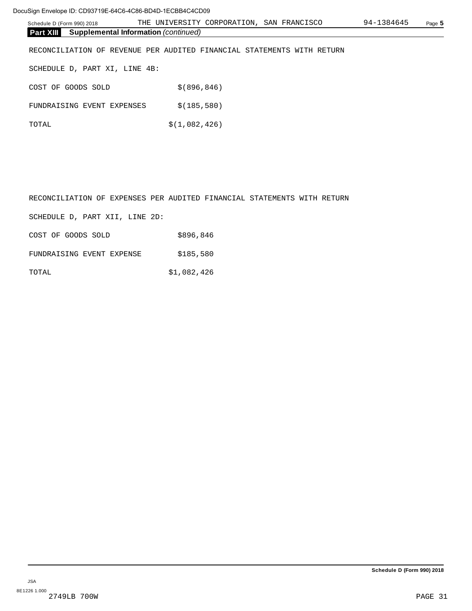| Schedule D (Form 990) 2018                                      | THE UNIVERSITY CORPORATION, SAN FRANCISCO                              | 94-1384645 | Page 5 |
|-----------------------------------------------------------------|------------------------------------------------------------------------|------------|--------|
| <b>Supplemental Information (continued)</b><br><b>Part XIII</b> |                                                                        |            |        |
|                                                                 | RECONCILIATION OF REVENUE PER AUDITED FINANCIAL STATEMENTS WITH RETURN |            |        |
| SCHEDULE D, PART XI, LINE 4B:                                   |                                                                        |            |        |
| COST OF<br>GOODS SOLD                                           | \$ (896, 846)                                                          |            |        |
| FUNDRAISING EVENT EXPENSES                                      | \$(185, 580)                                                           |            |        |
| TOTAL                                                           | \$(1,082,426)                                                          |            |        |
|                                                                 |                                                                        |            |        |

| RECONCILIATION OF EXPENSES PER AUDITED FINANCIAL STATEMENTS WITH RETURN |             |  |  |
|-------------------------------------------------------------------------|-------------|--|--|
| SCHEDULE D, PART XII, LINE 2D:                                          |             |  |  |
| COST OF GOODS SOLD                                                      | \$896,846   |  |  |
| FUNDRAISING EVENT EXPENSE                                               | \$185,580   |  |  |
| TOTAL,                                                                  | \$1,082,426 |  |  |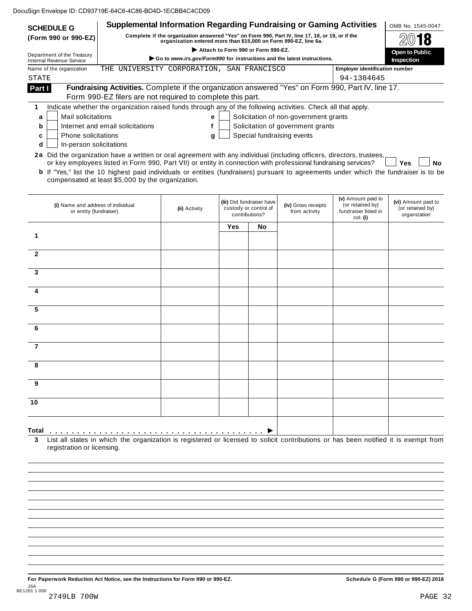| <b>SCHEDULE G</b>                                                                                                      |                                                                                                                                              | <b>Supplemental Information Regarding Fundraising or Gaming Activities</b>                                                                                          |                                                                                                               |                                                    |                                                                 |                                       | OMB No. 1545-0047                       |
|------------------------------------------------------------------------------------------------------------------------|----------------------------------------------------------------------------------------------------------------------------------------------|---------------------------------------------------------------------------------------------------------------------------------------------------------------------|---------------------------------------------------------------------------------------------------------------|----------------------------------------------------|-----------------------------------------------------------------|---------------------------------------|-----------------------------------------|
| (Form 990 or 990-EZ)                                                                                                   |                                                                                                                                              | Complete if the organization answered "Yes" on Form 990, Part IV, line 17, 18, or 19, or if the<br>organization entered more than \$15,000 on Form 990-EZ, line 6a. |                                                                                                               |                                                    |                                                                 |                                       | Open to Public                          |
| Department of the Treasury<br><b>Internal Revenue Service</b>                                                          |                                                                                                                                              |                                                                                                                                                                     | Attach to Form 990 or Form 990-EZ.<br>Go to www.irs.gov/Form990 for instructions and the latest instructions. |                                                    |                                                                 |                                       |                                         |
| Name of the organization                                                                                               | THE UNIVERSITY CORPORATION, SAN FRANCISCO                                                                                                    |                                                                                                                                                                     |                                                                                                               |                                                    |                                                                 | <b>Employer identification number</b> | Inspection                              |
| <b>STATE</b>                                                                                                           |                                                                                                                                              |                                                                                                                                                                     |                                                                                                               |                                                    |                                                                 | 94-1384645                            |                                         |
| Part I                                                                                                                 | Fundraising Activities. Complete if the organization answered "Yes" on Form 990, Part IV, line 17.                                           |                                                                                                                                                                     |                                                                                                               |                                                    |                                                                 |                                       |                                         |
|                                                                                                                        | Form 990-EZ filers are not required to complete this part.                                                                                   |                                                                                                                                                                     |                                                                                                               |                                                    |                                                                 |                                       |                                         |
| 1                                                                                                                      | Indicate whether the organization raised funds through any of the following activities. Check all that apply.                                |                                                                                                                                                                     |                                                                                                               |                                                    |                                                                 |                                       |                                         |
| Mail solicitations<br>a                                                                                                |                                                                                                                                              | е                                                                                                                                                                   |                                                                                                               |                                                    | Solicitation of non-government grants                           |                                       |                                         |
| b<br><b>Phone solicitations</b><br>c                                                                                   | Internet and email solicitations                                                                                                             | f                                                                                                                                                                   |                                                                                                               |                                                    | Solicitation of government grants<br>Special fundraising events |                                       |                                         |
| In-person solicitations<br>d                                                                                           |                                                                                                                                              | g                                                                                                                                                                   |                                                                                                               |                                                    |                                                                 |                                       |                                         |
| 2a Did the organization have a written or oral agreement with any individual (including officers, directors, trustees, |                                                                                                                                              |                                                                                                                                                                     |                                                                                                               |                                                    |                                                                 |                                       |                                         |
|                                                                                                                        | or key employees listed in Form 990, Part VII) or entity in connection with professional fundraising services?                               |                                                                                                                                                                     |                                                                                                               |                                                    |                                                                 |                                       | Yes<br><b>No</b>                        |
|                                                                                                                        | <b>b</b> If "Yes," list the 10 highest paid individuals or entities (fundraisers) pursuant to agreements under which the fundraiser is to be |                                                                                                                                                                     |                                                                                                               |                                                    |                                                                 |                                       |                                         |
|                                                                                                                        | compensated at least \$5,000 by the organization.                                                                                            |                                                                                                                                                                     |                                                                                                               |                                                    |                                                                 |                                       |                                         |
|                                                                                                                        |                                                                                                                                              |                                                                                                                                                                     |                                                                                                               |                                                    |                                                                 | (v) Amount paid to                    |                                         |
| (i) Name and address of individual                                                                                     |                                                                                                                                              | (ii) Activity                                                                                                                                                       |                                                                                                               | (iii) Did fundraiser have<br>custody or control of | (iv) Gross receipts                                             | (or retained by)                      | (vi) Amount paid to<br>(or retained by) |
| or entity (fundraiser)                                                                                                 |                                                                                                                                              |                                                                                                                                                                     | contributions?                                                                                                |                                                    | from activity                                                   | fundraiser listed in<br>col. (i)      | organization                            |
|                                                                                                                        |                                                                                                                                              |                                                                                                                                                                     | Yes                                                                                                           | No                                                 |                                                                 |                                       |                                         |
| 1                                                                                                                      |                                                                                                                                              |                                                                                                                                                                     |                                                                                                               |                                                    |                                                                 |                                       |                                         |
|                                                                                                                        |                                                                                                                                              |                                                                                                                                                                     |                                                                                                               |                                                    |                                                                 |                                       |                                         |
| $\mathbf{2}$                                                                                                           |                                                                                                                                              |                                                                                                                                                                     |                                                                                                               |                                                    |                                                                 |                                       |                                         |
|                                                                                                                        |                                                                                                                                              |                                                                                                                                                                     |                                                                                                               |                                                    |                                                                 |                                       |                                         |
| 3                                                                                                                      |                                                                                                                                              |                                                                                                                                                                     |                                                                                                               |                                                    |                                                                 |                                       |                                         |
| 4                                                                                                                      |                                                                                                                                              |                                                                                                                                                                     |                                                                                                               |                                                    |                                                                 |                                       |                                         |
|                                                                                                                        |                                                                                                                                              |                                                                                                                                                                     |                                                                                                               |                                                    |                                                                 |                                       |                                         |
| 5                                                                                                                      |                                                                                                                                              |                                                                                                                                                                     |                                                                                                               |                                                    |                                                                 |                                       |                                         |
|                                                                                                                        |                                                                                                                                              |                                                                                                                                                                     |                                                                                                               |                                                    |                                                                 |                                       |                                         |
| 6                                                                                                                      |                                                                                                                                              |                                                                                                                                                                     |                                                                                                               |                                                    |                                                                 |                                       |                                         |
|                                                                                                                        |                                                                                                                                              |                                                                                                                                                                     |                                                                                                               |                                                    |                                                                 |                                       |                                         |
| 7                                                                                                                      |                                                                                                                                              |                                                                                                                                                                     |                                                                                                               |                                                    |                                                                 |                                       |                                         |
|                                                                                                                        |                                                                                                                                              |                                                                                                                                                                     |                                                                                                               |                                                    |                                                                 |                                       |                                         |
| 8                                                                                                                      |                                                                                                                                              |                                                                                                                                                                     |                                                                                                               |                                                    |                                                                 |                                       |                                         |
| 9                                                                                                                      |                                                                                                                                              |                                                                                                                                                                     |                                                                                                               |                                                    |                                                                 |                                       |                                         |
|                                                                                                                        |                                                                                                                                              |                                                                                                                                                                     |                                                                                                               |                                                    |                                                                 |                                       |                                         |
| 10                                                                                                                     |                                                                                                                                              |                                                                                                                                                                     |                                                                                                               |                                                    |                                                                 |                                       |                                         |
|                                                                                                                        |                                                                                                                                              |                                                                                                                                                                     |                                                                                                               |                                                    |                                                                 |                                       |                                         |
|                                                                                                                        |                                                                                                                                              |                                                                                                                                                                     |                                                                                                               |                                                    |                                                                 |                                       |                                         |
|                                                                                                                        |                                                                                                                                              |                                                                                                                                                                     |                                                                                                               |                                                    |                                                                 |                                       |                                         |

**3** List all states in which the organization is registered or licensed to solicit contributions or has been notified it is exempt from registration or licensing.

For Paperwork Reduction Act Notice, see the Instructions for Form 990 or 990-EZ. Schedule G (Form 990 or 990-EZ) 2018 JSA 8E1281 1.000 2749LB 700W PAGE 32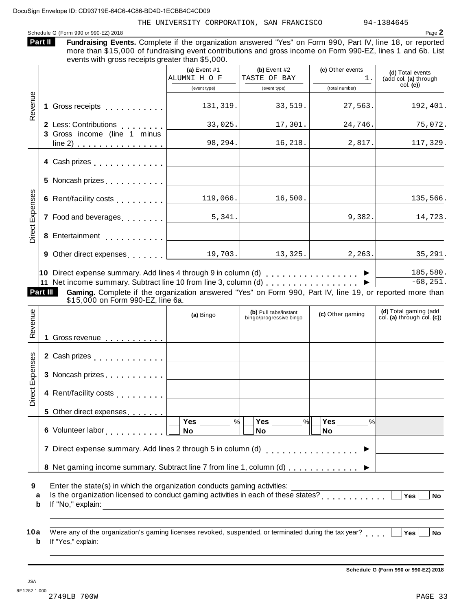THE UNIVERSITY CORPORATION, SAN FRANCISCO 94-1384645

Schedule <sup>G</sup> (Form <sup>990</sup> or 990-EZ) <sup>2018</sup> Page **2**  $\mathbf{A}$  **III**  $\mathbf{B}$ 

|                      |          | Part II<br>Fundraising Events. Complete if the organization answered "Yes" on Form 990, Part IV, line 18, or reported<br>more than \$15,000 of fundraising event contributions and gross income on Form 990-EZ, lines 1 and 6b. List<br>events with gross receipts greater than \$5,000. |                                                                                                                        |                                                |                                          |                                                       |
|----------------------|----------|------------------------------------------------------------------------------------------------------------------------------------------------------------------------------------------------------------------------------------------------------------------------------------------|------------------------------------------------------------------------------------------------------------------------|------------------------------------------------|------------------------------------------|-------------------------------------------------------|
|                      |          |                                                                                                                                                                                                                                                                                          | (a) Event $#1$<br>ALUMNI H O F<br>(event type)                                                                         | (b) Event $#2$<br>TASTE OF BAY<br>(event type) | (c) Other events<br>1.<br>(total number) | (d) Total events<br>(add col. (a) through<br>col. (c) |
| Revenue              |          |                                                                                                                                                                                                                                                                                          | 131, 319.                                                                                                              | 33,519.                                        | 27,563.                                  | 192,401.                                              |
|                      |          | 2 Less: Contributions<br>3 Gross income (line 1 minus                                                                                                                                                                                                                                    | 33,025.                                                                                                                | 17,301.                                        | 24,746.                                  | 75,072.                                               |
|                      |          | $line 2)$                                                                                                                                                                                                                                                                                | 98, 294.                                                                                                               | 16,218.                                        | 2,817.                                   | 117,329.                                              |
|                      |          |                                                                                                                                                                                                                                                                                          |                                                                                                                        |                                                |                                          |                                                       |
|                      |          | 5 Noncash prizes [1, 1, 1, 1, 1, 1]                                                                                                                                                                                                                                                      |                                                                                                                        |                                                |                                          |                                                       |
| Expenses             |          | 6 Rent/facility costs [                                                                                                                                                                                                                                                                  | 119,066.                                                                                                               | 16,500.                                        |                                          | 135,566.                                              |
|                      |          | 7 Food and beverages [                                                                                                                                                                                                                                                                   | 5,341.<br><u>and a strong that</u>                                                                                     |                                                | 9,382.                                   | 14,723.                                               |
| Direct <sup>1</sup>  |          | 8 Entertainment [                                                                                                                                                                                                                                                                        |                                                                                                                        |                                                |                                          |                                                       |
|                      |          | <b>9</b> Other direct expenses $\vert$ $\vert$ 19,703.                                                                                                                                                                                                                                   |                                                                                                                        | 13,325.                                        | 2, 263.                                  | 35, 291.                                              |
|                      | Part III | 10 Direct expense summary. Add lines 4 through 9 in column (d) $\ldots$ ,,,,,,,,,,,,,,,<br>11 Net income summary. Subtract line 10 from line 3, column (d) ▶<br>Gaming. Complete if the organization answered "Yes" on Form 990, Part IV, line 19, or reported more than                 |                                                                                                                        |                                                |                                          | 185,580.<br>$-68, 251.$                               |
|                      |          | \$15,000 on Form 990-EZ, line 6a.                                                                                                                                                                                                                                                        | (a) Bingo                                                                                                              | (b) Pull tabs/instant                          | (c) Other gaming                         | (d) Total gaming (add                                 |
| Revenue              |          | 1 Gross revenue                                                                                                                                                                                                                                                                          |                                                                                                                        | bingo/progressive bingo                        |                                          | col. (a) through col. $(c)$                           |
| xpenses              |          |                                                                                                                                                                                                                                                                                          |                                                                                                                        |                                                |                                          |                                                       |
| ш                    |          | 3 Noncash prizes                                                                                                                                                                                                                                                                         |                                                                                                                        |                                                |                                          |                                                       |
|                      |          |                                                                                                                                                                                                                                                                                          |                                                                                                                        |                                                |                                          |                                                       |
|                      |          | 4 Rent/facility costs                                                                                                                                                                                                                                                                    |                                                                                                                        |                                                |                                          |                                                       |
|                      |          | 5 Other direct expenses                                                                                                                                                                                                                                                                  |                                                                                                                        |                                                |                                          |                                                       |
|                      |          | 6 Volunteer labor                                                                                                                                                                                                                                                                        | Yes<br>%<br>No                                                                                                         | Yes<br>$\frac{9}{6}$<br>No                     | Yes<br>%<br>No                           |                                                       |
|                      |          | 7 Direct expense summary. Add lines 2 through 5 in column (d)                                                                                                                                                                                                                            |                                                                                                                        | . <b>.</b> .                                   |                                          |                                                       |
| 9<br>a<br>b          |          | 8 Net gaming income summary. Subtract line 7 from line 1, column (d)<br>Enter the state(s) in which the organization conducts gaming activities:<br>Is the organization licensed to conduct gaming activities in each of these states?                                                   |                                                                                                                        |                                                |                                          | $\overline{Yes}$<br><b>No</b>                         |
| Direct I<br>10a<br>b |          | Were any of the organization's gaming licenses revoked, suspended, or terminated during the tax year?<br>If "Yes," explain:                                                                                                                                                              | <u> 1989 - Andrea Station Barbara, actor a component de la componentación de la componentación de la componentació</u> |                                                |                                          | Yes<br><b>No</b>                                      |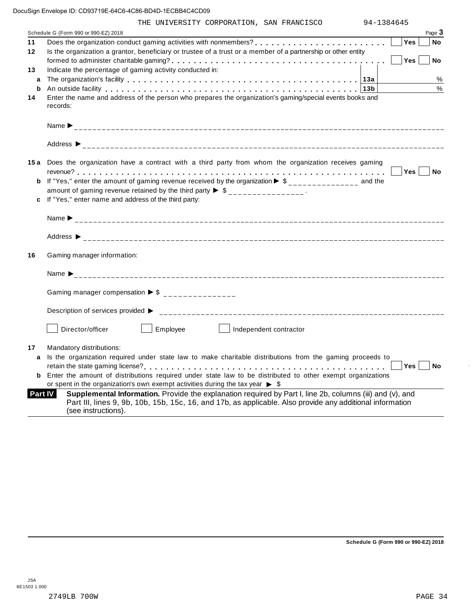|         | THE UNIVERSITY CORPORATION, SAN FRANCISCO                                                                                                                                                                                                     | 94-1384645 |           |
|---------|-----------------------------------------------------------------------------------------------------------------------------------------------------------------------------------------------------------------------------------------------|------------|-----------|
|         | Schedule G (Form 990 or 990-EZ) 2018                                                                                                                                                                                                          |            | Page 3    |
| 11      |                                                                                                                                                                                                                                               | <b>Yes</b> | <b>No</b> |
| 12      | Is the organization a grantor, beneficiary or trustee of a trust or a member of a partnership or other entity                                                                                                                                 |            |           |
|         |                                                                                                                                                                                                                                               | Yes        | <b>No</b> |
| 13      | Indicate the percentage of gaming activity conducted in:                                                                                                                                                                                      |            |           |
| a       |                                                                                                                                                                                                                                               |            | %         |
| b       | An outside facility enterpreened and the series of the control of the control of the control of the control of the control of the control of the control of the control of the control of the control of the control of the co                |            | %         |
| 14      | Enter the name and address of the person who prepares the organization's gaming/special events books and<br>records:                                                                                                                          |            |           |
|         |                                                                                                                                                                                                                                               |            |           |
|         |                                                                                                                                                                                                                                               |            |           |
|         |                                                                                                                                                                                                                                               |            |           |
|         |                                                                                                                                                                                                                                               |            |           |
|         |                                                                                                                                                                                                                                               |            |           |
|         | 15a Does the organization have a contract with a third party from whom the organization receives gaming                                                                                                                                       |            |           |
|         | <b>b</b> If "Yes," enter the amount of gaming revenue received by the organization $\triangleright$ \$______________ and the                                                                                                                  |            |           |
|         | amount of gaming revenue retained by the third party $\triangleright$ \$ _______________.                                                                                                                                                     |            |           |
| c       | If "Yes," enter name and address of the third party:                                                                                                                                                                                          |            |           |
|         |                                                                                                                                                                                                                                               |            |           |
|         |                                                                                                                                                                                                                                               |            |           |
|         |                                                                                                                                                                                                                                               |            |           |
|         |                                                                                                                                                                                                                                               |            |           |
| 16      | Gaming manager information:                                                                                                                                                                                                                   |            |           |
|         |                                                                                                                                                                                                                                               |            |           |
|         |                                                                                                                                                                                                                                               |            |           |
|         |                                                                                                                                                                                                                                               |            |           |
|         | Gaming manager compensation $\triangleright$ \$ _______________                                                                                                                                                                               |            |           |
|         |                                                                                                                                                                                                                                               |            |           |
|         | Description of services provided ▶                                                                                                                                                                                                            |            |           |
|         | Employee  <br>Director/officer<br>Independent contractor                                                                                                                                                                                      |            |           |
| 17      | Mandatory distributions:                                                                                                                                                                                                                      |            |           |
| a       | Is the organization required under state law to make charitable distributions from the gaming proceeds to                                                                                                                                     |            |           |
|         |                                                                                                                                                                                                                                               | Yes        | No No     |
|         | <b>b</b> Enter the amount of distributions required under state law to be distributed to other exempt organizations                                                                                                                           |            |           |
|         | or spent in the organization's own exempt activities during the tax year $\triangleright$ \$                                                                                                                                                  |            |           |
| Part IV | Supplemental Information. Provide the explanation required by Part I, line 2b, columns (iii) and (v), and<br>Part III, lines 9, 9b, 10b, 15b, 15c, 16, and 17b, as applicable. Also provide any additional information<br>(see instructions). |            |           |
|         |                                                                                                                                                                                                                                               |            |           |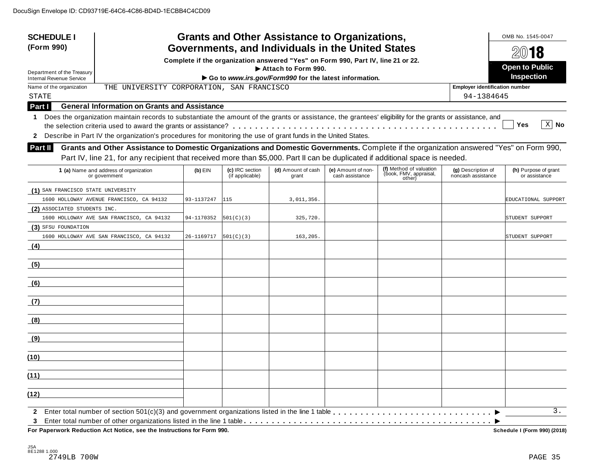| <b>SCHEDULE I</b><br>(Form 990)                                                                                                                              |                                                     | <b>Grants and Other Assistance to Organizations,</b><br>Governments, and Individuals in the United States |                                    | OMB No. 1545-0047<br>2018                                                        |                                       |                                                                                                                                          |                                          |                                       |
|--------------------------------------------------------------------------------------------------------------------------------------------------------------|-----------------------------------------------------|-----------------------------------------------------------------------------------------------------------|------------------------------------|----------------------------------------------------------------------------------|---------------------------------------|------------------------------------------------------------------------------------------------------------------------------------------|------------------------------------------|---------------------------------------|
|                                                                                                                                                              |                                                     |                                                                                                           |                                    | Complete if the organization answered "Yes" on Form 990, Part IV, line 21 or 22. |                                       |                                                                                                                                          |                                          |                                       |
| Department of the Treasury                                                                                                                                   |                                                     |                                                                                                           |                                    | Attach to Form 990.                                                              |                                       |                                                                                                                                          |                                          | <b>Open to Public</b>                 |
| <b>Internal Revenue Service</b>                                                                                                                              |                                                     |                                                                                                           |                                    | Go to www.irs.gov/Form990 for the latest information.                            |                                       |                                                                                                                                          |                                          | Inspection                            |
| Name of the organization                                                                                                                                     | THE UNIVERSITY CORPORATION, SAN FRANCISCO           |                                                                                                           |                                    |                                                                                  |                                       |                                                                                                                                          | <b>Employer identification number</b>    |                                       |
| <b>STATE</b>                                                                                                                                                 |                                                     |                                                                                                           |                                    |                                                                                  |                                       |                                                                                                                                          | 94-1384645                               |                                       |
| Part I                                                                                                                                                       | <b>General Information on Grants and Assistance</b> |                                                                                                           |                                    |                                                                                  |                                       |                                                                                                                                          |                                          |                                       |
| 1 Does the organization maintain records to substantiate the amount of the grants or assistance, the grantees' eligibility for the grants or assistance, and |                                                     |                                                                                                           |                                    |                                                                                  |                                       |                                                                                                                                          |                                          |                                       |
|                                                                                                                                                              |                                                     |                                                                                                           |                                    |                                                                                  |                                       |                                                                                                                                          |                                          | $X$ No<br>Yes                         |
| 2 Describe in Part IV the organization's procedures for monitoring the use of grant funds in the United States.                                              |                                                     |                                                                                                           |                                    |                                                                                  |                                       |                                                                                                                                          |                                          |                                       |
| Part II                                                                                                                                                      |                                                     |                                                                                                           |                                    |                                                                                  |                                       | Grants and Other Assistance to Domestic Organizations and Domestic Governments. Complete if the organization answered "Yes" on Form 990, |                                          |                                       |
|                                                                                                                                                              |                                                     |                                                                                                           |                                    |                                                                                  |                                       | Part IV, line 21, for any recipient that received more than \$5,000. Part II can be duplicated if additional space is needed.            |                                          |                                       |
| 1 (a) Name and address of organization<br>or government                                                                                                      |                                                     | $(b)$ EIN                                                                                                 | (c) IRC section<br>(if applicable) | (d) Amount of cash<br>grant                                                      | (e) Amount of non-<br>cash assistance | (f) Method of valuation<br>(book, FMV, appraisal,<br>other)                                                                              | (g) Description of<br>noncash assistance | (h) Purpose of grant<br>or assistance |
| (1) SAN FRANCISCO STATE UNIVERSITY                                                                                                                           |                                                     |                                                                                                           |                                    |                                                                                  |                                       |                                                                                                                                          |                                          |                                       |
| 1600 HOLLOWAY AVENUE FRANCISCO, CA 94132                                                                                                                     |                                                     | 93-1137247                                                                                                | 115                                | 3,011,356.                                                                       |                                       |                                                                                                                                          |                                          | EDUCATIONAL SUPPORT                   |
| (2) ASSOCIATED STUDENTS INC.                                                                                                                                 |                                                     |                                                                                                           |                                    |                                                                                  |                                       |                                                                                                                                          |                                          |                                       |
| 1600 HOLLOWAY AVE SAN FRANCISCO, CA 94132                                                                                                                    |                                                     | 94-1170352                                                                                                | 501(C)(3)                          | 325,720.                                                                         |                                       |                                                                                                                                          |                                          | STUDENT SUPPORT                       |
| (3) SFSU FOUNDATION                                                                                                                                          |                                                     |                                                                                                           |                                    |                                                                                  |                                       |                                                                                                                                          |                                          |                                       |
| 1600 HOLLOWAY AVE SAN FRANCISCO, CA 94132                                                                                                                    |                                                     | 26-1169717                                                                                                | 501(C)(3)                          | 163,205.                                                                         |                                       |                                                                                                                                          |                                          | STUDENT SUPPORT                       |
| (4)                                                                                                                                                          |                                                     |                                                                                                           |                                    |                                                                                  |                                       |                                                                                                                                          |                                          |                                       |
| (5)                                                                                                                                                          |                                                     |                                                                                                           |                                    |                                                                                  |                                       |                                                                                                                                          |                                          |                                       |
| (6)                                                                                                                                                          |                                                     |                                                                                                           |                                    |                                                                                  |                                       |                                                                                                                                          |                                          |                                       |
| (7)                                                                                                                                                          |                                                     |                                                                                                           |                                    |                                                                                  |                                       |                                                                                                                                          |                                          |                                       |
| (8)                                                                                                                                                          |                                                     |                                                                                                           |                                    |                                                                                  |                                       |                                                                                                                                          |                                          |                                       |
| (9)                                                                                                                                                          |                                                     |                                                                                                           |                                    |                                                                                  |                                       |                                                                                                                                          |                                          |                                       |
| (10)                                                                                                                                                         |                                                     |                                                                                                           |                                    |                                                                                  |                                       |                                                                                                                                          |                                          |                                       |
| (11)                                                                                                                                                         |                                                     |                                                                                                           |                                    |                                                                                  |                                       |                                                                                                                                          |                                          |                                       |
| (12)                                                                                                                                                         |                                                     |                                                                                                           |                                    |                                                                                  |                                       |                                                                                                                                          |                                          |                                       |
| $\mathbf{2}$                                                                                                                                                 |                                                     |                                                                                                           |                                    |                                                                                  |                                       |                                                                                                                                          |                                          | 3.                                    |

 $F$ or Paperwork Reduction Act Notice, see the Instructions for Form 990.

Schedule I (Form 990) (2018)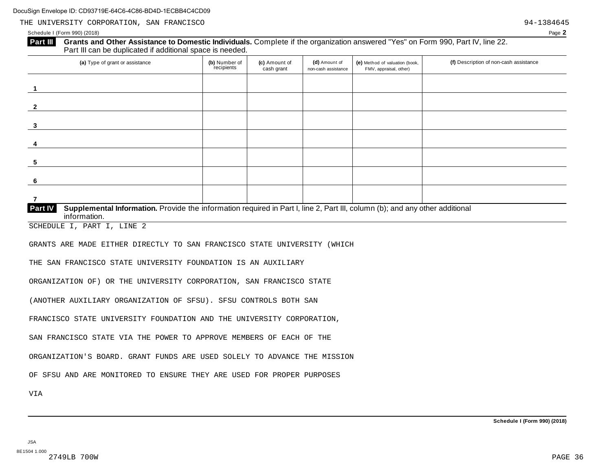Schedule I (Form 990) (2018) Page **2**

## **Grants and Other Assistance to Domestic Individuals.** Complete ifthe organization answered "Yes" on Form 990, Part IV, line 22. **Part III** Grants and Other Assistance to Domestic Individuals<br>Part III can be duplicated if additional space is needed.

| (a) Type of grant or assistance                                                                                                         | (b) Number of<br>recipients | (c) Amount of<br>cash grant | (d) Amount of<br>non-cash assistance | (e) Method of valuation (book,<br>FMV, appraisal, other) | (f) Description of non-cash assistance |
|-----------------------------------------------------------------------------------------------------------------------------------------|-----------------------------|-----------------------------|--------------------------------------|----------------------------------------------------------|----------------------------------------|
|                                                                                                                                         |                             |                             |                                      |                                                          |                                        |
| $\mathbf{2}$                                                                                                                            |                             |                             |                                      |                                                          |                                        |
| 3                                                                                                                                       |                             |                             |                                      |                                                          |                                        |
|                                                                                                                                         |                             |                             |                                      |                                                          |                                        |
| 4                                                                                                                                       |                             |                             |                                      |                                                          |                                        |
| 5                                                                                                                                       |                             |                             |                                      |                                                          |                                        |
| 6                                                                                                                                       |                             |                             |                                      |                                                          |                                        |
| Part IV<br>Supplemental Information. Provide the information required in Part I, line 2, Part III, column (b); and any other additional |                             |                             |                                      |                                                          |                                        |

 $\overline{\text{information}}$ .

SCHEDULE I, PART I, LINE 2

GRANTS ARE MADE EITHER DIRECTLY TO SAN FRANCISCO STATE UNIVERSITY (WHICH

THE SAN FRANCISCO STATE UNIVERSITY FOUNDATION IS AN AUXILIARY

ORGANIZATION OF) OR THE UNIVERSITY CORPORATION, SAN FRANCISCO STATE

(ANOTHER AUXILIARY ORGANIZATION OF SFSU). SFSU CONTROLS BOTH SAN

FRANCISCO STATE UNIVERSITY FOUNDATION AND THE UNIVERSITY CORPORATION,

SAN FRANCISCO STATE VIA THE POWER TO APPROVE MEMBERS OF EACH OF THE

ORGANIZATION'S BOARD. GRANT FUNDS ARE USED SOLELY TO ADVANCE THE MISSION

OF SFSU AND ARE MONITORED TO ENSURE THEY ARE USED FOR PROPER PURPOSES

VIA

**Schedule I (Form 990) (2018)**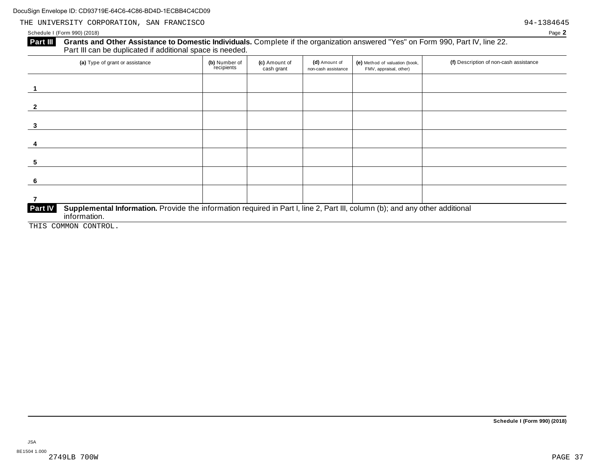## Schedule I (Form 990) (2018) Page **2**

# **Part III** Grants and Other Assistance to Domestic Individuals. Complete if the organization answered "Yes" on Form 990, Part IV, line 22.<br>Part III can be duplicated if additional space is needed.

| (a) Type of grant or assistance | (b) Number of<br>recipients                                                                                                  | (c) Amount of<br>cash grant | (d) Amount of<br>non-cash assistance | (e) Method of valuation (book,<br>FMV, appraisal, other) | (f) Description of non-cash assistance |  |  |  |  |  |  |
|---------------------------------|------------------------------------------------------------------------------------------------------------------------------|-----------------------------|--------------------------------------|----------------------------------------------------------|----------------------------------------|--|--|--|--|--|--|
|                                 |                                                                                                                              |                             |                                      |                                                          |                                        |  |  |  |  |  |  |
|                                 |                                                                                                                              |                             |                                      |                                                          |                                        |  |  |  |  |  |  |
|                                 |                                                                                                                              |                             |                                      |                                                          |                                        |  |  |  |  |  |  |
|                                 |                                                                                                                              |                             |                                      |                                                          |                                        |  |  |  |  |  |  |
| 5                               |                                                                                                                              |                             |                                      |                                                          |                                        |  |  |  |  |  |  |
| -6                              |                                                                                                                              |                             |                                      |                                                          |                                        |  |  |  |  |  |  |
|                                 |                                                                                                                              |                             |                                      |                                                          |                                        |  |  |  |  |  |  |
| <b>Part IV</b><br>information.  | Supplemental Information. Provide the information required in Part I, line 2, Part III, column (b); and any other additional |                             |                                      |                                                          |                                        |  |  |  |  |  |  |

THIS COMMON CONTROL.

JSA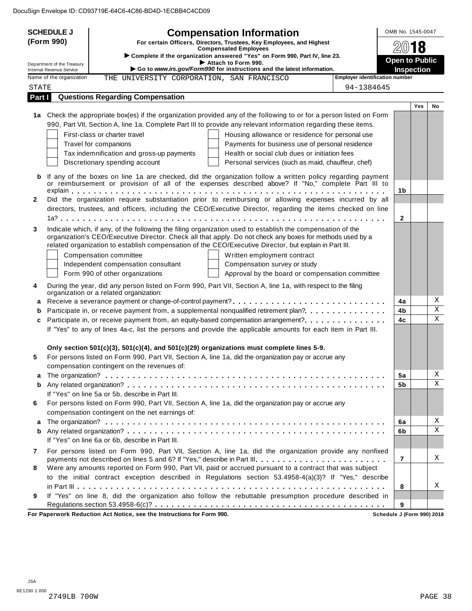|              | <b>SCHEDULE J</b><br>(Form 990)<br>Department of the Treasury | <b>Compensation Information</b><br>For certain Officers, Directors, Trustees, Key Employees, and Highest<br><b>Compensated Employees</b><br>Complete if the organization answered "Yes" on Form 990, Part IV, line 23.<br>Attach to Form 990.<br>Go to www.irs.gov/Form990 for instructions and the latest information.                                                                                                                                                                              |                                                                                                    | OMB No. 1545-0047<br>8<br><b>Open to Public</b><br><b>Inspection</b> |            |                                        |  |
|--------------|---------------------------------------------------------------|------------------------------------------------------------------------------------------------------------------------------------------------------------------------------------------------------------------------------------------------------------------------------------------------------------------------------------------------------------------------------------------------------------------------------------------------------------------------------------------------------|----------------------------------------------------------------------------------------------------|----------------------------------------------------------------------|------------|----------------------------------------|--|
|              | Internal Revenue Service<br>Name of the organization          | THE UNIVERSITY CORPORATION, SAN FRANCISCO                                                                                                                                                                                                                                                                                                                                                                                                                                                            | <b>Employer identification number</b>                                                              |                                                                      |            |                                        |  |
| STATE        |                                                               |                                                                                                                                                                                                                                                                                                                                                                                                                                                                                                      | 94-1384645                                                                                         |                                                                      |            |                                        |  |
| Part I       |                                                               | <b>Questions Regarding Compensation</b>                                                                                                                                                                                                                                                                                                                                                                                                                                                              |                                                                                                    |                                                                      |            |                                        |  |
|              |                                                               | 1a Check the appropriate box(es) if the organization provided any of the following to or for a person listed on Form<br>990, Part VII, Section A, line 1a. Complete Part III to provide any relevant information regarding these items.<br>First-class or charter travel<br>Travel for companions<br>Tax indemnification and gross-up payments<br>Health or social club dues or initiation fees                                                                                                      | Housing allowance or residence for personal use<br>Payments for business use of personal residence |                                                                      | <b>Yes</b> | No                                     |  |
| b            |                                                               | Discretionary spending account<br>If any of the boxes on line 1a are checked, did the organization follow a written policy regarding payment<br>or reimbursement or provision of all of the expenses described above? If "No," complete Part III to                                                                                                                                                                                                                                                  | Personal services (such as maid, chauffeur, chef)                                                  | 1b                                                                   |            |                                        |  |
| $\mathbf{2}$ |                                                               | Did the organization require substantiation prior to reimbursing or allowing expenses incurred by all<br>directors, trustees, and officers, including the CEO/Executive Director, regarding the items checked on line                                                                                                                                                                                                                                                                                |                                                                                                    | $\mathbf{2}$                                                         |            |                                        |  |
| 3            |                                                               | Indicate which, if any, of the following the filing organization used to establish the compensation of the<br>organization's CEO/Executive Director. Check all that apply. Do not check any boxes for methods used by a<br>related organization to establish compensation of the CEO/Executive Director, but explain in Part III.<br>Compensation committee<br>Written employment contract<br>Compensation survey or study<br>Independent compensation consultant<br>Form 990 of other organizations | Approval by the board or compensation committee                                                    |                                                                      |            |                                        |  |
| 4            |                                                               | During the year, did any person listed on Form 990, Part VII, Section A, line 1a, with respect to the filing<br>organization or a related organization:                                                                                                                                                                                                                                                                                                                                              |                                                                                                    |                                                                      |            | Χ                                      |  |
| а<br>b<br>c  |                                                               | Receive a severance payment or change-of-control payment?<br>Participate in, or receive payment from, a supplemental nonqualified retirement plan?<br>Participate in, or receive payment from, an equity-based compensation arrangement?<br>If "Yes" to any of lines 4a-c, list the persons and provide the applicable amounts for each item in Part III.                                                                                                                                            |                                                                                                    | 4a<br>4b<br>4c                                                       |            | $\overline{\textbf{X}}$<br>$\mathbf X$ |  |
| 5            |                                                               | Only section 501(c)(3), 501(c)(4), and 501(c)(29) organizations must complete lines 5-9.<br>For persons listed on Form 990, Part VII, Section A, line 1a, did the organization pay or accrue any<br>compensation contingent on the revenues of:                                                                                                                                                                                                                                                      |                                                                                                    |                                                                      |            |                                        |  |
| a<br>b       |                                                               | If "Yes" on line 5a or 5b, describe in Part III.                                                                                                                                                                                                                                                                                                                                                                                                                                                     |                                                                                                    | 5a<br>5b                                                             |            | Χ<br>$\mathbf X$                       |  |
| 6            |                                                               | For persons listed on Form 990, Part VII, Section A, line 1a, did the organization pay or accrue any<br>compensation contingent on the net earnings of:                                                                                                                                                                                                                                                                                                                                              |                                                                                                    |                                                                      |            | Χ                                      |  |
| a<br>b       |                                                               | If "Yes" on line 6a or 6b, describe in Part III.                                                                                                                                                                                                                                                                                                                                                                                                                                                     |                                                                                                    | 6a<br>6b                                                             |            | $\mathbf X$                            |  |
| 7<br>8       |                                                               | For persons listed on Form 990, Part VII, Section A, line 1a, did the organization provide any nonfixed<br>payments not described on lines 5 and 6? If "Yes," describe in Part III.<br>Were any amounts reported on Form 990, Part VII, paid or accrued pursuant to a contract that was subject<br>to the initial contract exception described in Regulations section 53.4958-4(a)(3)? If "Yes," describe                                                                                            |                                                                                                    | $\overline{7}$<br>8                                                  |            | X<br>X                                 |  |
| 9            |                                                               | If "Yes" on line 8, did the organization also follow the rebuttable presumption procedure described in<br>For Paperwork Reduction Act Notice, see the Instructions for Form 990.                                                                                                                                                                                                                                                                                                                     | Schedule J (Form 990) 2018                                                                         | 9                                                                    |            |                                        |  |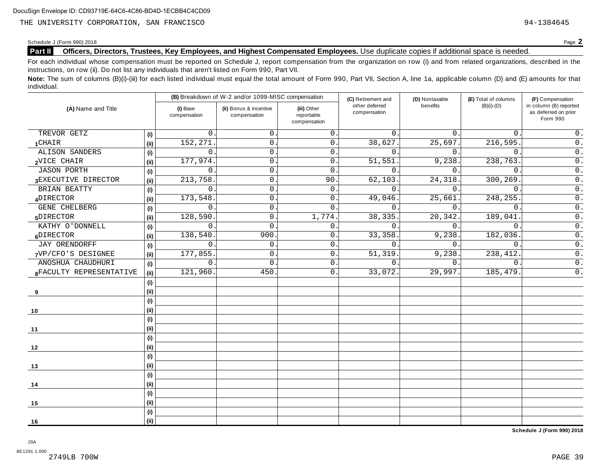Schedule <sup>J</sup> (Form 990) <sup>2018</sup> Page **2**

## **Part II Officers, Directors, Trustees, Key Employees, and Highest Compensated Employees.** Use duplicate copies ifadditional space is needed.

For each individual whose compensation must be reported on Schedule J, report compensation from the organization on row (i) and from related organizations, described in the instructions, on row (ii). Do not list any individuals that aren't listed on Form 990, Part VII.

Note: The sum of columns (B)(i)-(iii) for each listed individual must equal the total amount of Form 990, Part VII, Section A, line 1a, applicable column (D) and (E) amounts for that individual.

|                         |     |                          | (B) Breakdown of W-2 and/or 1099-MISC compensation |                                           | (C) Retirement and             | (D) Nontaxable | (E) Total of columns | (F) Compensation                                           |  |
|-------------------------|-----|--------------------------|----------------------------------------------------|-------------------------------------------|--------------------------------|----------------|----------------------|------------------------------------------------------------|--|
| (A) Name and Title      |     | (i) Base<br>compensation | (ii) Bonus & incentive<br>compensation             | (iii) Other<br>reportable<br>compensation | other deferred<br>compensation | benefits       | $(B)(i)-(D)$         | in column (B) reported<br>as deferred on prior<br>Form 990 |  |
| TREVOR GETZ             | (i) | 0                        | $\mathbf{0}$ .                                     | $\mathbf{0}$ .                            | $\Omega$ .                     | 0.             | $\mathbf{0}$ .       | $0$ .                                                      |  |
| $1$ CHAIR               | (i) | 152,271                  | $\mathsf{O}$ .                                     | $\mathbf{0}$ .                            | 38,627.                        | 25,697.        | 216,595.             | $\overline{0}$ .                                           |  |
| <b>ALISON SANDERS</b>   | (i) | $\Omega$                 | $\mathsf{0}$ .                                     | 0.                                        | $\Omega$ .                     | $\Omega$ .     | $\mathbf{0}$ .       | $\overline{0}$ .                                           |  |
| 2VICE CHAIR             | (i) | 177,974                  | $\mathsf{O}$                                       | 0.                                        | 51,551                         | 9,238.         | 238,763.             | $0$ .                                                      |  |
| <b>JASON PORTH</b>      | (i) | $\mathbf 0$              | $\mathbf{0}$ .                                     | $\mathbf 0$                               | $\mathbf{0}$ .                 | 0.             | $\mathbf{0}$ .       | $\overline{0}$ .                                           |  |
| 3EXECUTIVE DIRECTOR     | (i) | 213,758                  | 0                                                  | 90                                        | 62,103                         | 24, 318.       | 300,269              | $\overline{0}$ .                                           |  |
| BRIAN BEATTY            | (i) | 0                        | 0                                                  | $\mathbf 0$ .                             | $\Omega$ .                     | 0.             | $\mathbf{0}$ .       | $\overline{0}$ .                                           |  |
| 4DIRECTOR               | (i) | 173,548                  | 0                                                  | 0.                                        | 49,046.                        | 25,661         | 248,255.             | $\overline{0}$ .                                           |  |
| <b>GENE CHELBERG</b>    | (i) | $\mathbf 0$              | $\mathsf{O}$ .                                     | $\mathbf{0}$ .                            | $\mathbf{0}$ .                 | 0.             | $\mathbf{0}$ .       | $\overline{0}$ .                                           |  |
| 5DIRECTOR               | (i) | 128,590                  | $\mathbf 0$                                        | 1,774.                                    | 38, 335.                       | 20,342.        | 189,041              | $\overline{0}$ .                                           |  |
| KATHY O'DONNELL         | (i) | 0                        | 0                                                  | 0.                                        | $\mathbf 0$ .                  | 0.             | $\overline{0}$ .     | $\overline{0}$ .                                           |  |
| 6DIRECTOR               | (i) | 138,540                  | 900                                                | 0.                                        | 33, 358.                       | 9,238.         | 182,036.             | $\overline{0}$ .                                           |  |
| JAY ORENDORFF           | (i) | 0                        | 0                                                  | 0.                                        | $\mathbf{0}$                   | 0.             | $\mathbf{0}$ .       | $\overline{0}$ .                                           |  |
| 7VP/CFO'S DESIGNEE      | (i) | 177,855                  | $\mathbf 0$                                        | $\mathbf{0}$ .                            | 51,319.                        | 9,238.         | 238,412.             | $\overline{0}$ .                                           |  |
| ANOSHUA CHAUDHURI       | (i) | $\Omega$                 | 0                                                  | 0.                                        | $\Omega$ .                     | 0.             | $\Omega$ .           | $\overline{0}$ .                                           |  |
| 8FACULTY REPRESENTATIVE | (i) | 121,960                  | 450                                                | 0.                                        | 33,072.                        | 29,997.        | 185,479.             | $\overline{0}$ .                                           |  |
|                         | (i) |                          |                                                    |                                           |                                |                |                      |                                                            |  |
| 9                       | (i) |                          |                                                    |                                           |                                |                |                      |                                                            |  |
|                         | (i) |                          |                                                    |                                           |                                |                |                      |                                                            |  |
| 10                      | (i) |                          |                                                    |                                           |                                |                |                      |                                                            |  |
|                         | (i) |                          |                                                    |                                           |                                |                |                      |                                                            |  |
| 11                      | (i) |                          |                                                    |                                           |                                |                |                      |                                                            |  |
|                         | (i) |                          |                                                    |                                           |                                |                |                      |                                                            |  |
| 12                      | (i) |                          |                                                    |                                           |                                |                |                      |                                                            |  |
|                         | (i) |                          |                                                    |                                           |                                |                |                      |                                                            |  |
| 13                      | (i) |                          |                                                    |                                           |                                |                |                      |                                                            |  |
|                         | (i) |                          |                                                    |                                           |                                |                |                      |                                                            |  |
| 14                      | (i) |                          |                                                    |                                           |                                |                |                      |                                                            |  |
|                         | (i) |                          |                                                    |                                           |                                |                |                      |                                                            |  |
| 15                      | (i) |                          |                                                    |                                           |                                |                |                      |                                                            |  |
|                         | (i) |                          |                                                    |                                           |                                |                |                      |                                                            |  |
| 16                      | (i) |                          |                                                    |                                           |                                |                |                      |                                                            |  |

**Schedule J (Form 990) 2018**

JSA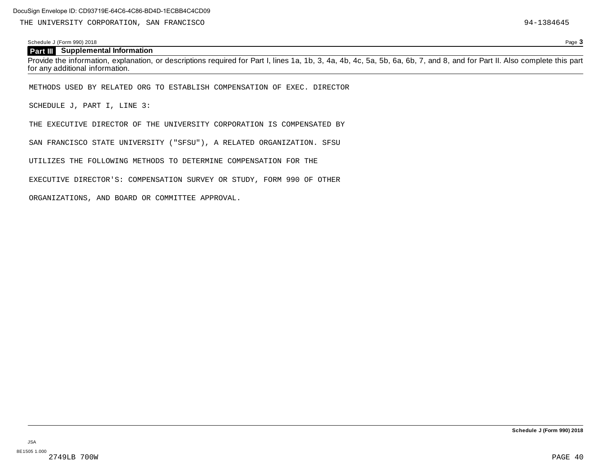## **Part III Supplemental Information**

Schedule J (Form 990) 2018 Page **3**

Provide the information, explanation, or descriptions required for Part I, lines 1a, 1b, 3, 4a, 4b, 4c, 5a, 5b, 6a, 6b, 7, and 8, and for Part II. Also complete this part for any additional information.

METHODS USED BY RELATED ORG TO ESTABLISH COMPENSATION OF EXEC. DIRECTOR

SCHEDULE J, PART I, LINE 3:

THE EXECUTIVE DIRECTOR OF THE UNIVERSITY CORPORATION IS COMPENSATED BY

SAN FRANCISCO STATE UNIVERSITY ("SFSU"), A RELATED ORGANIZATION. SFSU

UTILIZES THE FOLLOWING METHODS TO DETERMINE COMPENSATION FOR THE

EXECUTIVE DIRECTOR'S: COMPENSATION SURVEY OR STUDY, FORM 990 OF OTHER

ORGANIZATIONS, AND BOARD OR COMMITTEE APPROVAL.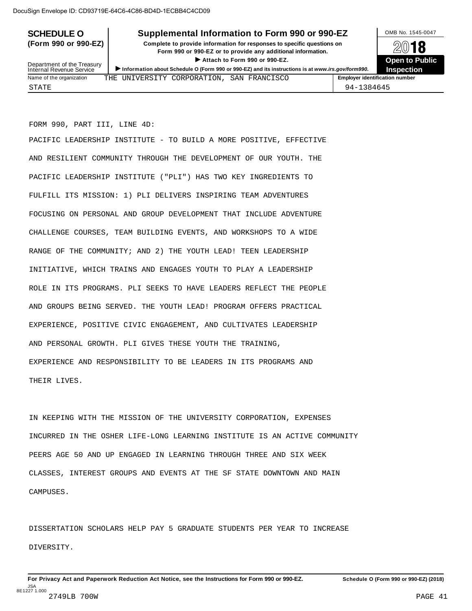# **SCHEDULE O** Supplemental Information to Form 990 or 990-EZ DAMB No. 1545-0047

**(Form 990 or 990-EZ) Complete to provide information for responses to specific questions on** Provide information for responses to specific questions on<br>
Form 990 or 990-EZ or to provide any additional information.<br>
▶ Attach to Form 990 or 990-EZ.<br>
Open to Public ■ Attach to Form 990 or 990-EZ.<br> **Open** School Le O (Form 990 or 990-EZ) and its instructions is at We



| Department of the Treasury<br>Internal Revenue Service | $\blacktriangleright$ Attach to Form 990 or 990-EZ.<br>Information about Schedule O (Form 990 or 990-EZ) and its instructions is at www.irs.gov/form990. | <b>Open to Publi</b><br><b>Inspection</b> |
|--------------------------------------------------------|----------------------------------------------------------------------------------------------------------------------------------------------------------|-------------------------------------------|
| Name of the organization                               | THE UNIVERSITY CORPORATION, SAN FRANCISCO                                                                                                                | <b>Employer identification number</b>     |
| STATE                                                  |                                                                                                                                                          | 94-1384645                                |

FORM 990, PART III, LINE 4D:

PACIFIC LEADERSHIP INSTITUTE - TO BUILD A MORE POSITIVE, EFFECTIVE AND RESILIENT COMMUNITY THROUGH THE DEVELOPMENT OF OUR YOUTH. THE PACIFIC LEADERSHIP INSTITUTE ("PLI") HAS TWO KEY INGREDIENTS TO FULFILL ITS MISSION: 1) PLI DELIVERS INSPIRING TEAM ADVENTURES FOCUSING ON PERSONAL AND GROUP DEVELOPMENT THAT INCLUDE ADVENTURE CHALLENGE COURSES, TEAM BUILDING EVENTS, AND WORKSHOPS TO A WIDE RANGE OF THE COMMUNITY; AND 2) THE YOUTH LEAD! TEEN LEADERSHIP INITIATIVE, WHICH TRAINS AND ENGAGES YOUTH TO PLAY A LEADERSHIP ROLE IN ITS PROGRAMS. PLI SEEKS TO HAVE LEADERS REFLECT THE PEOPLE AND GROUPS BEING SERVED. THE YOUTH LEAD! PROGRAM OFFERS PRACTICAL EXPERIENCE, POSITIVE CIVIC ENGAGEMENT, AND CULTIVATES LEADERSHIP AND PERSONAL GROWTH. PLI GIVES THESE YOUTH THE TRAINING, EXPERIENCE AND RESPONSIBILITY TO BE LEADERS IN ITS PROGRAMS AND THEIR LIVES.

IN KEEPING WITH THE MISSION OF THE UNIVERSITY CORPORATION, EXPENSES INCURRED IN THE OSHER LIFE-LONG LEARNING INSTITUTE IS AN ACTIVE COMMUNITY PEERS AGE 50 AND UP ENGAGED IN LEARNING THROUGH THREE AND SIX WEEK CLASSES, INTEREST GROUPS AND EVENTS AT THE SF STATE DOWNTOWN AND MAIN CAMPUSES.

DISSERTATION SCHOLARS HELP PAY 5 GRADUATE STUDENTS PER YEAR TO INCREASE DIVERSITY.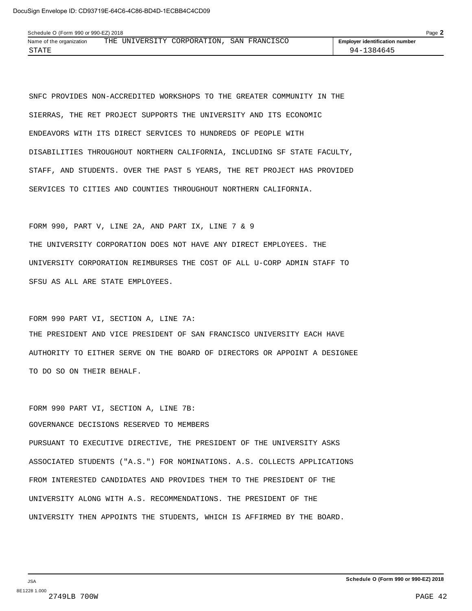SNFC PROVIDES NON-ACCREDITED WORKSHOPS TO THE GREATER COMMUNITY IN THE SIERRAS, THE RET PROJECT SUPPORTS THE UNIVERSITY AND ITS ECONOMIC ENDEAVORS WITH ITS DIRECT SERVICES TO HUNDREDS OF PEOPLE WITH DISABILITIES THROUGHOUT NORTHERN CALIFORNIA, INCLUDING SF STATE FACULTY, STAFF, AND STUDENTS. OVER THE PAST 5 YEARS, THE RET PROJECT HAS PROVIDED SERVICES TO CITIES AND COUNTIES THROUGHOUT NORTHERN CALIFORNIA.

FORM 990, PART V, LINE 2A, AND PART IX, LINE 7 & 9 THE UNIVERSITY CORPORATION DOES NOT HAVE ANY DIRECT EMPLOYEES. THE UNIVERSITY CORPORATION REIMBURSES THE COST OF ALL U-CORP ADMIN STAFF TO SFSU AS ALL ARE STATE EMPLOYEES.

FORM 990 PART VI, SECTION A, LINE 7A: THE PRESIDENT AND VICE PRESIDENT OF SAN FRANCISCO UNIVERSITY EACH HAVE AUTHORITY TO EITHER SERVE ON THE BOARD OF DIRECTORS OR APPOINT A DESIGNEE TO DO SO ON THEIR BEHALF.

```
FORM 990 PART VI, SECTION A, LINE 7B:
GOVERNANCE DECISIONS RESERVED TO MEMBERS
PURSUANT TO EXECUTIVE DIRECTIVE, THE PRESIDENT OF THE UNIVERSITY ASKS
ASSOCIATED STUDENTS ("A.S.") FOR NOMINATIONS. A.S. COLLECTS APPLICATIONS
FROM INTERESTED CANDIDATES AND PROVIDES THEM TO THE PRESIDENT OF THE
UNIVERSITY ALONG WITH A.S. RECOMMENDATIONS. THE PRESIDENT OF THE
UNIVERSITY THEN APPOINTS THE STUDENTS, WHICH IS AFFIRMED BY THE BOARD.
```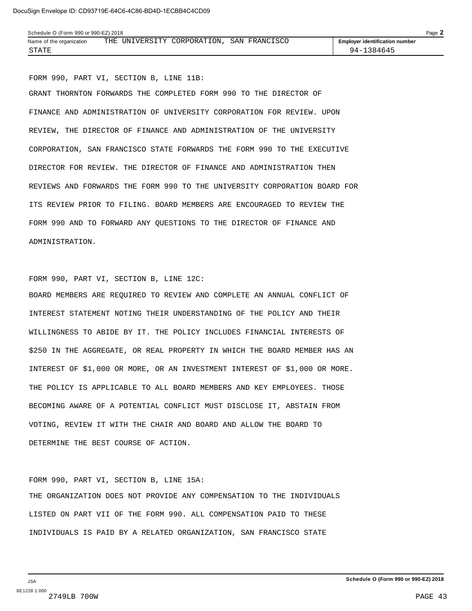| Schedule O (Form 990 or 990-EZ) 2018 |     |  |                         |  |               |  |                                       | $P$ age $\blacktriangle$ |
|--------------------------------------|-----|--|-------------------------|--|---------------|--|---------------------------------------|--------------------------|
| Name of the organization             | THE |  | UNIVERSITY CORPORATION, |  | SAN FRANCISCO |  | <b>Employer identification number</b> |                          |
| STATE                                |     |  |                         |  |               |  | 1384645-<br>94 –                      |                          |

FORM 990, PART VI, SECTION B, LINE 11B:

GRANT THORNTON FORWARDS THE COMPLETED FORM 990 TO THE DIRECTOR OF FINANCE AND ADMINISTRATION OF UNIVERSITY CORPORATION FOR REVIEW. UPON REVIEW, THE DIRECTOR OF FINANCE AND ADMINISTRATION OF THE UNIVERSITY CORPORATION, SAN FRANCISCO STATE FORWARDS THE FORM 990 TO THE EXECUTIVE DIRECTOR FOR REVIEW. THE DIRECTOR OF FINANCE AND ADMINISTRATION THEN REVIEWS AND FORWARDS THE FORM 990 TO THE UNIVERSITY CORPORATION BOARD FOR ITS REVIEW PRIOR TO FILING. BOARD MEMBERS ARE ENCOURAGED TO REVIEW THE FORM 990 AND TO FORWARD ANY QUESTIONS TO THE DIRECTOR OF FINANCE AND ADMINISTRATION.

```
FORM 990, PART VI, SECTION B, LINE 12C:
```
BOARD MEMBERS ARE REQUIRED TO REVIEW AND COMPLETE AN ANNUAL CONFLICT OF INTEREST STATEMENT NOTING THEIR UNDERSTANDING OF THE POLICY AND THEIR WILLINGNESS TO ABIDE BY IT. THE POLICY INCLUDES FINANCIAL INTERESTS OF \$250 IN THE AGGREGATE, OR REAL PROPERTY IN WHICH THE BOARD MEMBER HAS AN INTEREST OF \$1,000 OR MORE, OR AN INVESTMENT INTEREST OF \$1,000 OR MORE. THE POLICY IS APPLICABLE TO ALL BOARD MEMBERS AND KEY EMPLOYEES. THOSE BECOMING AWARE OF A POTENTIAL CONFLICT MUST DISCLOSE IT, ABSTAIN FROM VOTING, REVIEW IT WITH THE CHAIR AND BOARD AND ALLOW THE BOARD TO DETERMINE THE BEST COURSE OF ACTION.

FORM 990, PART VI, SECTION B, LINE 15A: THE ORGANIZATION DOES NOT PROVIDE ANY COMPENSATION TO THE INDIVIDUALS LISTED ON PART VII OF THE FORM 990. ALL COMPENSATION PAID TO THESE INDIVIDUALS IS PAID BY A RELATED ORGANIZATION, SAN FRANCISCO STATE

JSA 8E1228 1.000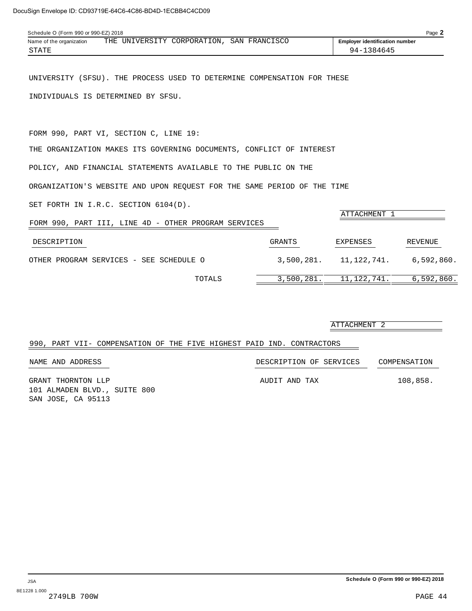| Schedule O (Form 990 or 990-EZ) 2018 |  |  |                                           |  |  |  |                                       | Page 2 |
|--------------------------------------|--|--|-------------------------------------------|--|--|--|---------------------------------------|--------|
| Name of the organization             |  |  | THE UNIVERSITY CORPORATION, SAN FRANCISCO |  |  |  | <b>Employer identification number</b> |        |
| STATE                                |  |  |                                           |  |  |  | 94-1384645                            |        |

UNIVERSITY (SFSU). THE PROCESS USED TO DETERMINE COMPENSATION FOR THESE INDIVIDUALS IS DETERMINED BY SFSU.

FORM 990, PART VI, SECTION C, LINE 19:

THE ORGANIZATION MAKES ITS GOVERNING DOCUMENTS, CONFLICT OF INTEREST

POLICY, AND FINANCIAL STATEMENTS AVAILABLE TO THE PUBLIC ON THE

ORGANIZATION'S WEBSITE AND UPON REQUEST FOR THE SAME PERIOD OF THE TIME

SET FORTH IN I.R.C. SECTION 6104(D).

| FORM 990, PART III, LINE 4D - OTHER PROGRAM SERVICES |            | ATTACHMENT 1 |            |
|------------------------------------------------------|------------|--------------|------------|
| DESCRIPTION                                          | GRANTS     | EXPENSES     | REVENUE    |
| OTHER PROGRAM SERVICES - SEE SCHEDULE O              | 3,500,281. | 11,122,741.  | 6.592.860. |
| TOTALS                                               | 3,500,281. | 11,122,741.  | 6,592,860. |

|                                                                       | ATTACHMENT 2            |              |
|-----------------------------------------------------------------------|-------------------------|--------------|
| 990, PART VII- COMPENSATION OF THE FIVE HIGHEST PAID IND. CONTRACTORS |                         |              |
| NAME AND ADDRESS                                                      | DESCRIPTION OF SERVICES | COMPENSATION |
| GRANT THORNTON LLP<br>101 ALMADEN RLVD SIITTE 800                     | AUDIT AND TAX           | 108,858.     |

101 ALMADEN BLVD., SUITE 800 SAN JOSE, CA 95113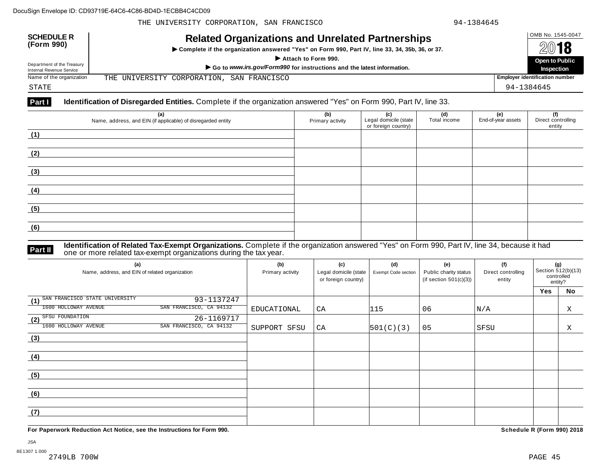| <b>SCHEDULE R</b><br>(Form 990)                        | <b>Related Organizations and Unrelated Partnerships</b><br>▶ Complete if the organization answered "Yes" on Form 990, Part IV, line 33, 34, 35b, 36, or 37.<br>Attach to Form 990. | OMB No. 1545-0047<br>2018             |
|--------------------------------------------------------|------------------------------------------------------------------------------------------------------------------------------------------------------------------------------------|---------------------------------------|
| Department of the Treasury<br>Internal Revenue Service | Go to www.irs.gov/Form990 for instructions and the latest information.                                                                                                             | <b>Open to Public</b><br>Inspection   |
| Name of the organization                               | THE UNIVERSITY CORPORATION, SAN FRANCISCO                                                                                                                                          | <b>Employer identification number</b> |
| STATE                                                  |                                                                                                                                                                                    | 94-1384645                            |

## **Part I Identification of Disregarded Entities.** Complete if the organization answered "Yes" on Form 990, Part IV, line 33.

| (a)<br>Name, address, and EIN (if applicable) of disregarded entity | (b)<br>Primary activity | (c)<br>Legal domicile (state<br>or foreign country) | (d)<br>Total income | (e)<br>End-of-year assets | (f)<br>Direct controlling<br>entity |
|---------------------------------------------------------------------|-------------------------|-----------------------------------------------------|---------------------|---------------------------|-------------------------------------|
| (1)                                                                 |                         |                                                     |                     |                           |                                     |
| (2)                                                                 |                         |                                                     |                     |                           |                                     |
| (3)                                                                 |                         |                                                     |                     |                           |                                     |
| (4)                                                                 |                         |                                                     |                     |                           |                                     |
| (5)                                                                 |                         |                                                     |                     |                           |                                     |
| (6)                                                                 |                         |                                                     |                     |                           |                                     |

**Part II** Identification of Related Tax-Exempt Organizations. Complete if the organization answered "Yes" on Form 990, Part IV, line 34, because it had<br>The one or more related tax-exempt organizations during the tax year.

| (a)<br>Name, address, and EIN of related organization |                         | (b)<br>Primary activity | (c)<br>Legal domicile (state<br>or foreign country) | (d)<br>Exempt Code section | (e)<br>Public charity status<br>(if section $501(c)(3)$ ) | (f)<br>Direct controlling<br>entity | (g)<br>Section 512(b)(13)<br>controlled<br>entity? |    |
|-------------------------------------------------------|-------------------------|-------------------------|-----------------------------------------------------|----------------------------|-----------------------------------------------------------|-------------------------------------|----------------------------------------------------|----|
|                                                       |                         |                         |                                                     |                            |                                                           |                                     | Yes                                                | No |
| (1) SAN FRANCISCO STATE UNIVERSITY                    | 93-1137247              |                         |                                                     |                            |                                                           |                                     |                                                    |    |
| 1600 HOLLOWAY AVENUE                                  | SAN FRANCISCO, CA 94132 | EDUCATIONAL             | CA                                                  | 115                        | 06                                                        | N/A                                 |                                                    | X  |
| (2) SFSU FOUNDATION                                   | 26-1169717              |                         |                                                     |                            |                                                           |                                     |                                                    |    |
| 1600 HOLLOWAY AVENUE                                  | SAN FRANCISCO, CA 94132 | SUPPORT SFSU            | CA                                                  | 501(C)(3)                  | 05                                                        | SFSU                                |                                                    | Χ  |
| (3)                                                   |                         |                         |                                                     |                            |                                                           |                                     |                                                    |    |
|                                                       |                         |                         |                                                     |                            |                                                           |                                     |                                                    |    |
| (4)                                                   |                         |                         |                                                     |                            |                                                           |                                     |                                                    |    |
|                                                       |                         |                         |                                                     |                            |                                                           |                                     |                                                    |    |
| (5)                                                   |                         |                         |                                                     |                            |                                                           |                                     |                                                    |    |
|                                                       |                         |                         |                                                     |                            |                                                           |                                     |                                                    |    |
| (6)                                                   |                         |                         |                                                     |                            |                                                           |                                     |                                                    |    |
|                                                       |                         |                         |                                                     |                            |                                                           |                                     |                                                    |    |
| (7)                                                   |                         |                         |                                                     |                            |                                                           |                                     |                                                    |    |
|                                                       |                         |                         |                                                     |                            |                                                           |                                     |                                                    |    |

**For Paperwork Reduction Act Notice, see the Instructions for Form 990. Schedule R (Form 990) 2018**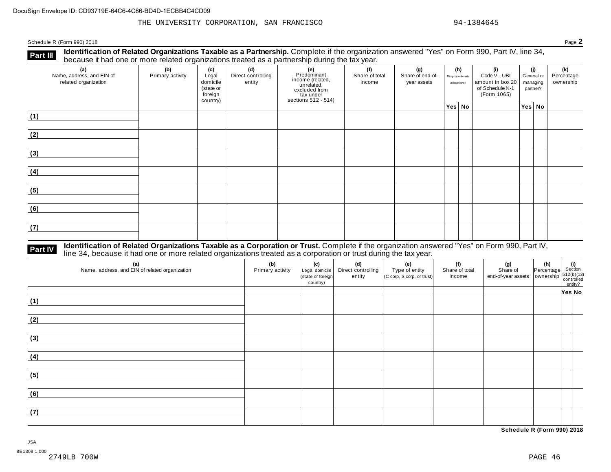Schedule <sup>R</sup> (Form 990) <sup>2018</sup> Page **2**

**Identification of Related Organizations Taxable as a Partnership.** Complete if the organization answered "Yes" on Form 990, Part IV, line 34, **because it had one or more related organizations Taxable as a Partnership.** Complete if the organization of Related organizations treated as a partnership during the tax year.

| (a)<br>Name, address, and EIN of<br>related organization | (b)<br>Primary activity | (c)<br>Legal<br>domicile<br>(state or<br>foreign<br>country) | (d)<br>Direct controlling<br>entity | (e)<br>Predominant<br>income (related,<br>unrelated,<br>excluded from<br>tax under<br>sections 512 - 514) | (f)<br>Share of total<br>income | (g)<br>Share of end-of-<br>year assets | Disproportionate<br>allocations? | (h) | (i)<br>Code V - UBI<br>amount in box 20<br>of Schedule K-1<br>(Form 1065) | (i)<br>General or<br>managing<br>partner? | (k)<br>Percentage<br>ownership |
|----------------------------------------------------------|-------------------------|--------------------------------------------------------------|-------------------------------------|-----------------------------------------------------------------------------------------------------------|---------------------------------|----------------------------------------|----------------------------------|-----|---------------------------------------------------------------------------|-------------------------------------------|--------------------------------|
|                                                          |                         |                                                              |                                     |                                                                                                           |                                 |                                        | Yes No                           |     |                                                                           | <sup>∣</sup> Yes│No ∣                     |                                |
| (1)                                                      |                         |                                                              |                                     |                                                                                                           |                                 |                                        |                                  |     |                                                                           |                                           |                                |
| (2)                                                      |                         |                                                              |                                     |                                                                                                           |                                 |                                        |                                  |     |                                                                           |                                           |                                |
| (3)                                                      |                         |                                                              |                                     |                                                                                                           |                                 |                                        |                                  |     |                                                                           |                                           |                                |
| (4)                                                      |                         |                                                              |                                     |                                                                                                           |                                 |                                        |                                  |     |                                                                           |                                           |                                |
| (5)                                                      |                         |                                                              |                                     |                                                                                                           |                                 |                                        |                                  |     |                                                                           |                                           |                                |
| (6)                                                      |                         |                                                              |                                     |                                                                                                           |                                 |                                        |                                  |     |                                                                           |                                           |                                |
| (7)                                                      |                         |                                                              |                                     |                                                                                                           |                                 |                                        |                                  |     |                                                                           |                                           |                                |

# **Part IV** Identification of Related Organizations Taxable as a Corporation or Trust. Complete if the organization answered "Yes" on Form 990, Part IV,<br>line 34, because it had one or more related organizations treated as a

| (a)<br>Name, address, and EIN of related organization | (b)<br>Primary activity | (c)<br>Legal domicile<br>(state or foreign<br>country) | (d)<br>Direct controlling<br>entity | (e)<br>Type of entity<br>(C corp, S corp, or trust) | (f)<br>Share of total<br>income | (g)<br>Share of<br>$\left  \begin{array}{c} \text{or} \\ \text{end-of-year assets} \end{array} \right  \left  \begin{array}{c} \text{or} \\ \text{overship} \end{array} \right  \left  \begin{array}{c} 512(b)(13) \\ \text{controlled} \end{array} \right $ | (h) (i)<br>Percentage Section | entity? |  |
|-------------------------------------------------------|-------------------------|--------------------------------------------------------|-------------------------------------|-----------------------------------------------------|---------------------------------|--------------------------------------------------------------------------------------------------------------------------------------------------------------------------------------------------------------------------------------------------------------|-------------------------------|---------|--|
|                                                       |                         |                                                        |                                     |                                                     |                                 |                                                                                                                                                                                                                                                              |                               | Yes No  |  |
| (1)                                                   |                         |                                                        |                                     |                                                     |                                 |                                                                                                                                                                                                                                                              |                               |         |  |
| (2)                                                   |                         |                                                        |                                     |                                                     |                                 |                                                                                                                                                                                                                                                              |                               |         |  |
| (3)                                                   |                         |                                                        |                                     |                                                     |                                 |                                                                                                                                                                                                                                                              |                               |         |  |
| (4)                                                   |                         |                                                        |                                     |                                                     |                                 |                                                                                                                                                                                                                                                              |                               |         |  |
| (5)                                                   |                         |                                                        |                                     |                                                     |                                 |                                                                                                                                                                                                                                                              |                               |         |  |
| (6)                                                   |                         |                                                        |                                     |                                                     |                                 |                                                                                                                                                                                                                                                              |                               |         |  |
| (7)                                                   |                         |                                                        |                                     |                                                     |                                 |                                                                                                                                                                                                                                                              |                               |         |  |

**Schedule R (Form 990) 2018**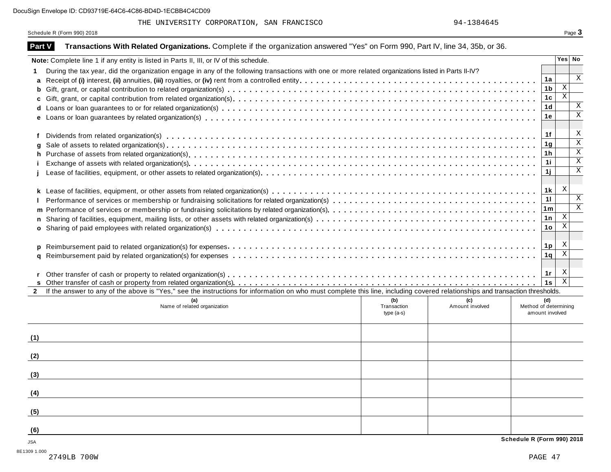# THE UNIVERSITY CORPORATION, SAN FRANCISCO 84-1384645

Schedule R (Form 990) 2018 Page 3

| <b>Part V</b> | Transactions With Related Organizations. Complete if the organization answered "Yes" on Form 990, Part IV, line 34, 35b, or 36.                                              |             |                 |                            |                 |                         |
|---------------|------------------------------------------------------------------------------------------------------------------------------------------------------------------------------|-------------|-----------------|----------------------------|-----------------|-------------------------|
|               | Note: Complete line 1 if any entity is listed in Parts II, III, or IV of this schedule.                                                                                      |             |                 |                            |                 | Yes No                  |
|               | During the tax year, did the organization engage in any of the following transactions with one or more related organizations listed in Parts II-IV?                          |             |                 |                            |                 |                         |
| a             |                                                                                                                                                                              |             |                 |                            | 1a              | $\mathbf{x}$            |
| b             |                                                                                                                                                                              |             |                 |                            | 1 <sub>b</sub>  | $\mathbf X$             |
|               |                                                                                                                                                                              |             |                 |                            | 1 <sub>c</sub>  | $\overline{\mathbf{x}}$ |
| d             |                                                                                                                                                                              |             |                 |                            | 1 <sub>d</sub>  | $\mathbf{X}$            |
|               |                                                                                                                                                                              |             |                 |                            | 1е              | $\mathbf X$             |
|               |                                                                                                                                                                              |             |                 |                            |                 |                         |
|               |                                                                                                                                                                              |             |                 |                            | 1f              | X                       |
|               |                                                                                                                                                                              |             |                 |                            | 1 <sub>g</sub>  | $\overline{\mathbf{x}}$ |
| h             |                                                                                                                                                                              |             |                 |                            | 1 <sub>h</sub>  | $\overline{\mathbf{x}}$ |
|               |                                                                                                                                                                              |             |                 |                            | 1i              | $\mathbf X$             |
|               |                                                                                                                                                                              |             |                 |                            | 1j              | $\mathbf X$             |
|               |                                                                                                                                                                              |             |                 |                            |                 |                         |
|               |                                                                                                                                                                              |             |                 |                            | 1 <sub>k</sub>  | $\mathbf{X}$            |
|               |                                                                                                                                                                              |             |                 |                            | 11              | $\mathbf{X}$            |
|               |                                                                                                                                                                              |             |                 |                            | 1 <sub>m</sub>  | $\overline{\mathbf{x}}$ |
|               |                                                                                                                                                                              |             |                 |                            | 1n              | $\mathbf X$             |
|               |                                                                                                                                                                              |             |                 |                            | 1 <sub>o</sub>  | $\mathbf X$             |
|               |                                                                                                                                                                              |             |                 |                            |                 |                         |
|               |                                                                                                                                                                              |             |                 |                            | 1 <sub>p</sub>  | X<br>$\mathbf x$        |
| a             |                                                                                                                                                                              |             |                 |                            | 1 <sub>q</sub>  |                         |
|               |                                                                                                                                                                              |             |                 |                            |                 | X                       |
|               |                                                                                                                                                                              |             |                 |                            | 1r              | $\overline{\mathbf{x}}$ |
| $\mathbf{2}$  | If the answer to any of the above is "Yes," see the instructions for information on who must complete this line, including covered relationships and transaction thresholds. |             |                 |                            | 1s              |                         |
|               | (a)                                                                                                                                                                          | (b)         | (c)             |                            | (d)             |                         |
|               | Name of related organization                                                                                                                                                 | Transaction | Amount involved | Method of determining      |                 |                         |
|               |                                                                                                                                                                              | $type(a-s)$ |                 |                            | amount involved |                         |
|               |                                                                                                                                                                              |             |                 |                            |                 |                         |
| (1)           |                                                                                                                                                                              |             |                 |                            |                 |                         |
|               |                                                                                                                                                                              |             |                 |                            |                 |                         |
| (2)           |                                                                                                                                                                              |             |                 |                            |                 |                         |
|               |                                                                                                                                                                              |             |                 |                            |                 |                         |
| (3)           |                                                                                                                                                                              |             |                 |                            |                 |                         |
|               |                                                                                                                                                                              |             |                 |                            |                 |                         |
| (4)           |                                                                                                                                                                              |             |                 |                            |                 |                         |
|               |                                                                                                                                                                              |             |                 |                            |                 |                         |
| (5)           |                                                                                                                                                                              |             |                 |                            |                 |                         |
|               |                                                                                                                                                                              |             |                 |                            |                 |                         |
| (6)           |                                                                                                                                                                              |             |                 |                            |                 |                         |
| JSA           |                                                                                                                                                                              |             |                 | Schedule R (Form 990) 2018 |                 |                         |
|               |                                                                                                                                                                              |             |                 |                            |                 |                         |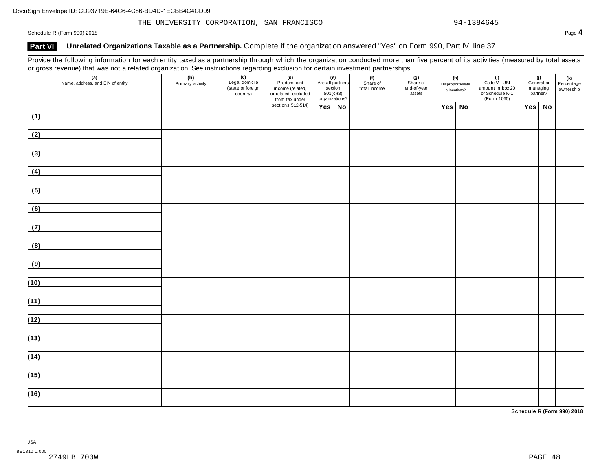Schedule <sup>R</sup> (Form 990) <sup>2018</sup> Page **4**

## **Part VI Unrelated Organizations Taxable as a Partnership.** Complete if the organization answered "Yes" on Form 990, Part IV, line 37.

Provide the following information for each entity taxed as a partnership through which the organization conducted more than five percent of its activities (measured by total assets or gross revenue) that was not a related organization. See instructions regarding exclusion for certain investment partnerships.

| $\bullet$<br>$\sim$ $\sim$ $\sim$<br>ັ<br>(a)<br>Name, address, and EIN of entity | (b)<br>Primary activity | ູບ<br>$\overline{(c)}$<br>Legal domicile<br>(state or foreign<br>country) | ັ<br>(d)<br>Predominant<br>income (related,<br>unrelated, excluded<br>from tax under |               | (e)<br>Are all partners<br>section<br>501(c)(3)<br>organizations? | .<br>(f)<br>Share of<br>total income | (g)<br>Share of<br>end-of-year<br>assets |        | (h)<br>Disproportionate<br>allocations? | $(i)$<br>Code $\vee$ - UBI<br>amount in box 20<br>of Schedule K-1<br>(Form 1065) | managing<br>partner? | (j)<br>General or | (k)<br>Percentage<br>ownership |
|-----------------------------------------------------------------------------------|-------------------------|---------------------------------------------------------------------------|--------------------------------------------------------------------------------------|---------------|-------------------------------------------------------------------|--------------------------------------|------------------------------------------|--------|-----------------------------------------|----------------------------------------------------------------------------------|----------------------|-------------------|--------------------------------|
|                                                                                   |                         |                                                                           | sections 512-514)                                                                    | $Yes \mid No$ |                                                                   |                                      |                                          | Yes No |                                         |                                                                                  | Yes                  | No                |                                |
| (1)                                                                               |                         |                                                                           |                                                                                      |               |                                                                   |                                      |                                          |        |                                         |                                                                                  |                      |                   |                                |
| (2)                                                                               |                         |                                                                           |                                                                                      |               |                                                                   |                                      |                                          |        |                                         |                                                                                  |                      |                   |                                |
| (3)                                                                               |                         |                                                                           |                                                                                      |               |                                                                   |                                      |                                          |        |                                         |                                                                                  |                      |                   |                                |
| (4)                                                                               |                         |                                                                           |                                                                                      |               |                                                                   |                                      |                                          |        |                                         |                                                                                  |                      |                   |                                |
| (5)                                                                               |                         |                                                                           |                                                                                      |               |                                                                   |                                      |                                          |        |                                         |                                                                                  |                      |                   |                                |
| (6)                                                                               |                         |                                                                           |                                                                                      |               |                                                                   |                                      |                                          |        |                                         |                                                                                  |                      |                   |                                |
| (7)                                                                               |                         |                                                                           |                                                                                      |               |                                                                   |                                      |                                          |        |                                         |                                                                                  |                      |                   |                                |
| (8)                                                                               |                         |                                                                           |                                                                                      |               |                                                                   |                                      |                                          |        |                                         |                                                                                  |                      |                   |                                |
| (9)                                                                               |                         |                                                                           |                                                                                      |               |                                                                   |                                      |                                          |        |                                         |                                                                                  |                      |                   |                                |
| (10)                                                                              |                         |                                                                           |                                                                                      |               |                                                                   |                                      |                                          |        |                                         |                                                                                  |                      |                   |                                |
| (11)                                                                              |                         |                                                                           |                                                                                      |               |                                                                   |                                      |                                          |        |                                         |                                                                                  |                      |                   |                                |
| (12)                                                                              |                         |                                                                           |                                                                                      |               |                                                                   |                                      |                                          |        |                                         |                                                                                  |                      |                   |                                |
| (13)                                                                              |                         |                                                                           |                                                                                      |               |                                                                   |                                      |                                          |        |                                         |                                                                                  |                      |                   |                                |
| (14)                                                                              |                         |                                                                           |                                                                                      |               |                                                                   |                                      |                                          |        |                                         |                                                                                  |                      |                   |                                |
|                                                                                   |                         |                                                                           |                                                                                      |               |                                                                   |                                      |                                          |        |                                         |                                                                                  |                      |                   |                                |
| (15)                                                                              |                         |                                                                           |                                                                                      |               |                                                                   |                                      |                                          |        |                                         |                                                                                  |                      |                   |                                |
| (16)                                                                              |                         |                                                                           |                                                                                      |               |                                                                   |                                      |                                          |        |                                         |                                                                                  |                      |                   |                                |

**Schedule R (Form 990) 2018**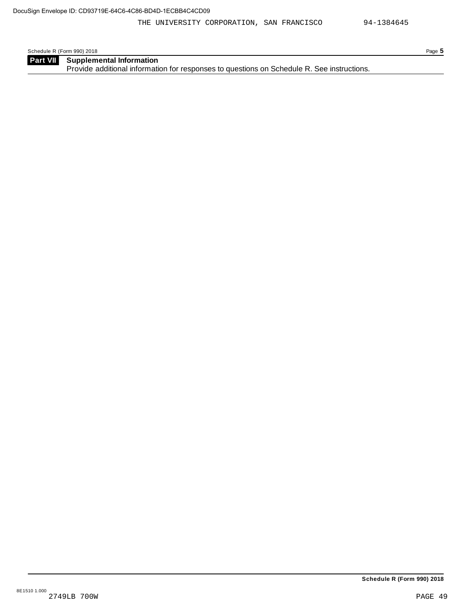| Schedule R (Form 990) 2018 |                                                                                            | Page 5 |
|----------------------------|--------------------------------------------------------------------------------------------|--------|
| <b>Part VII</b>            | <b>Supplemental Information</b>                                                            |        |
|                            | Provide additional information for responses to questions on Schedule R. See instructions. |        |